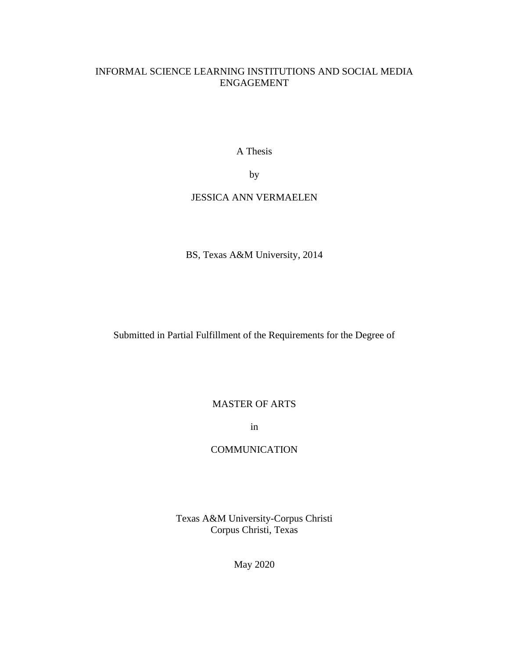# INFORMAL SCIENCE LEARNING INSTITUTIONS AND SOCIAL MEDIA ENGAGEMENT

A Thesis

by

# JESSICA ANN VERMAELEN

BS, Texas A&M University, 2014

Submitted in Partial Fulfillment of the Requirements for the Degree of

# MASTER OF ARTS

in

# **COMMUNICATION**

Texas A&M University-Corpus Christi Corpus Christi, Texas

May 2020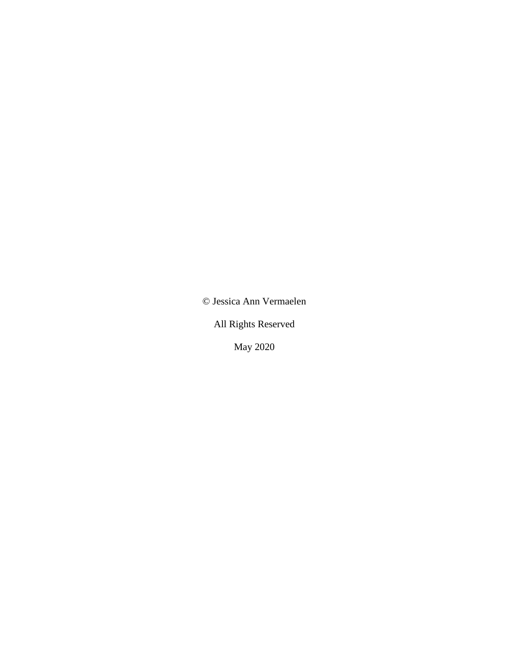© Jessica Ann Vermaelen

All Rights Reserved

May 2020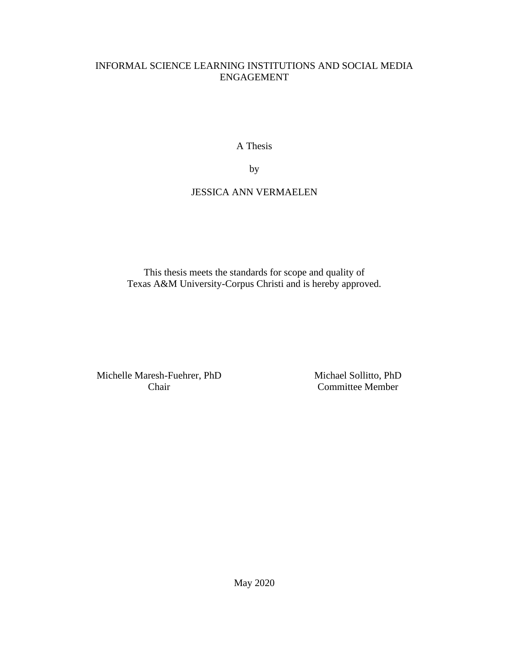# INFORMAL SCIENCE LEARNING INSTITUTIONS AND SOCIAL MEDIA ENGAGEMENT

A Thesis

by

# JESSICA ANN VERMAELEN

This thesis meets the standards for scope and quality of Texas A&M University-Corpus Christi and is hereby approved.

Michelle Maresh-Fuehrer, PhD Chair

Michael Sollitto, PhD Committee Member

May 2020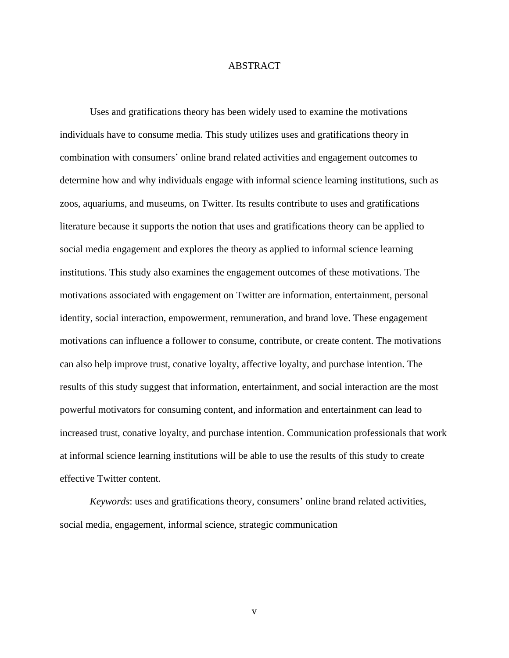### ABSTRACT

<span id="page-3-0"></span>Uses and gratifications theory has been widely used to examine the motivations individuals have to consume media. This study utilizes uses and gratifications theory in combination with consumers' online brand related activities and engagement outcomes to determine how and why individuals engage with informal science learning institutions, such as zoos, aquariums, and museums, on Twitter. Its results contribute to uses and gratifications literature because it supports the notion that uses and gratifications theory can be applied to social media engagement and explores the theory as applied to informal science learning institutions. This study also examines the engagement outcomes of these motivations. The motivations associated with engagement on Twitter are information, entertainment, personal identity, social interaction, empowerment, remuneration, and brand love. These engagement motivations can influence a follower to consume, contribute, or create content. The motivations can also help improve trust, conative loyalty, affective loyalty, and purchase intention. The results of this study suggest that information, entertainment, and social interaction are the most powerful motivators for consuming content, and information and entertainment can lead to increased trust, conative loyalty, and purchase intention. Communication professionals that work at informal science learning institutions will be able to use the results of this study to create effective Twitter content.

*Keywords*: uses and gratifications theory, consumers' online brand related activities, social media, engagement, informal science, strategic communication

v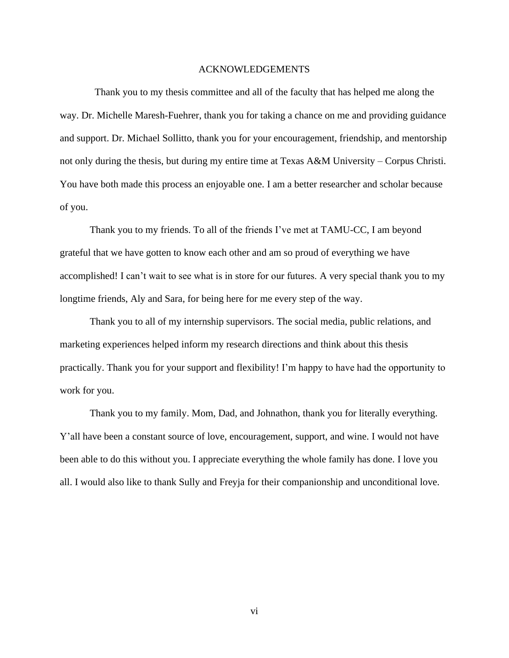## ACKNOWLEDGEMENTS

<span id="page-4-0"></span>Thank you to my thesis committee and all of the faculty that has helped me along the way. Dr. Michelle Maresh-Fuehrer, thank you for taking a chance on me and providing guidance and support. Dr. Michael Sollitto, thank you for your encouragement, friendship, and mentorship not only during the thesis, but during my entire time at Texas A&M University – Corpus Christi. You have both made this process an enjoyable one. I am a better researcher and scholar because of you.

Thank you to my friends. To all of the friends I've met at TAMU-CC, I am beyond grateful that we have gotten to know each other and am so proud of everything we have accomplished! I can't wait to see what is in store for our futures. A very special thank you to my longtime friends, Aly and Sara, for being here for me every step of the way.

Thank you to all of my internship supervisors. The social media, public relations, and marketing experiences helped inform my research directions and think about this thesis practically. Thank you for your support and flexibility! I'm happy to have had the opportunity to work for you.

Thank you to my family. Mom, Dad, and Johnathon, thank you for literally everything. Y'all have been a constant source of love, encouragement, support, and wine. I would not have been able to do this without you. I appreciate everything the whole family has done. I love you all. I would also like to thank Sully and Freyja for their companionship and unconditional love.

vi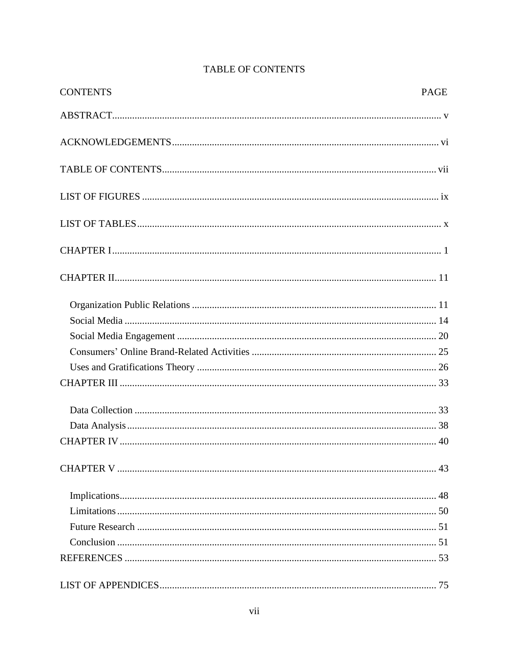<span id="page-5-0"></span>

| <b>CONTENTS</b> | <b>PAGE</b> |
|-----------------|-------------|
|                 |             |
|                 |             |
|                 |             |
|                 |             |
|                 |             |
|                 |             |
|                 |             |
|                 |             |
|                 |             |
|                 |             |
|                 |             |
|                 |             |
|                 |             |
|                 |             |
|                 |             |
|                 |             |
|                 |             |
|                 |             |
|                 |             |
|                 |             |
|                 |             |
|                 |             |
|                 |             |

# TABLE OF CONTENTS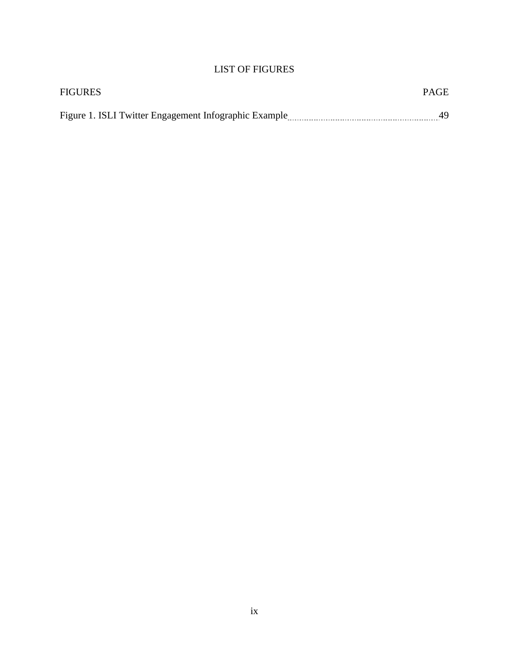# LIST OF FIGURES

<span id="page-7-0"></span>

| FIGURES | <b>PAGE</b> |
|---------|-------------|
|         |             |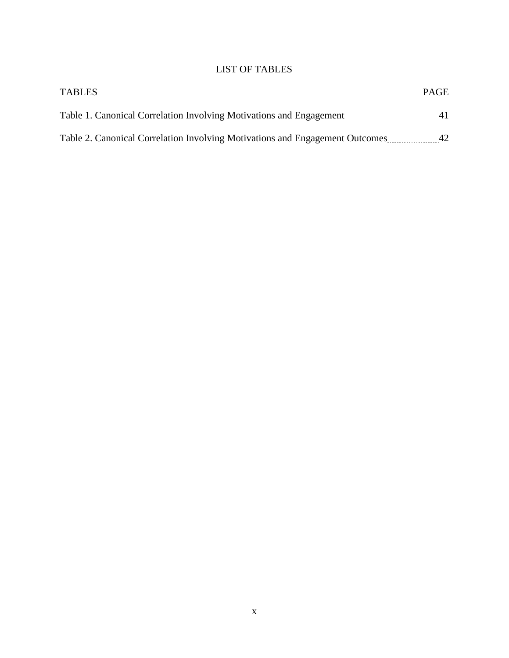# LIST OF TABLES

<span id="page-8-0"></span>

| <b>TABLES</b>                                                                | <b>PAGE</b> |
|------------------------------------------------------------------------------|-------------|
| Table 1. Canonical Correlation Involving Motivations and Engagement          |             |
| Table 2. Canonical Correlation Involving Motivations and Engagement Outcomes | 42          |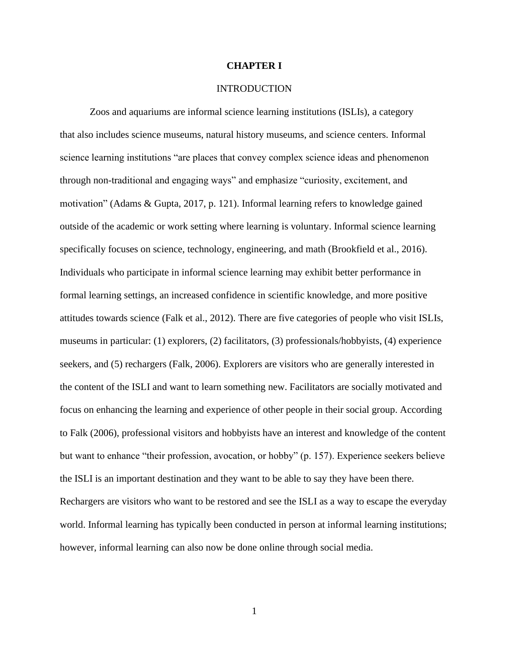#### **CHAPTER I**

## INTRODUCTION

<span id="page-9-0"></span>Zoos and aquariums are informal science learning institutions (ISLIs), a category that also includes science museums, natural history museums, and science centers. Informal science learning institutions "are places that convey complex science ideas and phenomenon through non-traditional and engaging ways" and emphasize "curiosity, excitement, and motivation" (Adams & Gupta, 2017, p. 121). Informal learning refers to knowledge gained outside of the academic or work setting where learning is voluntary. Informal science learning specifically focuses on science, technology, engineering, and math (Brookfield et al., 2016). Individuals who participate in informal science learning may exhibit better performance in formal learning settings, an increased confidence in scientific knowledge, and more positive attitudes towards science (Falk et al., 2012). There are five categories of people who visit ISLIs, museums in particular: (1) explorers, (2) facilitators, (3) professionals/hobbyists, (4) experience seekers, and (5) rechargers (Falk, 2006). Explorers are visitors who are generally interested in the content of the ISLI and want to learn something new. Facilitators are socially motivated and focus on enhancing the learning and experience of other people in their social group. According to Falk (2006), professional visitors and hobbyists have an interest and knowledge of the content but want to enhance "their profession, avocation, or hobby" (p. 157). Experience seekers believe the ISLI is an important destination and they want to be able to say they have been there. Rechargers are visitors who want to be restored and see the ISLI as a way to escape the everyday world. Informal learning has typically been conducted in person at informal learning institutions; however, informal learning can also now be done online through social media.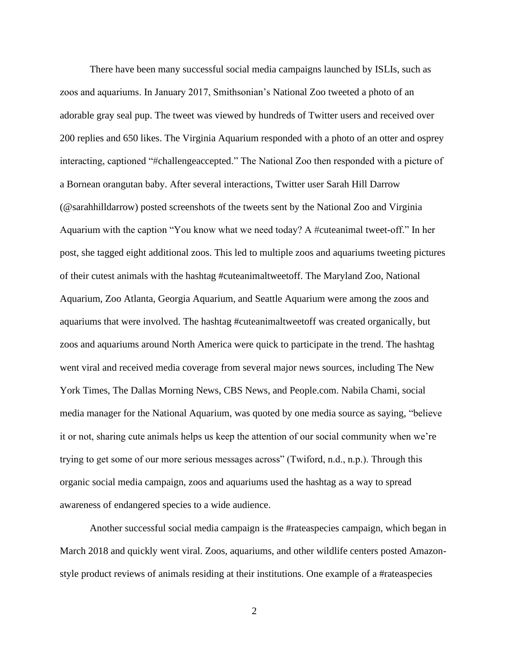There have been many successful social media campaigns launched by ISLIs, such as zoos and aquariums. In January 2017, Smithsonian's National Zoo tweeted a photo of an adorable gray seal pup. The tweet was viewed by hundreds of Twitter users and received over 200 replies and 650 likes. The Virginia Aquarium responded with a photo of an otter and osprey interacting, captioned "#challengeaccepted." The National Zoo then responded with a picture of a Bornean orangutan baby. After several interactions, Twitter user Sarah Hill Darrow (@sarahhilldarrow) posted screenshots of the tweets sent by the National Zoo and Virginia Aquarium with the caption "You know what we need today? A #cuteanimal tweet-off." In her post, she tagged eight additional zoos. This led to multiple zoos and aquariums tweeting pictures of their cutest animals with the hashtag #cuteanimaltweetoff. The Maryland Zoo, National Aquarium, Zoo Atlanta, Georgia Aquarium, and Seattle Aquarium were among the zoos and aquariums that were involved. The hashtag #cuteanimaltweetoff was created organically, but zoos and aquariums around North America were quick to participate in the trend. The hashtag went viral and received media coverage from several major news sources, including The New York Times, The Dallas Morning News, CBS News, and People.com. Nabila Chami, social media manager for the National Aquarium, was quoted by one media source as saying, "believe it or not, sharing cute animals helps us keep the attention of our social community when we're trying to get some of our more serious messages across" (Twiford, n.d., n.p.). Through this organic social media campaign, zoos and aquariums used the hashtag as a way to spread awareness of endangered species to a wide audience.

Another successful social media campaign is the #rateaspecies campaign, which began in March 2018 and quickly went viral. Zoos, aquariums, and other wildlife centers posted Amazonstyle product reviews of animals residing at their institutions. One example of a #rateaspecies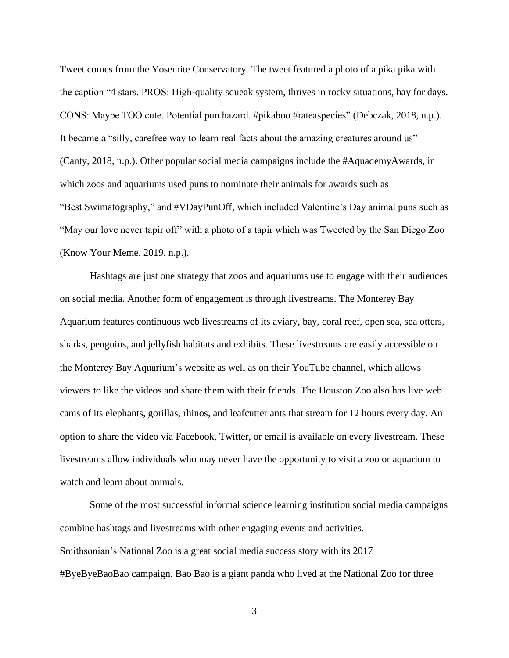Tweet comes from the Yosemite Conservatory. The tweet featured a photo of a pika pika with the caption "4 stars. PROS: High-quality squeak system, thrives in rocky situations, hay for days. CONS: Maybe TOO cute. Potential pun hazard. #pikaboo #rateaspecies" (Debczak, 2018, n.p.). It became a "silly, carefree way to learn real facts about the amazing creatures around us" (Canty, 2018, n.p.). Other popular social media campaigns include the #AquademyAwards, in which zoos and aquariums used puns to nominate their animals for awards such as "Best Swimatography," and #VDayPunOff, which included Valentine's Day animal puns such as "May our love never tapir off" with a photo of a tapir which was Tweeted by the San Diego Zoo (Know Your Meme, 2019, n.p.).

Hashtags are just one strategy that zoos and aquariums use to engage with their audiences on social media. Another form of engagement is through livestreams. The Monterey Bay Aquarium features continuous web livestreams of its aviary, bay, coral reef, open sea, sea otters, sharks, penguins, and jellyfish habitats and exhibits. These livestreams are easily accessible on the Monterey Bay Aquarium's website as well as on their YouTube channel, which allows viewers to like the videos and share them with their friends. The Houston Zoo also has live web cams of its elephants, gorillas, rhinos, and leafcutter ants that stream for 12 hours every day. An option to share the video via Facebook, Twitter, or email is available on every livestream. These livestreams allow individuals who may never have the opportunity to visit a zoo or aquarium to watch and learn about animals.

Some of the most successful informal science learning institution social media campaigns combine hashtags and livestreams with other engaging events and activities. Smithsonian's National Zoo is a great social media success story with its 2017 #ByeByeBaoBao campaign. Bao Bao is a giant panda who lived at the National Zoo for three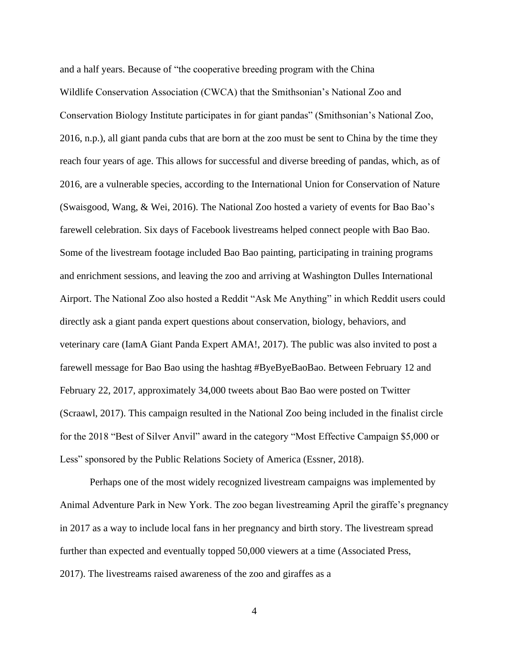and a half years. Because of "the cooperative breeding program with the China Wildlife Conservation Association (CWCA) that the Smithsonian's National Zoo and Conservation Biology Institute participates in for giant pandas" (Smithsonian's National Zoo, 2016, n.p.), all giant panda cubs that are born at the zoo must be sent to China by the time they reach four years of age. This allows for successful and diverse breeding of pandas, which, as of 2016, are a vulnerable species, according to the International Union for Conservation of Nature (Swaisgood, Wang, & Wei, 2016). The National Zoo hosted a variety of events for Bao Bao's farewell celebration. Six days of Facebook livestreams helped connect people with Bao Bao. Some of the livestream footage included Bao Bao painting, participating in training programs and enrichment sessions, and leaving the zoo and arriving at Washington Dulles International Airport. The National Zoo also hosted a Reddit "Ask Me Anything" in which Reddit users could directly ask a giant panda expert questions about conservation, biology, behaviors, and veterinary care (IamA Giant Panda Expert AMA!, 2017). The public was also invited to post a farewell message for Bao Bao using the hashtag #ByeByeBaoBao. Between February 12 and February 22, 2017, approximately 34,000 tweets about Bao Bao were posted on Twitter (Scraawl, 2017). This campaign resulted in the National Zoo being included in the finalist circle for the 2018 "Best of Silver Anvil" award in the category "Most Effective Campaign \$5,000 or Less" sponsored by the Public Relations Society of America (Essner, 2018).

Perhaps one of the most widely recognized livestream campaigns was implemented by Animal Adventure Park in New York. The zoo began livestreaming April the giraffe's pregnancy in 2017 as a way to include local fans in her pregnancy and birth story. The livestream spread further than expected and eventually topped 50,000 viewers at a time (Associated Press, 2017). The livestreams raised awareness of the zoo and giraffes as a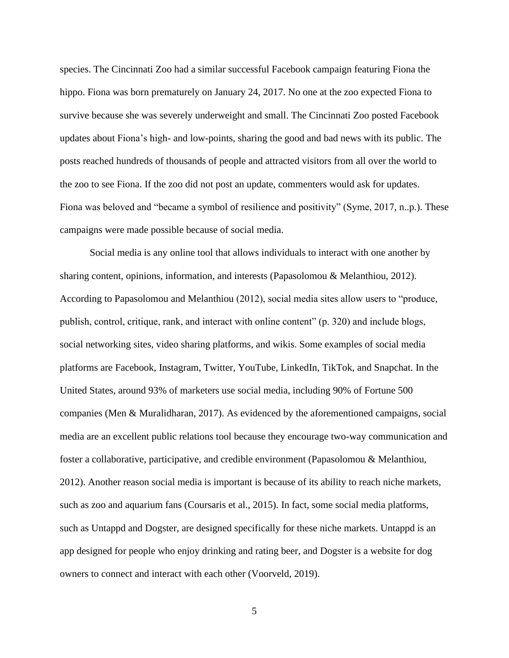species. The Cincinnati Zoo had a similar successful Facebook campaign featuring Fiona the hippo. Fiona was born prematurely on January 24, 2017. No one at the zoo expected Fiona to survive because she was severely underweight and small. The Cincinnati Zoo posted Facebook updates about Fiona's high- and low-points, sharing the good and bad news with its public. The posts reached hundreds of thousands of people and attracted visitors from all over the world to the zoo to see Fiona. If the zoo did not post an update, commenters would ask for updates. Fiona was beloved and "became a symbol of resilience and positivity" (Syme, 2017, n..p.). These campaigns were made possible because of social media.

Social media is any online tool that allows individuals to interact with one another by sharing content, opinions, information, and interests (Papasolomou & Melanthiou, 2012). According to Papasolomou and Melanthiou (2012), social media sites allow users to "produce, publish, control, critique, rank, and interact with online content" (p. 320) and include blogs, social networking sites, video sharing platforms, and wikis. Some examples of social media platforms are Facebook, Instagram, Twitter, YouTube, LinkedIn, TikTok, and Snapchat. In the United States, around 93% of marketers use social media, including 90% of Fortune 500 companies (Men & Muralidharan, 2017). As evidenced by the aforementioned campaigns, social media are an excellent public relations tool because they encourage two-way communication and foster a collaborative, participative, and credible environment (Papasolomou & Melanthiou, 2012). Another reason social media is important is because of its ability to reach niche markets, such as zoo and aquarium fans (Coursaris et al., 2015). In fact, some social media platforms, such as Untappd and Dogster, are designed specifically for these niche markets. Untappd is an app designed for people who enjoy drinking and rating beer, and Dogster is a website for dog owners to connect and interact with each other (Voorveld, 2019).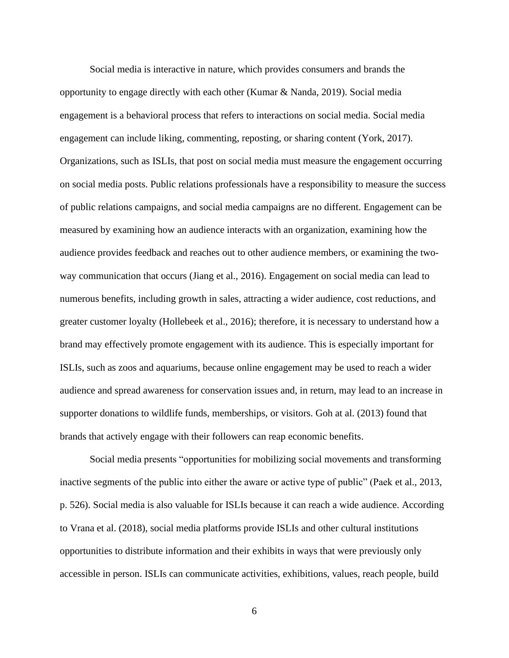Social media is interactive in nature, which provides consumers and brands the opportunity to engage directly with each other (Kumar & Nanda, 2019). Social media engagement is a behavioral process that refers to interactions on social media. Social media engagement can include liking, commenting, reposting, or sharing content (York, 2017). Organizations, such as ISLIs, that post on social media must measure the engagement occurring on social media posts. Public relations professionals have a responsibility to measure the success of public relations campaigns, and social media campaigns are no different. Engagement can be measured by examining how an audience interacts with an organization, examining how the audience provides feedback and reaches out to other audience members, or examining the twoway communication that occurs (Jiang et al., 2016). Engagement on social media can lead to numerous benefits, including growth in sales, attracting a wider audience, cost reductions, and greater customer loyalty (Hollebeek et al., 2016); therefore, it is necessary to understand how a brand may effectively promote engagement with its audience. This is especially important for ISLIs, such as zoos and aquariums, because online engagement may be used to reach a wider audience and spread awareness for conservation issues and, in return, may lead to an increase in supporter donations to wildlife funds, memberships, or visitors. Goh at al. (2013) found that brands that actively engage with their followers can reap economic benefits.

Social media presents "opportunities for mobilizing social movements and transforming inactive segments of the public into either the aware or active type of public" (Paek et al., 2013, p. 526). Social media is also valuable for ISLIs because it can reach a wide audience. According to Vrana et al. (2018), social media platforms provide ISLIs and other cultural institutions opportunities to distribute information and their exhibits in ways that were previously only accessible in person. ISLIs can communicate activities, exhibitions, values, reach people, build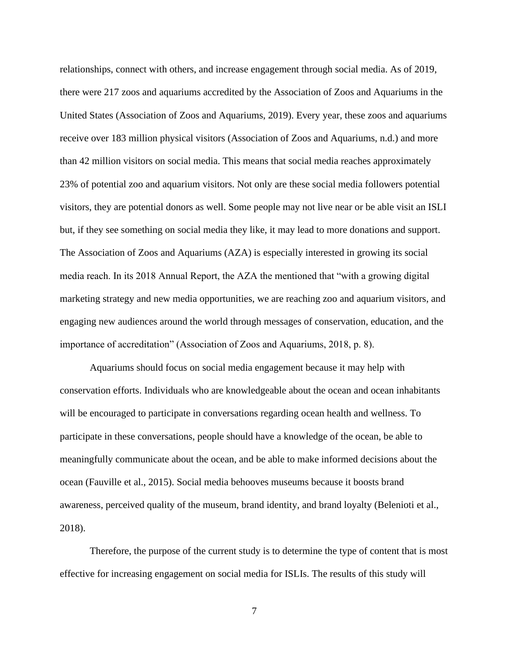relationships, connect with others, and increase engagement through social media. As of 2019, there were 217 zoos and aquariums accredited by the Association of Zoos and Aquariums in the United States (Association of Zoos and Aquariums, 2019). Every year, these zoos and aquariums receive over 183 million physical visitors (Association of Zoos and Aquariums, n.d.) and more than 42 million visitors on social media. This means that social media reaches approximately 23% of potential zoo and aquarium visitors. Not only are these social media followers potential visitors, they are potential donors as well. Some people may not live near or be able visit an ISLI but, if they see something on social media they like, it may lead to more donations and support. The Association of Zoos and Aquariums (AZA) is especially interested in growing its social media reach. In its 2018 Annual Report, the AZA the mentioned that "with a growing digital marketing strategy and new media opportunities, we are reaching zoo and aquarium visitors, and engaging new audiences around the world through messages of conservation, education, and the importance of accreditation" (Association of Zoos and Aquariums, 2018, p. 8).

Aquariums should focus on social media engagement because it may help with conservation efforts. Individuals who are knowledgeable about the ocean and ocean inhabitants will be encouraged to participate in conversations regarding ocean health and wellness. To participate in these conversations, people should have a knowledge of the ocean, be able to meaningfully communicate about the ocean, and be able to make informed decisions about the ocean (Fauville et al., 2015). Social media behooves museums because it boosts brand awareness, perceived quality of the museum, brand identity, and brand loyalty (Belenioti et al., 2018).

Therefore, the purpose of the current study is to determine the type of content that is most effective for increasing engagement on social media for ISLIs. The results of this study will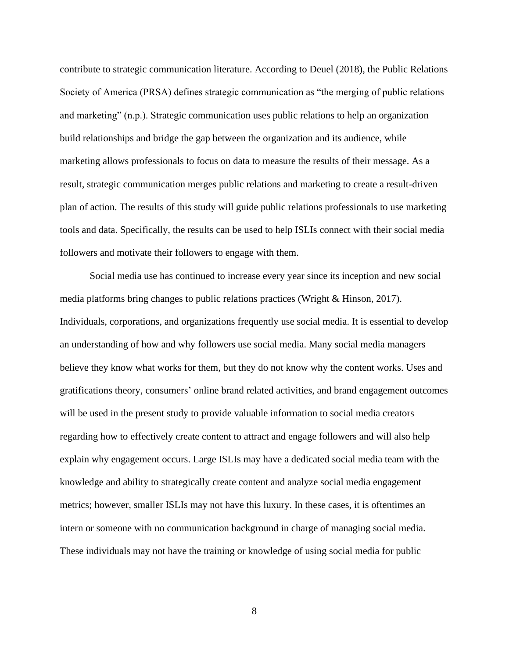contribute to strategic communication literature. According to Deuel (2018), the Public Relations Society of America (PRSA) defines strategic communication as "the merging of public relations and marketing" (n.p.). Strategic communication uses public relations to help an organization build relationships and bridge the gap between the organization and its audience, while marketing allows professionals to focus on data to measure the results of their message. As a result, strategic communication merges public relations and marketing to create a result-driven plan of action. The results of this study will guide public relations professionals to use marketing tools and data. Specifically, the results can be used to help ISLIs connect with their social media followers and motivate their followers to engage with them.

Social media use has continued to increase every year since its inception and new social media platforms bring changes to public relations practices (Wright & Hinson, 2017). Individuals, corporations, and organizations frequently use social media. It is essential to develop an understanding of how and why followers use social media. Many social media managers believe they know what works for them, but they do not know why the content works. Uses and gratifications theory, consumers' online brand related activities, and brand engagement outcomes will be used in the present study to provide valuable information to social media creators regarding how to effectively create content to attract and engage followers and will also help explain why engagement occurs. Large ISLIs may have a dedicated social media team with the knowledge and ability to strategically create content and analyze social media engagement metrics; however, smaller ISLIs may not have this luxury. In these cases, it is oftentimes an intern or someone with no communication background in charge of managing social media. These individuals may not have the training or knowledge of using social media for public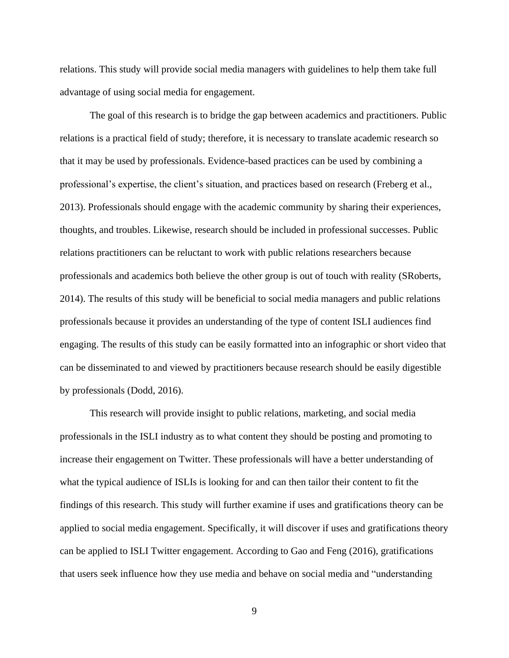relations. This study will provide social media managers with guidelines to help them take full advantage of using social media for engagement.

The goal of this research is to bridge the gap between academics and practitioners. Public relations is a practical field of study; therefore, it is necessary to translate academic research so that it may be used by professionals. Evidence-based practices can be used by combining a professional's expertise, the client's situation, and practices based on research (Freberg et al., 2013). Professionals should engage with the academic community by sharing their experiences, thoughts, and troubles. Likewise, research should be included in professional successes. Public relations practitioners can be reluctant to work with public relations researchers because professionals and academics both believe the other group is out of touch with reality (SRoberts, 2014). The results of this study will be beneficial to social media managers and public relations professionals because it provides an understanding of the type of content ISLI audiences find engaging. The results of this study can be easily formatted into an infographic or short video that can be disseminated to and viewed by practitioners because research should be easily digestible by professionals (Dodd, 2016).

This research will provide insight to public relations, marketing, and social media professionals in the ISLI industry as to what content they should be posting and promoting to increase their engagement on Twitter. These professionals will have a better understanding of what the typical audience of ISLIs is looking for and can then tailor their content to fit the findings of this research. This study will further examine if uses and gratifications theory can be applied to social media engagement. Specifically, it will discover if uses and gratifications theory can be applied to ISLI Twitter engagement. According to Gao and Feng (2016), gratifications that users seek influence how they use media and behave on social media and "understanding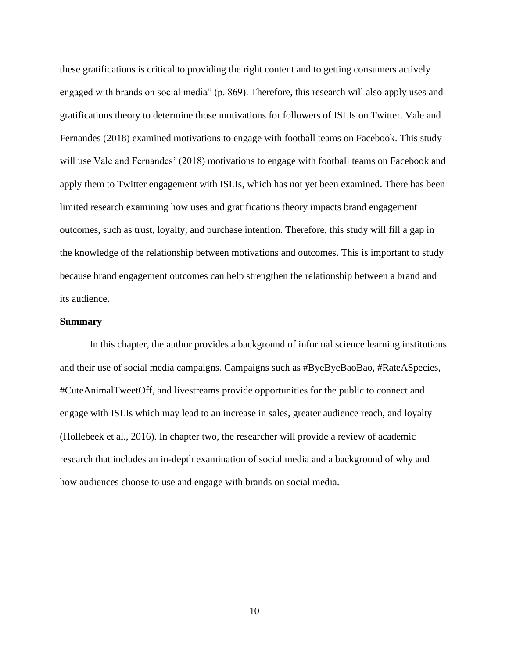these gratifications is critical to providing the right content and to getting consumers actively engaged with brands on social media" (p. 869). Therefore, this research will also apply uses and gratifications theory to determine those motivations for followers of ISLIs on Twitter. Vale and Fernandes (2018) examined motivations to engage with football teams on Facebook. This study will use Vale and Fernandes' (2018) motivations to engage with football teams on Facebook and apply them to Twitter engagement with ISLIs, which has not yet been examined. There has been limited research examining how uses and gratifications theory impacts brand engagement outcomes, such as trust, loyalty, and purchase intention. Therefore, this study will fill a gap in the knowledge of the relationship between motivations and outcomes. This is important to study because brand engagement outcomes can help strengthen the relationship between a brand and its audience.

### **Summary**

In this chapter, the author provides a background of informal science learning institutions and their use of social media campaigns. Campaigns such as #ByeByeBaoBao, #RateASpecies, #CuteAnimalTweetOff, and livestreams provide opportunities for the public to connect and engage with ISLIs which may lead to an increase in sales, greater audience reach, and loyalty (Hollebeek et al., 2016). In chapter two, the researcher will provide a review of academic research that includes an in-depth examination of social media and a background of why and how audiences choose to use and engage with brands on social media.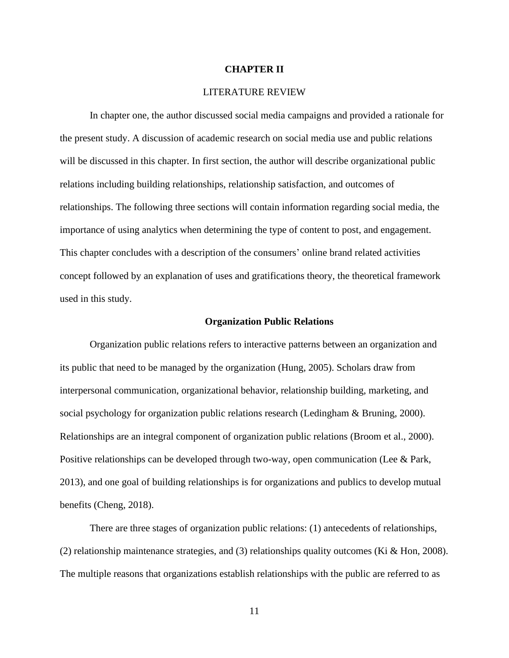## **CHAPTER II**

## LITERATURE REVIEW

<span id="page-19-0"></span>In chapter one, the author discussed social media campaigns and provided a rationale for the present study. A discussion of academic research on social media use and public relations will be discussed in this chapter. In first section, the author will describe organizational public relations including building relationships, relationship satisfaction, and outcomes of relationships. The following three sections will contain information regarding social media, the importance of using analytics when determining the type of content to post, and engagement. This chapter concludes with a description of the consumers' online brand related activities concept followed by an explanation of uses and gratifications theory, the theoretical framework used in this study.

#### **Organization Public Relations**

<span id="page-19-1"></span>Organization public relations refers to interactive patterns between an organization and its public that need to be managed by the organization (Hung, 2005). Scholars draw from interpersonal communication, organizational behavior, relationship building, marketing, and social psychology for organization public relations research (Ledingham & Bruning, 2000). Relationships are an integral component of organization public relations (Broom et al., 2000). Positive relationships can be developed through two-way, open communication (Lee & Park, 2013), and one goal of building relationships is for organizations and publics to develop mutual benefits (Cheng, 2018).

There are three stages of organization public relations: (1) antecedents of relationships, (2) relationship maintenance strategies, and (3) relationships quality outcomes (Ki & Hon, 2008). The multiple reasons that organizations establish relationships with the public are referred to as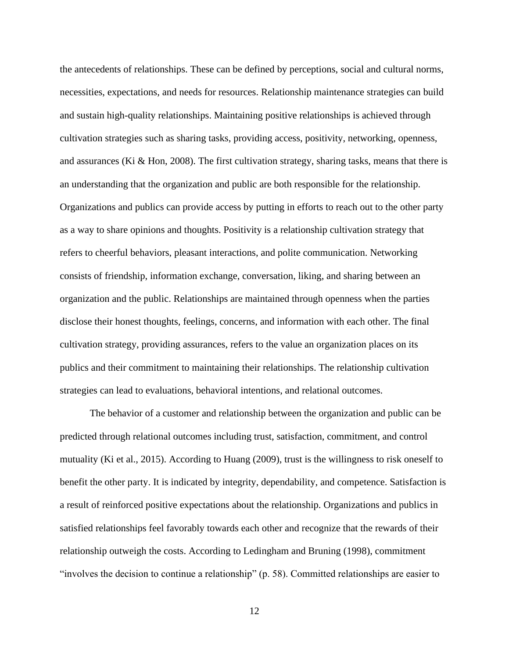the antecedents of relationships. These can be defined by perceptions, social and cultural norms, necessities, expectations, and needs for resources. Relationship maintenance strategies can build and sustain high-quality relationships. Maintaining positive relationships is achieved through cultivation strategies such as sharing tasks, providing access, positivity, networking, openness, and assurances (Ki & Hon, 2008). The first cultivation strategy, sharing tasks, means that there is an understanding that the organization and public are both responsible for the relationship. Organizations and publics can provide access by putting in efforts to reach out to the other party as a way to share opinions and thoughts. Positivity is a relationship cultivation strategy that refers to cheerful behaviors, pleasant interactions, and polite communication. Networking consists of friendship, information exchange, conversation, liking, and sharing between an organization and the public. Relationships are maintained through openness when the parties disclose their honest thoughts, feelings, concerns, and information with each other. The final cultivation strategy, providing assurances, refers to the value an organization places on its publics and their commitment to maintaining their relationships. The relationship cultivation strategies can lead to evaluations, behavioral intentions, and relational outcomes.

The behavior of a customer and relationship between the organization and public can be predicted through relational outcomes including trust, satisfaction, commitment, and control mutuality (Ki et al., 2015). According to Huang (2009), trust is the willingness to risk oneself to benefit the other party. It is indicated by integrity, dependability, and competence. Satisfaction is a result of reinforced positive expectations about the relationship. Organizations and publics in satisfied relationships feel favorably towards each other and recognize that the rewards of their relationship outweigh the costs. According to Ledingham and Bruning (1998), commitment "involves the decision to continue a relationship" (p. 58). Committed relationships are easier to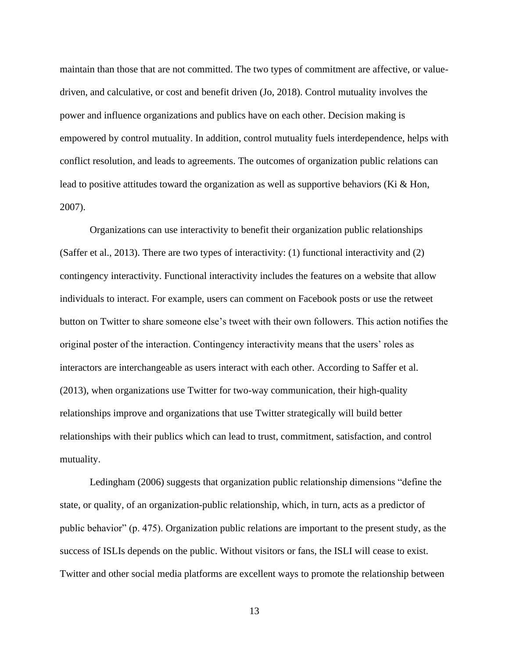maintain than those that are not committed. The two types of commitment are affective, or valuedriven, and calculative, or cost and benefit driven (Jo, 2018). Control mutuality involves the power and influence organizations and publics have on each other. Decision making is empowered by control mutuality. In addition, control mutuality fuels interdependence, helps with conflict resolution, and leads to agreements. The outcomes of organization public relations can lead to positive attitudes toward the organization as well as supportive behaviors (Ki & Hon, 2007).

Organizations can use interactivity to benefit their organization public relationships (Saffer et al., 2013). There are two types of interactivity: (1) functional interactivity and (2) contingency interactivity. Functional interactivity includes the features on a website that allow individuals to interact. For example, users can comment on Facebook posts or use the retweet button on Twitter to share someone else's tweet with their own followers. This action notifies the original poster of the interaction. Contingency interactivity means that the users' roles as interactors are interchangeable as users interact with each other. According to Saffer et al. (2013), when organizations use Twitter for two-way communication, their high-quality relationships improve and organizations that use Twitter strategically will build better relationships with their publics which can lead to trust, commitment, satisfaction, and control mutuality.

Ledingham (2006) suggests that organization public relationship dimensions "define the state, or quality, of an organization-public relationship, which, in turn, acts as a predictor of public behavior" (p. 475). Organization public relations are important to the present study, as the success of ISLIs depends on the public. Without visitors or fans, the ISLI will cease to exist. Twitter and other social media platforms are excellent ways to promote the relationship between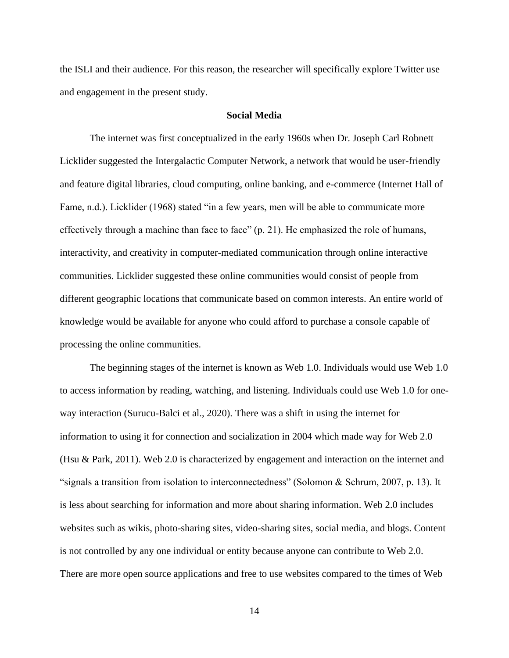the ISLI and their audience. For this reason, the researcher will specifically explore Twitter use and engagement in the present study.

# **Social Media**

<span id="page-22-0"></span>The internet was first conceptualized in the early 1960s when Dr. Joseph Carl Robnett Licklider suggested the Intergalactic Computer Network, a network that would be user-friendly and feature digital libraries, cloud computing, online banking, and e-commerce (Internet Hall of Fame, n.d.). Licklider (1968) stated "in a few years, men will be able to communicate more effectively through a machine than face to face" (p. 21). He emphasized the role of humans, interactivity, and creativity in computer-mediated communication through online interactive communities. Licklider suggested these online communities would consist of people from different geographic locations that communicate based on common interests. An entire world of knowledge would be available for anyone who could afford to purchase a console capable of processing the online communities.

The beginning stages of the internet is known as Web 1.0. Individuals would use Web 1.0 to access information by reading, watching, and listening. Individuals could use Web 1.0 for oneway interaction (Surucu-Balci et al., 2020). There was a shift in using the internet for information to using it for connection and socialization in 2004 which made way for Web 2.0 (Hsu & Park, 2011). Web 2.0 is characterized by engagement and interaction on the internet and "signals a transition from isolation to interconnectedness" (Solomon & Schrum, 2007, p. 13). It is less about searching for information and more about sharing information. Web 2.0 includes websites such as wikis, photo-sharing sites, video-sharing sites, social media, and blogs. Content is not controlled by any one individual or entity because anyone can contribute to Web 2.0. There are more open source applications and free to use websites compared to the times of Web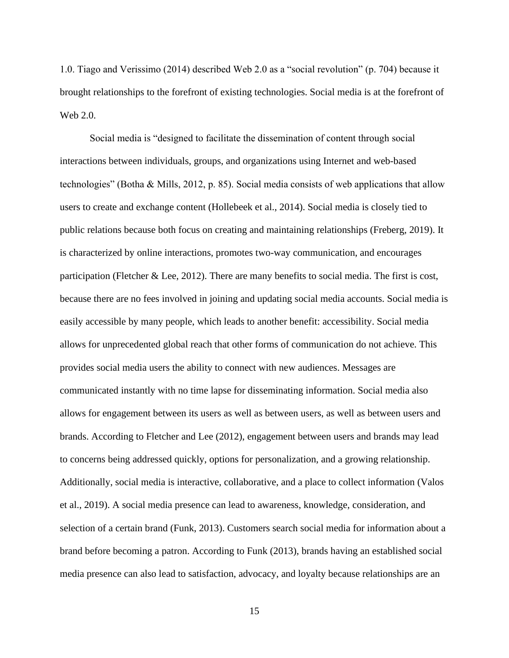1.0. Tiago and Verissimo (2014) described Web 2.0 as a "social revolution" (p. 704) because it brought relationships to the forefront of existing technologies. Social media is at the forefront of Web 2.0.

Social media is "designed to facilitate the dissemination of content through social interactions between individuals, groups, and organizations using Internet and web-based technologies" (Botha & Mills, 2012, p. 85). Social media consists of web applications that allow users to create and exchange content (Hollebeek et al., 2014). Social media is closely tied to public relations because both focus on creating and maintaining relationships (Freberg, 2019). It is characterized by online interactions, promotes two-way communication, and encourages participation (Fletcher & Lee, 2012). There are many benefits to social media. The first is cost, because there are no fees involved in joining and updating social media accounts. Social media is easily accessible by many people, which leads to another benefit: accessibility. Social media allows for unprecedented global reach that other forms of communication do not achieve. This provides social media users the ability to connect with new audiences. Messages are communicated instantly with no time lapse for disseminating information. Social media also allows for engagement between its users as well as between users, as well as between users and brands. According to Fletcher and Lee (2012), engagement between users and brands may lead to concerns being addressed quickly, options for personalization, and a growing relationship. Additionally, social media is interactive, collaborative, and a place to collect information (Valos et al., 2019). A social media presence can lead to awareness, knowledge, consideration, and selection of a certain brand (Funk, 2013). Customers search social media for information about a brand before becoming a patron. According to Funk (2013), brands having an established social media presence can also lead to satisfaction, advocacy, and loyalty because relationships are an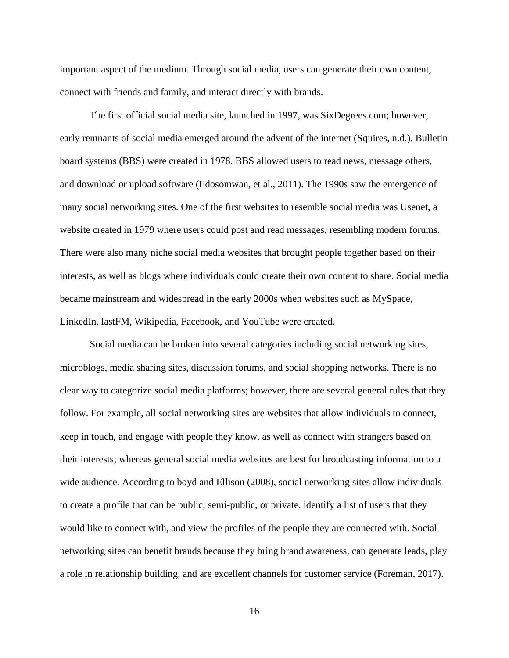important aspect of the medium. Through social media, users can generate their own content, connect with friends and family, and interact directly with brands.

The first official social media site, launched in 1997, was SixDegrees.com; however, early remnants of social media emerged around the advent of the internet (Squires, n.d.). Bulletin board systems (BBS) were created in 1978. BBS allowed users to read news, message others, and download or upload software (Edosomwan, et al., 2011). The 1990s saw the emergence of many social networking sites. One of the first websites to resemble social media was Usenet, a website created in 1979 where users could post and read messages, resembling modern forums. There were also many niche social media websites that brought people together based on their interests, as well as blogs where individuals could create their own content to share. Social media became mainstream and widespread in the early 2000s when websites such as MySpace, LinkedIn, lastFM, Wikipedia, Facebook, and YouTube were created.

Social media can be broken into several categories including social networking sites, microblogs, media sharing sites, discussion forums, and social shopping networks. There is no clear way to categorize social media platforms; however, there are several general rules that they follow. For example, all social networking sites are websites that allow individuals to connect, keep in touch, and engage with people they know, as well as connect with strangers based on their interests; whereas general social media websites are best for broadcasting information to a wide audience. According to boyd and Ellison (2008), social networking sites allow individuals to create a profile that can be public, semi-public, or private, identify a list of users that they would like to connect with, and view the profiles of the people they are connected with. Social networking sites can benefit brands because they bring brand awareness, can generate leads, play a role in relationship building, and are excellent channels for customer service (Foreman, 2017).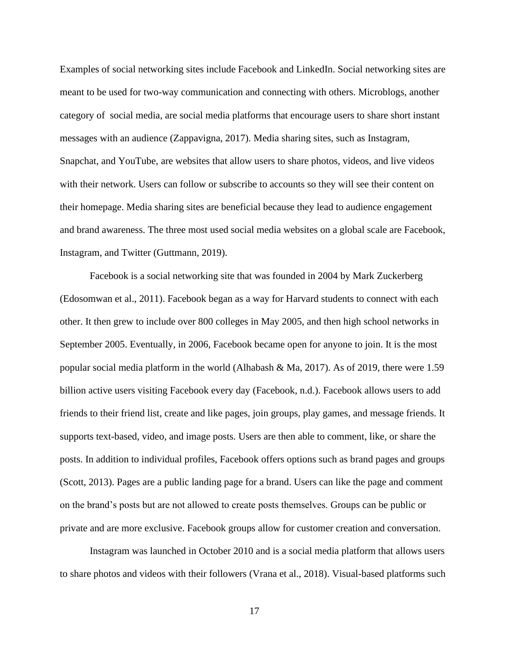Examples of social networking sites include Facebook and LinkedIn. Social networking sites are meant to be used for two-way communication and connecting with others. Microblogs, another category of social media, are social media platforms that encourage users to share short instant messages with an audience (Zappavigna, 2017). Media sharing sites, such as Instagram, Snapchat, and YouTube, are websites that allow users to share photos, videos, and live videos with their network. Users can follow or subscribe to accounts so they will see their content on their homepage. Media sharing sites are beneficial because they lead to audience engagement and brand awareness. The three most used social media websites on a global scale are Facebook, Instagram, and Twitter (Guttmann, 2019).

Facebook is a social networking site that was founded in 2004 by Mark Zuckerberg (Edosomwan et al., 2011). Facebook began as a way for Harvard students to connect with each other. It then grew to include over 800 colleges in May 2005, and then high school networks in September 2005. Eventually, in 2006, Facebook became open for anyone to join. It is the most popular social media platform in the world (Alhabash & Ma, 2017). As of 2019, there were 1.59 billion active users visiting Facebook every day (Facebook, n.d.). Facebook allows users to add friends to their friend list, create and like pages, join groups, play games, and message friends. It supports text-based, video, and image posts. Users are then able to comment, like, or share the posts. In addition to individual profiles, Facebook offers options such as brand pages and groups (Scott, 2013). Pages are a public landing page for a brand. Users can like the page and comment on the brand's posts but are not allowed to create posts themselves. Groups can be public or private and are more exclusive. Facebook groups allow for customer creation and conversation.

Instagram was launched in October 2010 and is a social media platform that allows users to share photos and videos with their followers (Vrana et al., 2018). Visual-based platforms such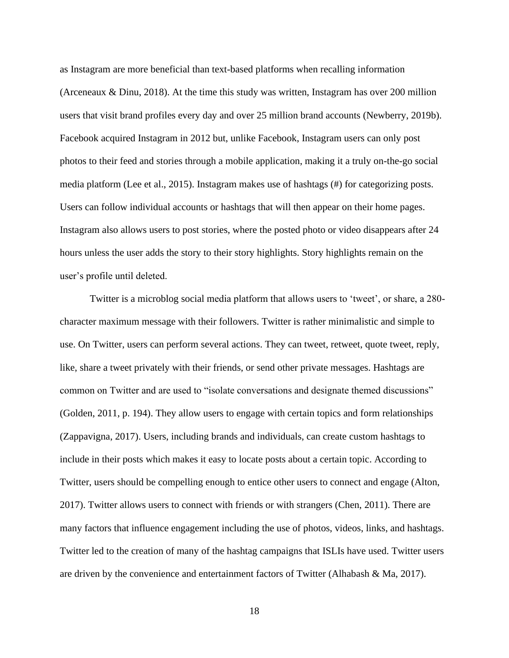as Instagram are more beneficial than text-based platforms when recalling information (Arceneaux & Dinu, 2018). At the time this study was written, Instagram has over 200 million users that visit brand profiles every day and over 25 million brand accounts (Newberry, 2019b). Facebook acquired Instagram in 2012 but, unlike Facebook, Instagram users can only post photos to their feed and stories through a mobile application, making it a truly on-the-go social media platform (Lee et al., 2015). Instagram makes use of hashtags (#) for categorizing posts. Users can follow individual accounts or hashtags that will then appear on their home pages. Instagram also allows users to post stories, where the posted photo or video disappears after 24 hours unless the user adds the story to their story highlights. Story highlights remain on the user's profile until deleted.

Twitter is a microblog social media platform that allows users to 'tweet', or share, a 280 character maximum message with their followers. Twitter is rather minimalistic and simple to use. On Twitter, users can perform several actions. They can tweet, retweet, quote tweet, reply, like, share a tweet privately with their friends, or send other private messages. Hashtags are common on Twitter and are used to "isolate conversations and designate themed discussions" (Golden, 2011, p. 194). They allow users to engage with certain topics and form relationships (Zappavigna, 2017). Users, including brands and individuals, can create custom hashtags to include in their posts which makes it easy to locate posts about a certain topic. According to Twitter, users should be compelling enough to entice other users to connect and engage (Alton, 2017). Twitter allows users to connect with friends or with strangers (Chen, 2011). There are many factors that influence engagement including the use of photos, videos, links, and hashtags. Twitter led to the creation of many of the hashtag campaigns that ISLIs have used. Twitter users are driven by the convenience and entertainment factors of Twitter (Alhabash & Ma, 2017).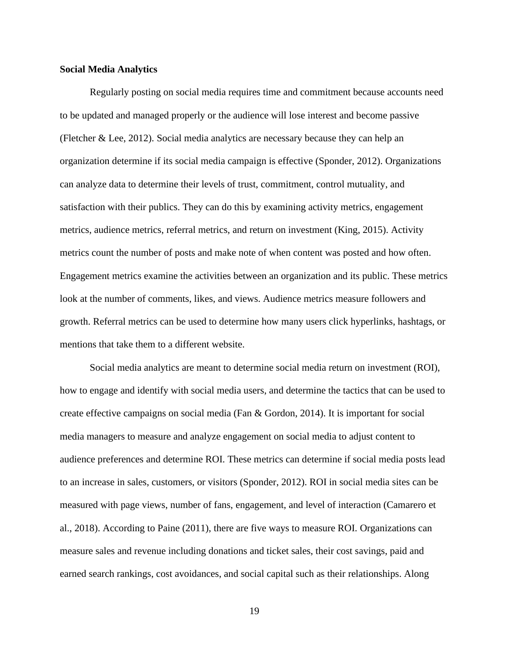### **Social Media Analytics**

Regularly posting on social media requires time and commitment because accounts need to be updated and managed properly or the audience will lose interest and become passive (Fletcher & Lee, 2012). Social media analytics are necessary because they can help an organization determine if its social media campaign is effective (Sponder, 2012). Organizations can analyze data to determine their levels of trust, commitment, control mutuality, and satisfaction with their publics. They can do this by examining activity metrics, engagement metrics, audience metrics, referral metrics, and return on investment (King, 2015). Activity metrics count the number of posts and make note of when content was posted and how often. Engagement metrics examine the activities between an organization and its public. These metrics look at the number of comments, likes, and views. Audience metrics measure followers and growth. Referral metrics can be used to determine how many users click hyperlinks, hashtags, or mentions that take them to a different website.

Social media analytics are meant to determine social media return on investment (ROI), how to engage and identify with social media users, and determine the tactics that can be used to create effective campaigns on social media (Fan & Gordon, 2014). It is important for social media managers to measure and analyze engagement on social media to adjust content to audience preferences and determine ROI. These metrics can determine if social media posts lead to an increase in sales, customers, or visitors (Sponder, 2012). ROI in social media sites can be measured with page views, number of fans, engagement, and level of interaction (Camarero et al., 2018). According to Paine (2011), there are five ways to measure ROI. Organizations can measure sales and revenue including donations and ticket sales, their cost savings, paid and earned search rankings, cost avoidances, and social capital such as their relationships. Along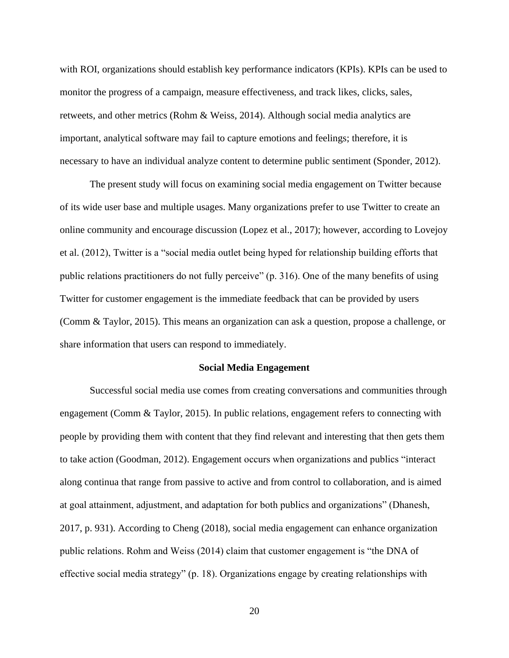with ROI, organizations should establish key performance indicators (KPIs). KPIs can be used to monitor the progress of a campaign, measure effectiveness, and track likes, clicks, sales, retweets, and other metrics (Rohm & Weiss, 2014). Although social media analytics are important, analytical software may fail to capture emotions and feelings; therefore, it is necessary to have an individual analyze content to determine public sentiment (Sponder, 2012).

The present study will focus on examining social media engagement on Twitter because of its wide user base and multiple usages. Many organizations prefer to use Twitter to create an online community and encourage discussion (Lopez et al., 2017); however, according to Lovejoy et al. (2012), Twitter is a "social media outlet being hyped for relationship building efforts that public relations practitioners do not fully perceive" (p. 316). One of the many benefits of using Twitter for customer engagement is the immediate feedback that can be provided by users (Comm & Taylor, 2015). This means an organization can ask a question, propose a challenge, or share information that users can respond to immediately.

### **Social Media Engagement**

<span id="page-28-0"></span>Successful social media use comes from creating conversations and communities through engagement (Comm & Taylor, 2015). In public relations, engagement refers to connecting with people by providing them with content that they find relevant and interesting that then gets them to take action (Goodman, 2012). Engagement occurs when organizations and publics "interact along continua that range from passive to active and from control to collaboration, and is aimed at goal attainment, adjustment, and adaptation for both publics and organizations" (Dhanesh, 2017, p. 931). According to Cheng (2018), social media engagement can enhance organization public relations. Rohm and Weiss (2014) claim that customer engagement is "the DNA of effective social media strategy" (p. 18). Organizations engage by creating relationships with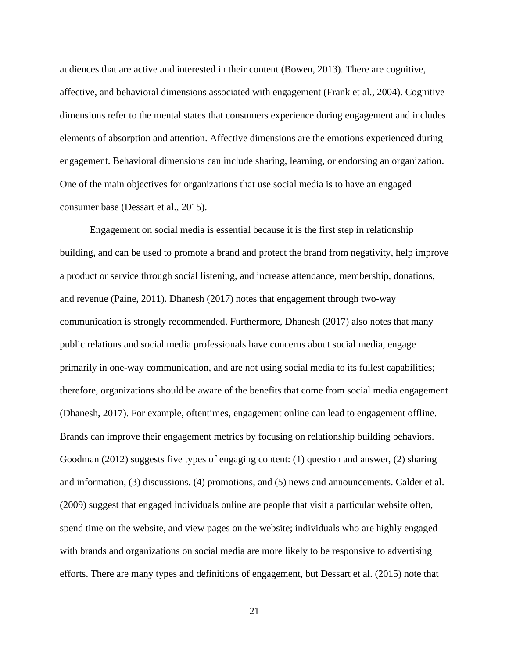audiences that are active and interested in their content (Bowen, 2013). There are cognitive, affective, and behavioral dimensions associated with engagement (Frank et al., 2004). Cognitive dimensions refer to the mental states that consumers experience during engagement and includes elements of absorption and attention. Affective dimensions are the emotions experienced during engagement. Behavioral dimensions can include sharing, learning, or endorsing an organization. One of the main objectives for organizations that use social media is to have an engaged consumer base (Dessart et al., 2015).

Engagement on social media is essential because it is the first step in relationship building, and can be used to promote a brand and protect the brand from negativity, help improve a product or service through social listening, and increase attendance, membership, donations, and revenue (Paine, 2011). Dhanesh (2017) notes that engagement through two-way communication is strongly recommended. Furthermore, Dhanesh (2017) also notes that many public relations and social media professionals have concerns about social media, engage primarily in one-way communication, and are not using social media to its fullest capabilities; therefore, organizations should be aware of the benefits that come from social media engagement (Dhanesh, 2017). For example, oftentimes, engagement online can lead to engagement offline. Brands can improve their engagement metrics by focusing on relationship building behaviors. Goodman (2012) suggests five types of engaging content: (1) question and answer, (2) sharing and information, (3) discussions, (4) promotions, and (5) news and announcements. Calder et al. (2009) suggest that engaged individuals online are people that visit a particular website often, spend time on the website, and view pages on the website; individuals who are highly engaged with brands and organizations on social media are more likely to be responsive to advertising efforts. There are many types and definitions of engagement, but Dessart et al. (2015) note that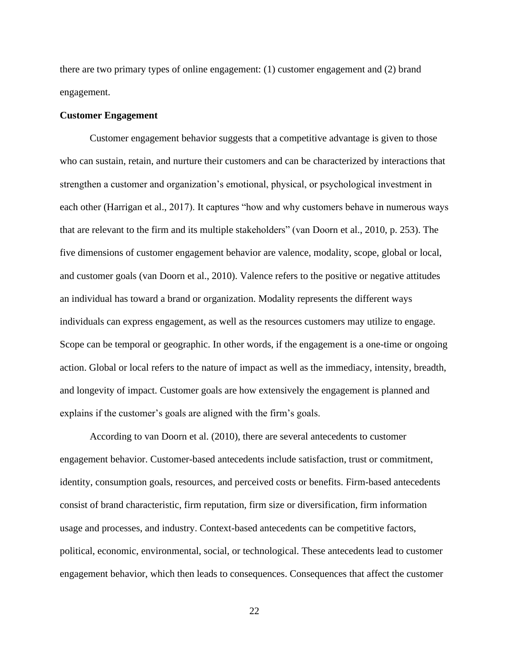there are two primary types of online engagement: (1) customer engagement and (2) brand engagement.

### **Customer Engagement**

Customer engagement behavior suggests that a competitive advantage is given to those who can sustain, retain, and nurture their customers and can be characterized by interactions that strengthen a customer and organization's emotional, physical, or psychological investment in each other (Harrigan et al., 2017). It captures "how and why customers behave in numerous ways that are relevant to the firm and its multiple stakeholders" (van Doorn et al., 2010, p. 253). The five dimensions of customer engagement behavior are valence, modality, scope, global or local, and customer goals (van Doorn et al., 2010). Valence refers to the positive or negative attitudes an individual has toward a brand or organization. Modality represents the different ways individuals can express engagement, as well as the resources customers may utilize to engage. Scope can be temporal or geographic. In other words, if the engagement is a one-time or ongoing action. Global or local refers to the nature of impact as well as the immediacy, intensity, breadth, and longevity of impact. Customer goals are how extensively the engagement is planned and explains if the customer's goals are aligned with the firm's goals.

According to van Doorn et al. (2010), there are several antecedents to customer engagement behavior. Customer-based antecedents include satisfaction, trust or commitment, identity, consumption goals, resources, and perceived costs or benefits. Firm-based antecedents consist of brand characteristic, firm reputation, firm size or diversification, firm information usage and processes, and industry. Context-based antecedents can be competitive factors, political, economic, environmental, social, or technological. These antecedents lead to customer engagement behavior, which then leads to consequences. Consequences that affect the customer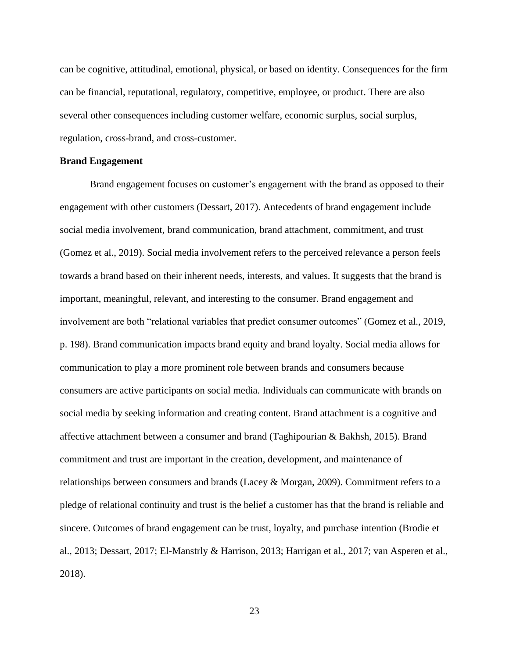can be cognitive, attitudinal, emotional, physical, or based on identity. Consequences for the firm can be financial, reputational, regulatory, competitive, employee, or product. There are also several other consequences including customer welfare, economic surplus, social surplus, regulation, cross-brand, and cross-customer.

### **Brand Engagement**

Brand engagement focuses on customer's engagement with the brand as opposed to their engagement with other customers (Dessart, 2017). Antecedents of brand engagement include social media involvement, brand communication, brand attachment, commitment, and trust (Gomez et al., 2019). Social media involvement refers to the perceived relevance a person feels towards a brand based on their inherent needs, interests, and values. It suggests that the brand is important, meaningful, relevant, and interesting to the consumer. Brand engagement and involvement are both "relational variables that predict consumer outcomes" (Gomez et al., 2019, p. 198). Brand communication impacts brand equity and brand loyalty. Social media allows for communication to play a more prominent role between brands and consumers because consumers are active participants on social media. Individuals can communicate with brands on social media by seeking information and creating content. Brand attachment is a cognitive and affective attachment between a consumer and brand (Taghipourian & Bakhsh, 2015). Brand commitment and trust are important in the creation, development, and maintenance of relationships between consumers and brands (Lacey & Morgan, 2009). Commitment refers to a pledge of relational continuity and trust is the belief a customer has that the brand is reliable and sincere. Outcomes of brand engagement can be trust, loyalty, and purchase intention (Brodie et al., 2013; Dessart, 2017; El-Manstrly & Harrison, 2013; Harrigan et al., 2017; van Asperen et al., 2018).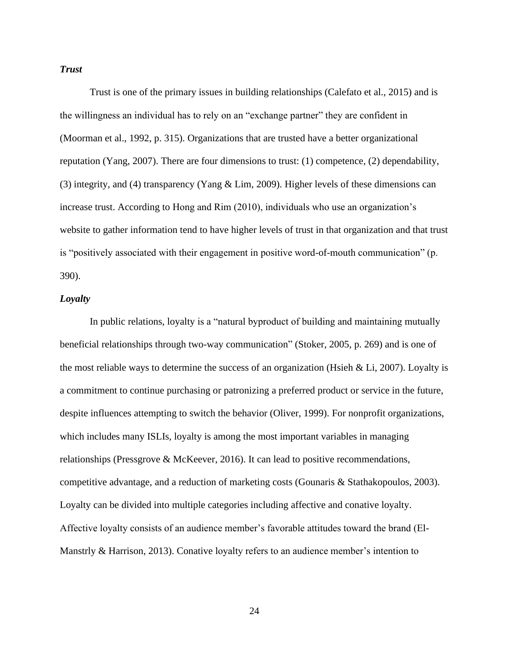# *Trust*

Trust is one of the primary issues in building relationships (Calefato et al., 2015) and is the willingness an individual has to rely on an "exchange partner" they are confident in (Moorman et al., 1992, p. 315). Organizations that are trusted have a better organizational reputation (Yang, 2007). There are four dimensions to trust: (1) competence, (2) dependability, (3) integrity, and (4) transparency (Yang & Lim, 2009). Higher levels of these dimensions can increase trust. According to Hong and Rim (2010), individuals who use an organization's website to gather information tend to have higher levels of trust in that organization and that trust is "positively associated with their engagement in positive word-of-mouth communication" (p. 390).

## *Loyalty*

In public relations, loyalty is a "natural byproduct of building and maintaining mutually beneficial relationships through two-way communication" (Stoker, 2005, p. 269) and is one of the most reliable ways to determine the success of an organization (Hsieh & Li, 2007). Loyalty is a commitment to continue purchasing or patronizing a preferred product or service in the future, despite influences attempting to switch the behavior (Oliver, 1999). For nonprofit organizations, which includes many ISLIs, loyalty is among the most important variables in managing relationships (Pressgrove & McKeever, 2016). It can lead to positive recommendations, competitive advantage, and a reduction of marketing costs (Gounaris & Stathakopoulos, 2003). Loyalty can be divided into multiple categories including affective and conative loyalty. Affective loyalty consists of an audience member's favorable attitudes toward the brand (El-Manstrly & Harrison, 2013). Conative loyalty refers to an audience member's intention to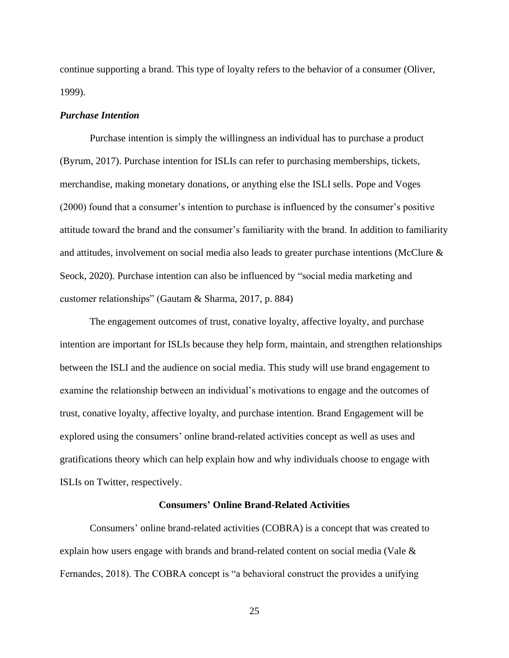continue supporting a brand. This type of loyalty refers to the behavior of a consumer (Oliver, 1999).

## *Purchase Intention*

Purchase intention is simply the willingness an individual has to purchase a product (Byrum, 2017). Purchase intention for ISLIs can refer to purchasing memberships, tickets, merchandise, making monetary donations, or anything else the ISLI sells. Pope and Voges (2000) found that a consumer's intention to purchase is influenced by the consumer's positive attitude toward the brand and the consumer's familiarity with the brand. In addition to familiarity and attitudes, involvement on social media also leads to greater purchase intentions (McClure & Seock, 2020). Purchase intention can also be influenced by "social media marketing and customer relationships" (Gautam & Sharma, 2017, p. 884)

The engagement outcomes of trust, conative loyalty, affective loyalty, and purchase intention are important for ISLIs because they help form, maintain, and strengthen relationships between the ISLI and the audience on social media. This study will use brand engagement to examine the relationship between an individual's motivations to engage and the outcomes of trust, conative loyalty, affective loyalty, and purchase intention. Brand Engagement will be explored using the consumers' online brand-related activities concept as well as uses and gratifications theory which can help explain how and why individuals choose to engage with ISLIs on Twitter, respectively.

#### **Consumers' Online Brand-Related Activities**

<span id="page-33-0"></span>Consumers' online brand-related activities (COBRA) is a concept that was created to explain how users engage with brands and brand-related content on social media (Vale & Fernandes, 2018). The COBRA concept is "a behavioral construct the provides a unifying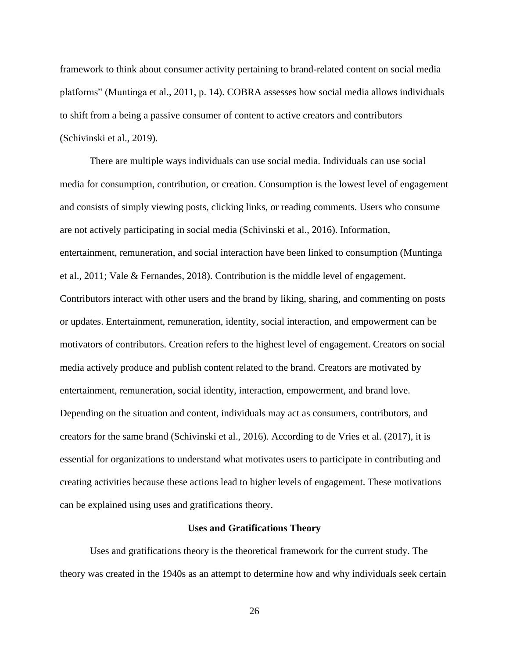framework to think about consumer activity pertaining to brand-related content on social media platforms" (Muntinga et al., 2011, p. 14). COBRA assesses how social media allows individuals to shift from a being a passive consumer of content to active creators and contributors (Schivinski et al., 2019).

There are multiple ways individuals can use social media. Individuals can use social media for consumption, contribution, or creation. Consumption is the lowest level of engagement and consists of simply viewing posts, clicking links, or reading comments. Users who consume are not actively participating in social media (Schivinski et al., 2016). Information, entertainment, remuneration, and social interaction have been linked to consumption (Muntinga et al., 2011; Vale & Fernandes, 2018). Contribution is the middle level of engagement. Contributors interact with other users and the brand by liking, sharing, and commenting on posts or updates. Entertainment, remuneration, identity, social interaction, and empowerment can be motivators of contributors. Creation refers to the highest level of engagement. Creators on social media actively produce and publish content related to the brand. Creators are motivated by entertainment, remuneration, social identity, interaction, empowerment, and brand love. Depending on the situation and content, individuals may act as consumers, contributors, and creators for the same brand (Schivinski et al., 2016). According to de Vries et al. (2017), it is essential for organizations to understand what motivates users to participate in contributing and creating activities because these actions lead to higher levels of engagement. These motivations can be explained using uses and gratifications theory.

#### **Uses and Gratifications Theory**

<span id="page-34-0"></span>Uses and gratifications theory is the theoretical framework for the current study. The theory was created in the 1940s as an attempt to determine how and why individuals seek certain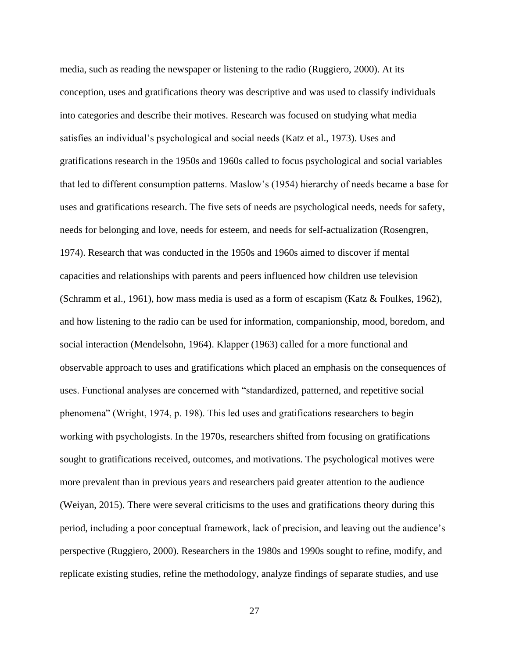media, such as reading the newspaper or listening to the radio (Ruggiero, 2000). At its conception, uses and gratifications theory was descriptive and was used to classify individuals into categories and describe their motives. Research was focused on studying what media satisfies an individual's psychological and social needs (Katz et al., 1973). Uses and gratifications research in the 1950s and 1960s called to focus psychological and social variables that led to different consumption patterns. Maslow's (1954) hierarchy of needs became a base for uses and gratifications research. The five sets of needs are psychological needs, needs for safety, needs for belonging and love, needs for esteem, and needs for self-actualization (Rosengren, 1974). Research that was conducted in the 1950s and 1960s aimed to discover if mental capacities and relationships with parents and peers influenced how children use television (Schramm et al., 1961), how mass media is used as a form of escapism (Katz & Foulkes, 1962), and how listening to the radio can be used for information, companionship, mood, boredom, and social interaction (Mendelsohn, 1964). Klapper (1963) called for a more functional and observable approach to uses and gratifications which placed an emphasis on the consequences of uses. Functional analyses are concerned with "standardized, patterned, and repetitive social phenomena" (Wright, 1974, p. 198). This led uses and gratifications researchers to begin working with psychologists. In the 1970s, researchers shifted from focusing on gratifications sought to gratifications received, outcomes, and motivations. The psychological motives were more prevalent than in previous years and researchers paid greater attention to the audience (Weiyan, 2015). There were several criticisms to the uses and gratifications theory during this period, including a poor conceptual framework, lack of precision, and leaving out the audience's perspective (Ruggiero, 2000). Researchers in the 1980s and 1990s sought to refine, modify, and replicate existing studies, refine the methodology, analyze findings of separate studies, and use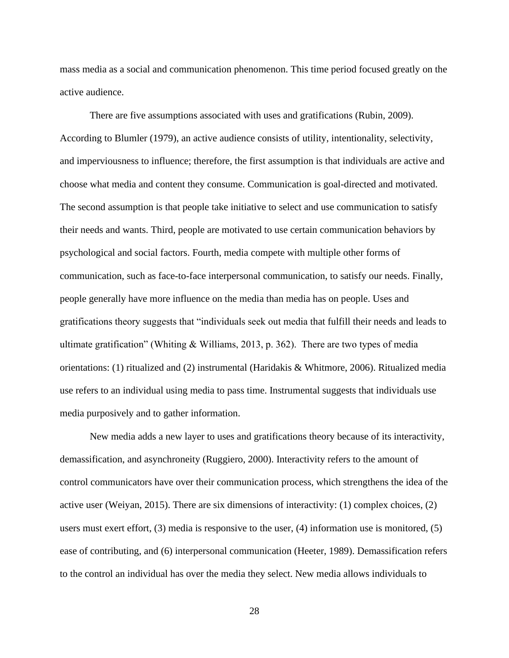mass media as a social and communication phenomenon. This time period focused greatly on the active audience.

There are five assumptions associated with uses and gratifications (Rubin, 2009). According to Blumler (1979), an active audience consists of utility, intentionality, selectivity, and imperviousness to influence; therefore, the first assumption is that individuals are active and choose what media and content they consume. Communication is goal-directed and motivated. The second assumption is that people take initiative to select and use communication to satisfy their needs and wants. Third, people are motivated to use certain communication behaviors by psychological and social factors. Fourth, media compete with multiple other forms of communication, such as face-to-face interpersonal communication, to satisfy our needs. Finally, people generally have more influence on the media than media has on people. Uses and gratifications theory suggests that "individuals seek out media that fulfill their needs and leads to ultimate gratification" (Whiting & Williams, 2013, p. 362). There are two types of media orientations: (1) ritualized and (2) instrumental (Haridakis & Whitmore, 2006). Ritualized media use refers to an individual using media to pass time. Instrumental suggests that individuals use media purposively and to gather information.

New media adds a new layer to uses and gratifications theory because of its interactivity, demassification, and asynchroneity (Ruggiero, 2000). Interactivity refers to the amount of control communicators have over their communication process, which strengthens the idea of the active user (Weiyan, 2015). There are six dimensions of interactivity: (1) complex choices, (2) users must exert effort, (3) media is responsive to the user, (4) information use is monitored, (5) ease of contributing, and (6) interpersonal communication (Heeter, 1989). Demassification refers to the control an individual has over the media they select. New media allows individuals to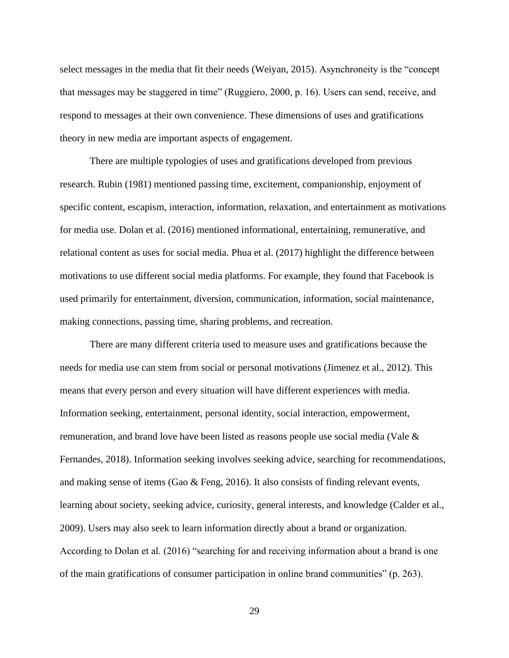select messages in the media that fit their needs (Weiyan, 2015). Asynchroneity is the "concept that messages may be staggered in time" (Ruggiero, 2000, p. 16). Users can send, receive, and respond to messages at their own convenience. These dimensions of uses and gratifications theory in new media are important aspects of engagement.

There are multiple typologies of uses and gratifications developed from previous research. Rubin (1981) mentioned passing time, excitement, companionship, enjoyment of specific content, escapism, interaction, information, relaxation, and entertainment as motivations for media use. Dolan et al. (2016) mentioned informational, entertaining, remunerative, and relational content as uses for social media. Phua et al. (2017) highlight the difference between motivations to use different social media platforms. For example, they found that Facebook is used primarily for entertainment, diversion, communication, information, social maintenance, making connections, passing time, sharing problems, and recreation.

There are many different criteria used to measure uses and gratifications because the needs for media use can stem from social or personal motivations (Jimenez et al., 2012). This means that every person and every situation will have different experiences with media. Information seeking, entertainment, personal identity, social interaction, empowerment, remuneration, and brand love have been listed as reasons people use social media (Vale & Fernandes, 2018). Information seeking involves seeking advice, searching for recommendations, and making sense of items (Gao & Feng, 2016). It also consists of finding relevant events, learning about society, seeking advice, curiosity, general interests, and knowledge (Calder et al., 2009). Users may also seek to learn information directly about a brand or organization. According to Dolan et al. (2016) "searching for and receiving information about a brand is one of the main gratifications of consumer participation in online brand communities" (p. 263).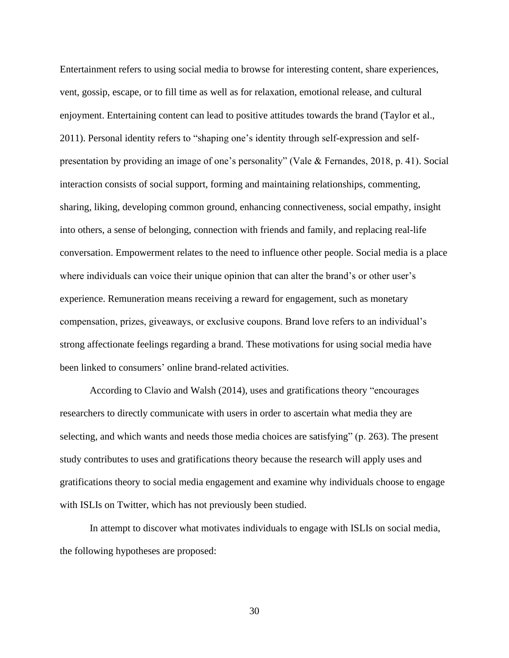Entertainment refers to using social media to browse for interesting content, share experiences, vent, gossip, escape, or to fill time as well as for relaxation, emotional release, and cultural enjoyment. Entertaining content can lead to positive attitudes towards the brand (Taylor et al., 2011). Personal identity refers to "shaping one's identity through self-expression and selfpresentation by providing an image of one's personality" (Vale & Fernandes, 2018, p. 41). Social interaction consists of social support, forming and maintaining relationships, commenting, sharing, liking, developing common ground, enhancing connectiveness, social empathy, insight into others, a sense of belonging, connection with friends and family, and replacing real-life conversation. Empowerment relates to the need to influence other people. Social media is a place where individuals can voice their unique opinion that can alter the brand's or other user's experience. Remuneration means receiving a reward for engagement, such as monetary compensation, prizes, giveaways, or exclusive coupons. Brand love refers to an individual's strong affectionate feelings regarding a brand. These motivations for using social media have been linked to consumers' online brand-related activities.

According to Clavio and Walsh (2014), uses and gratifications theory "encourages researchers to directly communicate with users in order to ascertain what media they are selecting, and which wants and needs those media choices are satisfying" (p. 263). The present study contributes to uses and gratifications theory because the research will apply uses and gratifications theory to social media engagement and examine why individuals choose to engage with ISLIs on Twitter, which has not previously been studied.

In attempt to discover what motivates individuals to engage with ISLIs on social media, the following hypotheses are proposed: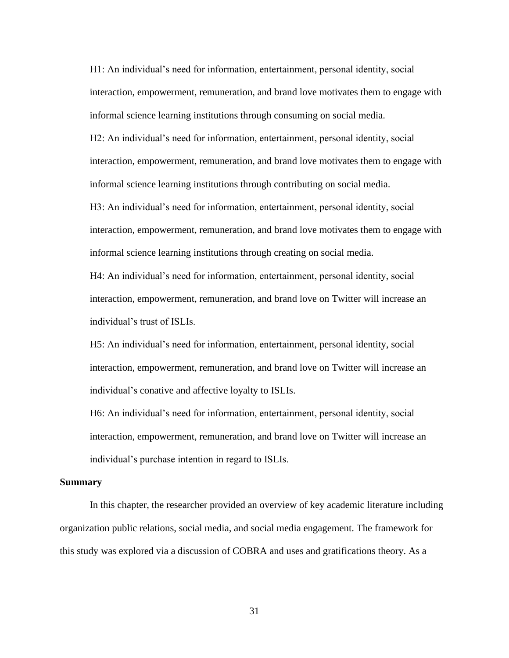H1: An individual's need for information, entertainment, personal identity, social interaction, empowerment, remuneration, and brand love motivates them to engage with informal science learning institutions through consuming on social media.

H2: An individual's need for information, entertainment, personal identity, social interaction, empowerment, remuneration, and brand love motivates them to engage with informal science learning institutions through contributing on social media.

H3: An individual's need for information, entertainment, personal identity, social interaction, empowerment, remuneration, and brand love motivates them to engage with informal science learning institutions through creating on social media.

H4: An individual's need for information, entertainment, personal identity, social interaction, empowerment, remuneration, and brand love on Twitter will increase an individual's trust of ISLIs.

H5: An individual's need for information, entertainment, personal identity, social interaction, empowerment, remuneration, and brand love on Twitter will increase an individual's conative and affective loyalty to ISLIs.

H6: An individual's need for information, entertainment, personal identity, social interaction, empowerment, remuneration, and brand love on Twitter will increase an individual's purchase intention in regard to ISLIs.

#### **Summary**

In this chapter, the researcher provided an overview of key academic literature including organization public relations, social media, and social media engagement. The framework for this study was explored via a discussion of COBRA and uses and gratifications theory. As a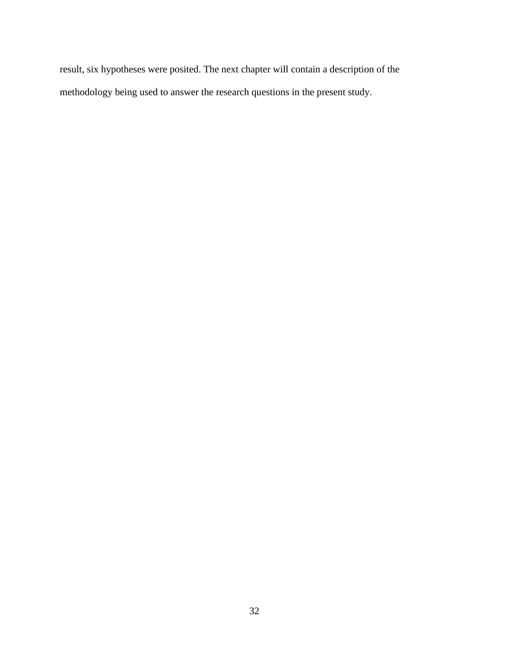result, six hypotheses were posited. The next chapter will contain a description of the methodology being used to answer the research questions in the present study.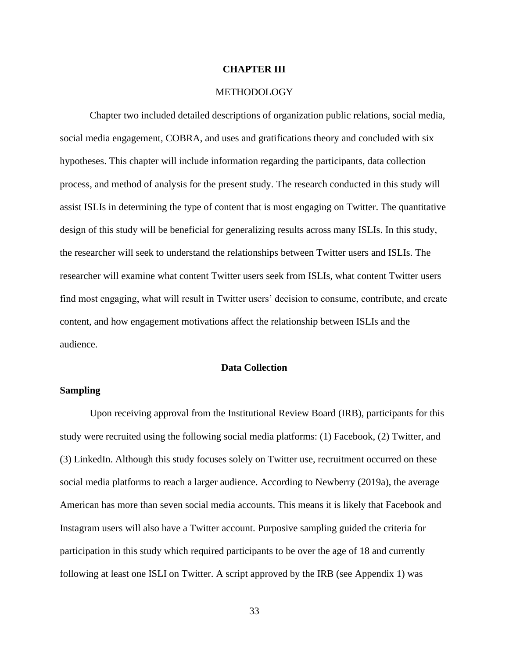## **CHAPTER III**

## METHODOLOGY

Chapter two included detailed descriptions of organization public relations, social media, social media engagement, COBRA, and uses and gratifications theory and concluded with six hypotheses. This chapter will include information regarding the participants, data collection process, and method of analysis for the present study. The research conducted in this study will assist ISLIs in determining the type of content that is most engaging on Twitter. The quantitative design of this study will be beneficial for generalizing results across many ISLIs. In this study, the researcher will seek to understand the relationships between Twitter users and ISLIs. The researcher will examine what content Twitter users seek from ISLIs, what content Twitter users find most engaging, what will result in Twitter users' decision to consume, contribute, and create content, and how engagement motivations affect the relationship between ISLIs and the audience.

# **Data Collection**

## **Sampling**

Upon receiving approval from the Institutional Review Board (IRB), participants for this study were recruited using the following social media platforms: (1) Facebook, (2) Twitter, and (3) LinkedIn. Although this study focuses solely on Twitter use, recruitment occurred on these social media platforms to reach a larger audience. According to Newberry (2019a), the average American has more than seven social media accounts. This means it is likely that Facebook and Instagram users will also have a Twitter account. Purposive sampling guided the criteria for participation in this study which required participants to be over the age of 18 and currently following at least one ISLI on Twitter. A script approved by the IRB (see Appendix 1) was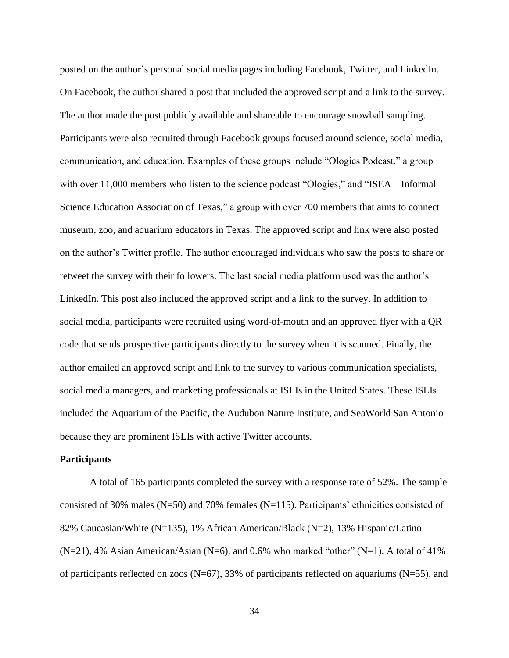posted on the author's personal social media pages including Facebook, Twitter, and LinkedIn. On Facebook, the author shared a post that included the approved script and a link to the survey. The author made the post publicly available and shareable to encourage snowball sampling. Participants were also recruited through Facebook groups focused around science, social media, communication, and education. Examples of these groups include "Ologies Podcast," a group with over 11,000 members who listen to the science podcast "Ologies," and "ISEA – Informal Science Education Association of Texas," a group with over 700 members that aims to connect museum, zoo, and aquarium educators in Texas. The approved script and link were also posted on the author's Twitter profile. The author encouraged individuals who saw the posts to share or retweet the survey with their followers. The last social media platform used was the author's LinkedIn. This post also included the approved script and a link to the survey. In addition to social media, participants were recruited using word-of-mouth and an approved flyer with a QR code that sends prospective participants directly to the survey when it is scanned. Finally, the author emailed an approved script and link to the survey to various communication specialists, social media managers, and marketing professionals at ISLIs in the United States. These ISLIs included the Aquarium of the Pacific, the Audubon Nature Institute, and SeaWorld San Antonio because they are prominent ISLIs with active Twitter accounts.

## **Participants**

A total of 165 participants completed the survey with a response rate of 52%. The sample consisted of 30% males (N=50) and 70% females (N=115). Participants' ethnicities consisted of 82% Caucasian/White (N=135), 1% African American/Black (N=2), 13% Hispanic/Latino  $(N=21)$ , 4% Asian American/Asian (N=6), and 0.6% who marked "other" (N=1). A total of 41% of participants reflected on zoos ( $N=67$ ), 33% of participants reflected on aquariums ( $N=55$ ), and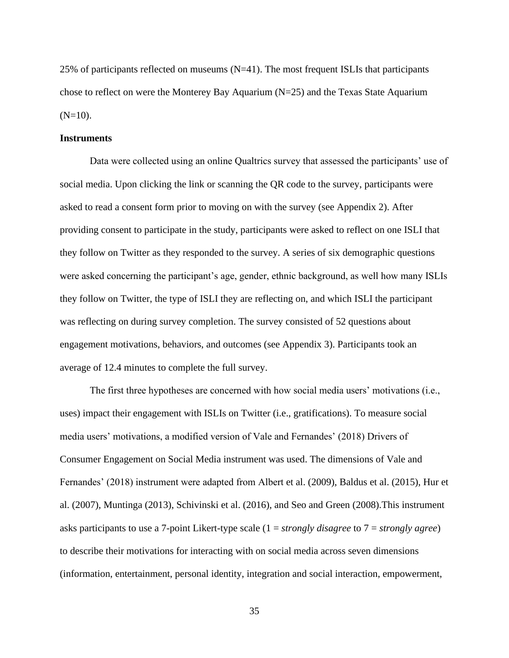25% of participants reflected on museums (N=41). The most frequent ISLIs that participants chose to reflect on were the Monterey Bay Aquarium (N=25) and the Texas State Aquarium  $(N=10)$ .

#### **Instruments**

Data were collected using an online Qualtrics survey that assessed the participants' use of social media. Upon clicking the link or scanning the QR code to the survey, participants were asked to read a consent form prior to moving on with the survey (see Appendix 2). After providing consent to participate in the study, participants were asked to reflect on one ISLI that they follow on Twitter as they responded to the survey. A series of six demographic questions were asked concerning the participant's age, gender, ethnic background, as well how many ISLIs they follow on Twitter, the type of ISLI they are reflecting on, and which ISLI the participant was reflecting on during survey completion. The survey consisted of 52 questions about engagement motivations, behaviors, and outcomes (see Appendix 3). Participants took an average of 12.4 minutes to complete the full survey.

The first three hypotheses are concerned with how social media users' motivations (i.e., uses) impact their engagement with ISLIs on Twitter (i.e., gratifications). To measure social media users' motivations, a modified version of Vale and Fernandes' (2018) Drivers of Consumer Engagement on Social Media instrument was used. The dimensions of Vale and Fernandes' (2018) instrument were adapted from Albert et al. (2009), Baldus et al. (2015), Hur et al. (2007), Muntinga (2013), Schivinski et al. (2016), and Seo and Green (2008).This instrument asks participants to use a 7-point Likert-type scale (1 = *strongly disagree* to 7 = *strongly agree*) to describe their motivations for interacting with on social media across seven dimensions (information, entertainment, personal identity, integration and social interaction, empowerment,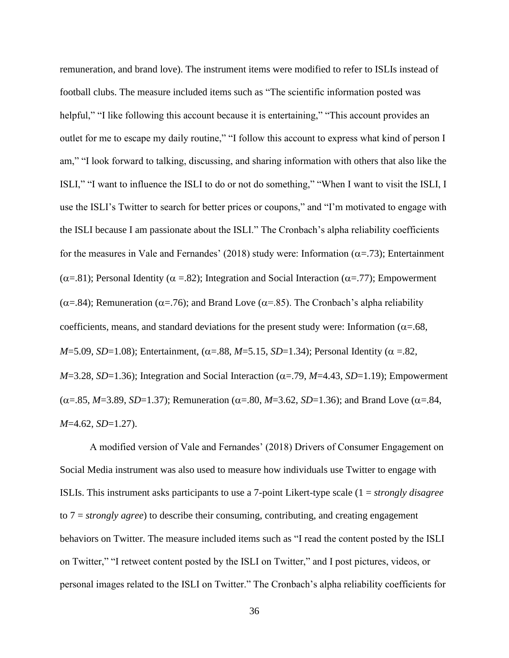remuneration, and brand love). The instrument items were modified to refer to ISLIs instead of football clubs. The measure included items such as "The scientific information posted was helpful," "I like following this account because it is entertaining," "This account provides an outlet for me to escape my daily routine," "I follow this account to express what kind of person I am," "I look forward to talking, discussing, and sharing information with others that also like the ISLI," "I want to influence the ISLI to do or not do something," "When I want to visit the ISLI, I use the ISLI's Twitter to search for better prices or coupons," and "I'm motivated to engage with the ISLI because I am passionate about the ISLI." The Cronbach's alpha reliability coefficients for the measures in Vale and Fernandes' (2018) study were: Information ( $\alpha$ =.73); Entertainment ( $\alpha$ =.81); Personal Identity ( $\alpha$  =.82); Integration and Social Interaction ( $\alpha$ =.77); Empowerment  $(\alpha=84)$ ; Remuneration ( $\alpha=76$ ); and Brand Love ( $\alpha=85$ ). The Cronbach's alpha reliability coefficients, means, and standard deviations for the present study were: Information ( $\alpha$ =.68, *M*=5.09, *SD*=1.08); Entertainment, ( $\alpha$ =.88, *M*=5.15, *SD*=1.34); Personal Identity ( $\alpha$  =.82,  $M=3.28$ , *SD*=1.36); Integration and Social Interaction ( $\alpha$ =.79, *M*=4.43, *SD*=1.19); Empowerment  $(\alpha = .85, M = 3.89, SD = 1.37)$ ; Remuneration ( $\alpha = .80, M = 3.62, SD = 1.36$ ); and Brand Love ( $\alpha = .84$ , *M*=4.62, *SD*=1.27).

A modified version of Vale and Fernandes' (2018) Drivers of Consumer Engagement on Social Media instrument was also used to measure how individuals use Twitter to engage with ISLIs. This instrument asks participants to use a 7-point Likert-type scale (1 = *strongly disagree*  to 7 = *strongly agree*) to describe their consuming, contributing, and creating engagement behaviors on Twitter. The measure included items such as "I read the content posted by the ISLI on Twitter," "I retweet content posted by the ISLI on Twitter," and I post pictures, videos, or personal images related to the ISLI on Twitter." The Cronbach's alpha reliability coefficients for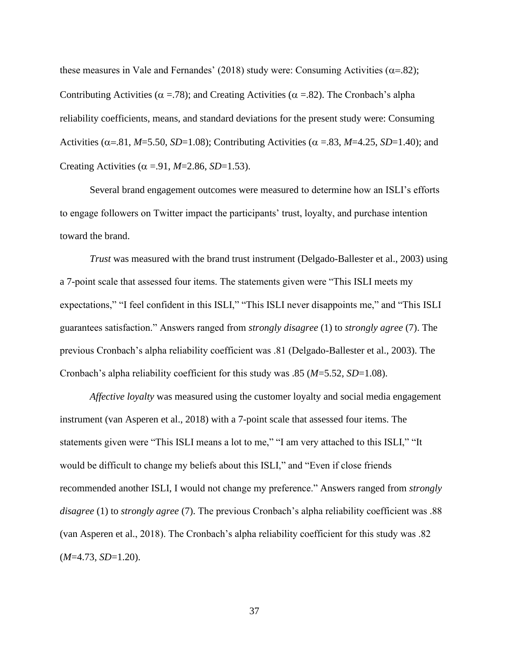these measures in Vale and Fernandes' (2018) study were: Consuming Activities ( $\alpha$ =.82); Contributing Activities ( $\alpha$  = 78); and Creating Activities ( $\alpha$  = 82). The Cronbach's alpha reliability coefficients, means, and standard deviations for the present study were: Consuming Activities ( $\alpha$ =.81, *M*=5.50, *SD*=1.08); Contributing Activities ( $\alpha$  =.83, *M*=4.25, *SD*=1.40); and Creating Activities ( $\alpha$  =.91, *M*=2.86, *SD*=1.53).

Several brand engagement outcomes were measured to determine how an ISLI's efforts to engage followers on Twitter impact the participants' trust, loyalty, and purchase intention toward the brand.

*Trust* was measured with the brand trust instrument (Delgado-Ballester et al., 2003) using a 7-point scale that assessed four items. The statements given were "This ISLI meets my expectations," "I feel confident in this ISLI," "This ISLI never disappoints me," and "This ISLI guarantees satisfaction." Answers ranged from *strongly disagree* (1) to *strongly agree* (7). The previous Cronbach's alpha reliability coefficient was .81 (Delgado-Ballester et al., 2003). The Cronbach's alpha reliability coefficient for this study was .85 (*M*=5.52, *SD*=1.08).

*Affective loyalty* was measured using the customer loyalty and social media engagement instrument (van Asperen et al., 2018) with a 7-point scale that assessed four items. The statements given were "This ISLI means a lot to me," "I am very attached to this ISLI," "It would be difficult to change my beliefs about this ISLI," and "Even if close friends recommended another ISLI, I would not change my preference." Answers ranged from *strongly disagree* (1) to *strongly agree* (7). The previous Cronbach's alpha reliability coefficient was .88 (van Asperen et al., 2018). The Cronbach's alpha reliability coefficient for this study was .82 (*M*=4.73, *SD*=1.20).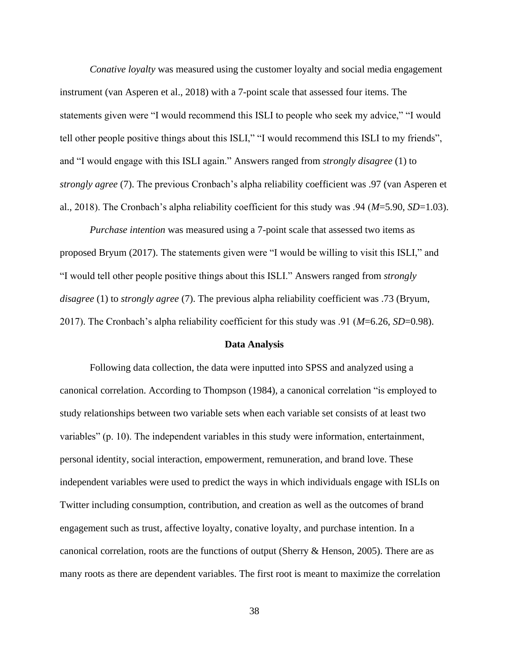*Conative loyalty* was measured using the customer loyalty and social media engagement instrument (van Asperen et al., 2018) with a 7-point scale that assessed four items. The statements given were "I would recommend this ISLI to people who seek my advice," "I would tell other people positive things about this ISLI," "I would recommend this ISLI to my friends", and "I would engage with this ISLI again." Answers ranged from *strongly disagree* (1) to *strongly agree* (7). The previous Cronbach's alpha reliability coefficient was .97 (van Asperen et al., 2018). The Cronbach's alpha reliability coefficient for this study was .94 (*M*=5.90, *SD*=1.03).

*Purchase intention* was measured using a 7-point scale that assessed two items as proposed Bryum (2017). The statements given were "I would be willing to visit this ISLI," and "I would tell other people positive things about this ISLI." Answers ranged from *strongly disagree* (1) to *strongly agree* (7). The previous alpha reliability coefficient was .73 (Bryum, 2017). The Cronbach's alpha reliability coefficient for this study was .91 (*M*=6.26, *SD*=0.98).

#### **Data Analysis**

Following data collection, the data were inputted into SPSS and analyzed using a canonical correlation. According to Thompson (1984), a canonical correlation "is employed to study relationships between two variable sets when each variable set consists of at least two variables" (p. 10). The independent variables in this study were information, entertainment, personal identity, social interaction, empowerment, remuneration, and brand love. These independent variables were used to predict the ways in which individuals engage with ISLIs on Twitter including consumption, contribution, and creation as well as the outcomes of brand engagement such as trust, affective loyalty, conative loyalty, and purchase intention. In a canonical correlation, roots are the functions of output (Sherry & Henson, 2005). There are as many roots as there are dependent variables. The first root is meant to maximize the correlation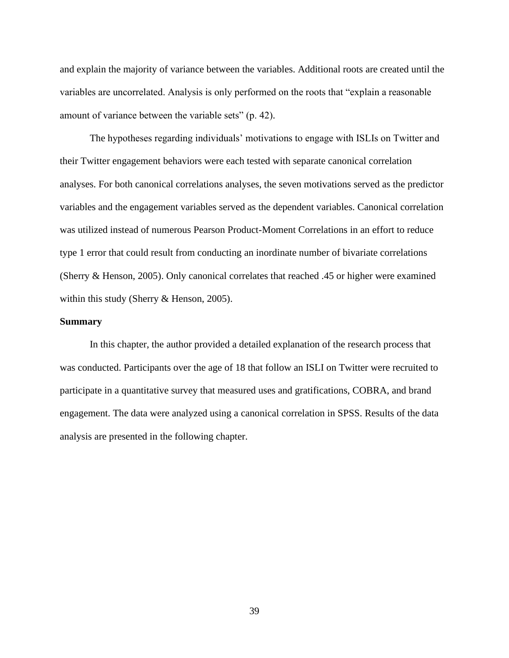and explain the majority of variance between the variables. Additional roots are created until the variables are uncorrelated. Analysis is only performed on the roots that "explain a reasonable amount of variance between the variable sets" (p. 42).

The hypotheses regarding individuals' motivations to engage with ISLIs on Twitter and their Twitter engagement behaviors were each tested with separate canonical correlation analyses. For both canonical correlations analyses, the seven motivations served as the predictor variables and the engagement variables served as the dependent variables. Canonical correlation was utilized instead of numerous Pearson Product-Moment Correlations in an effort to reduce type 1 error that could result from conducting an inordinate number of bivariate correlations (Sherry & Henson, 2005). Only canonical correlates that reached .45 or higher were examined within this study (Sherry & Henson, 2005).

## **Summary**

In this chapter, the author provided a detailed explanation of the research process that was conducted. Participants over the age of 18 that follow an ISLI on Twitter were recruited to participate in a quantitative survey that measured uses and gratifications, COBRA, and brand engagement. The data were analyzed using a canonical correlation in SPSS. Results of the data analysis are presented in the following chapter.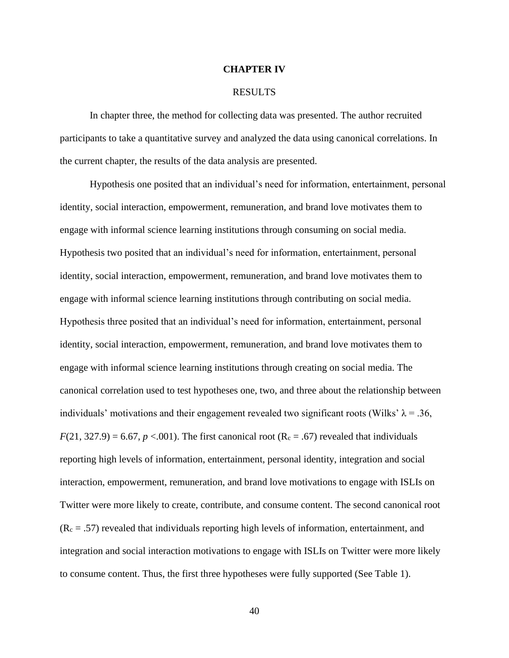## **CHAPTER IV**

#### RESULTS

In chapter three, the method for collecting data was presented. The author recruited participants to take a quantitative survey and analyzed the data using canonical correlations. In the current chapter, the results of the data analysis are presented.

Hypothesis one posited that an individual's need for information, entertainment, personal identity, social interaction, empowerment, remuneration, and brand love motivates them to engage with informal science learning institutions through consuming on social media. Hypothesis two posited that an individual's need for information, entertainment, personal identity, social interaction, empowerment, remuneration, and brand love motivates them to engage with informal science learning institutions through contributing on social media. Hypothesis three posited that an individual's need for information, entertainment, personal identity, social interaction, empowerment, remuneration, and brand love motivates them to engage with informal science learning institutions through creating on social media. The canonical correlation used to test hypotheses one, two, and three about the relationship between individuals' motivations and their engagement revealed two significant roots (Wilks'  $\lambda = 0.36$ ,  $F(21, 327.9) = 6.67$ ,  $p < .001$ ). The first canonical root (R<sub>c</sub> = .67) revealed that individuals reporting high levels of information, entertainment, personal identity, integration and social interaction, empowerment, remuneration, and brand love motivations to engage with ISLIs on Twitter were more likely to create, contribute, and consume content. The second canonical root  $(R<sub>c</sub> = .57)$  revealed that individuals reporting high levels of information, entertainment, and integration and social interaction motivations to engage with ISLIs on Twitter were more likely to consume content. Thus, the first three hypotheses were fully supported (See Table 1).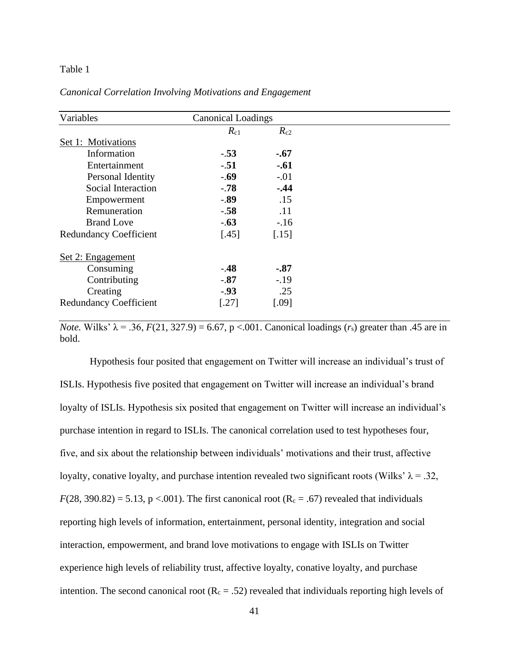## Table 1

| Variables                     | <b>Canonical Loadings</b> |          |  |
|-------------------------------|---------------------------|----------|--|
|                               | $R_{c1}$                  | $R_{c2}$ |  |
| Set 1: Motivations            |                           |          |  |
| Information                   | $-.53$                    | $-.67$   |  |
| Entertainment                 | $-.51$                    | $-.61$   |  |
| Personal Identity             | $-.69$                    | $-.01$   |  |
| Social Interaction            | $-78$                     | $-0.44$  |  |
| Empowerment                   | $-.89$                    | .15      |  |
| Remuneration                  | $-.58$                    | .11      |  |
| <b>Brand Love</b>             | $-.63$                    | $-16$    |  |
| <b>Redundancy Coefficient</b> | $[.45]$                   | $[.15]$  |  |
| Set 2: Engagement             |                           |          |  |
| Consuming                     | $-.48$                    | $-.87$   |  |
| Contributing                  | $-.87$                    | $-.19$   |  |
| Creating                      | $-.93$                    | .25      |  |
| <b>Redundancy Coefficient</b> | [.27]                     | [.09]    |  |

*Canonical Correlation Involving Motivations and Engagement*

*Note.* Wilks'  $\lambda = .36$ ,  $F(21, 327.9) = 6.67$ ,  $p < .001$ . Canonical loadings ( $r_s$ ) greater than .45 are in bold.

Hypothesis four posited that engagement on Twitter will increase an individual's trust of ISLIs. Hypothesis five posited that engagement on Twitter will increase an individual's brand loyalty of ISLIs. Hypothesis six posited that engagement on Twitter will increase an individual's purchase intention in regard to ISLIs. The canonical correlation used to test hypotheses four, five, and six about the relationship between individuals' motivations and their trust, affective loyalty, conative loyalty, and purchase intention revealed two significant roots (Wilks'  $\lambda = .32$ ,  $F(28, 390.82) = 5.13$ , p <.001). The first canonical root ( $R_c = .67$ ) revealed that individuals reporting high levels of information, entertainment, personal identity, integration and social interaction, empowerment, and brand love motivations to engage with ISLIs on Twitter experience high levels of reliability trust, affective loyalty, conative loyalty, and purchase intention. The second canonical root  $(R_c = .52)$  revealed that individuals reporting high levels of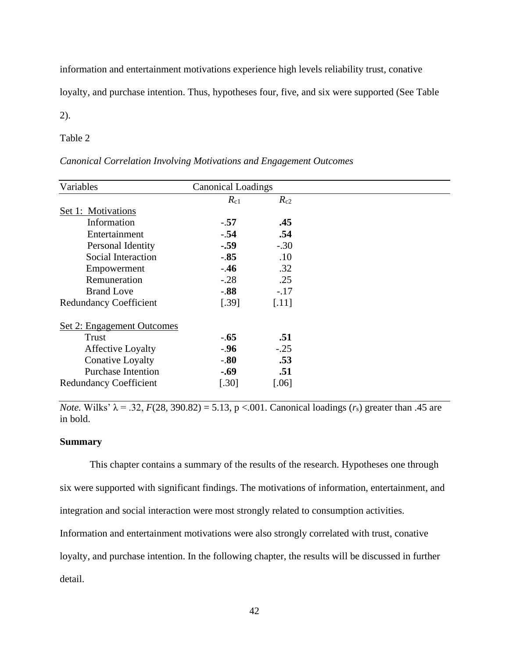information and entertainment motivations experience high levels reliability trust, conative

loyalty, and purchase intention. Thus, hypotheses four, five, and six were supported (See Table

2).

## Table 2

# *Canonical Correlation Involving Motivations and Engagement Outcomes*

| Variables                     | <b>Canonical Loadings</b> |                      |
|-------------------------------|---------------------------|----------------------|
|                               | $R_{c1}$                  | $R_{c2}$             |
| Set 1: Motivations            |                           |                      |
| Information                   | $-.57$                    | .45                  |
| Entertainment                 | $-.54$                    | .54                  |
| Personal Identity             | $-.59$                    | $-.30$               |
| Social Interaction            | $-.85$                    | .10                  |
| Empowerment                   | $-.46$                    | .32                  |
| Remuneration                  | $-.28$                    | .25                  |
| <b>Brand Love</b>             | $-0.88$                   | $-.17$               |
| <b>Redundancy Coefficient</b> | [.39]                     | $[.11]$              |
| Set 2: Engagement Outcomes    |                           |                      |
| <b>Trust</b>                  | $-.65$                    | .51                  |
| <b>Affective Loyalty</b>      | $-.96$                    | $-.25$               |
| <b>Conative Loyalty</b>       | $-0.80$                   | .53                  |
| <b>Purchase Intention</b>     | $-.69$                    | .51                  |
| <b>Redundancy Coefficient</b> | [.30]                     | $\left[ .06 \right]$ |

*Note.* Wilks'  $\lambda = .32$ ,  $F(28, 390.82) = 5.13$ ,  $p < .001$ . Canonical loadings ( $r_s$ ) greater than .45 are in bold.

## **Summary**

This chapter contains a summary of the results of the research. Hypotheses one through six were supported with significant findings. The motivations of information, entertainment, and integration and social interaction were most strongly related to consumption activities. Information and entertainment motivations were also strongly correlated with trust, conative loyalty, and purchase intention. In the following chapter, the results will be discussed in further

detail.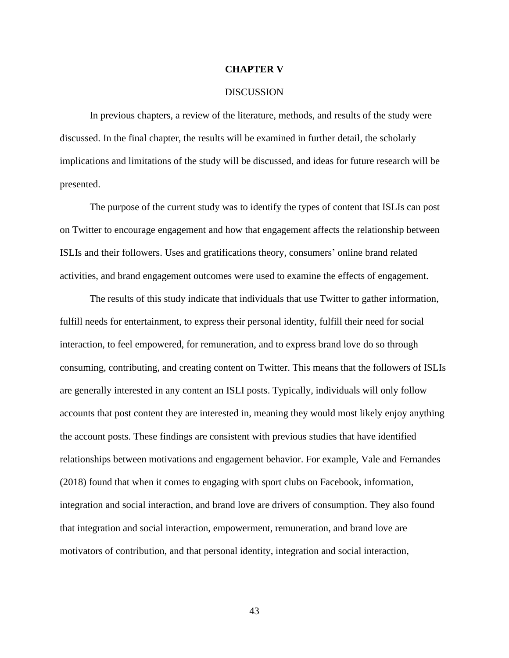## **CHAPTER V**

#### DISCUSSION

In previous chapters, a review of the literature, methods, and results of the study were discussed. In the final chapter, the results will be examined in further detail, the scholarly implications and limitations of the study will be discussed, and ideas for future research will be presented.

The purpose of the current study was to identify the types of content that ISLIs can post on Twitter to encourage engagement and how that engagement affects the relationship between ISLIs and their followers. Uses and gratifications theory, consumers' online brand related activities, and brand engagement outcomes were used to examine the effects of engagement.

The results of this study indicate that individuals that use Twitter to gather information, fulfill needs for entertainment, to express their personal identity, fulfill their need for social interaction, to feel empowered, for remuneration, and to express brand love do so through consuming, contributing, and creating content on Twitter. This means that the followers of ISLIs are generally interested in any content an ISLI posts. Typically, individuals will only follow accounts that post content they are interested in, meaning they would most likely enjoy anything the account posts. These findings are consistent with previous studies that have identified relationships between motivations and engagement behavior. For example, Vale and Fernandes (2018) found that when it comes to engaging with sport clubs on Facebook, information, integration and social interaction, and brand love are drivers of consumption. They also found that integration and social interaction, empowerment, remuneration, and brand love are motivators of contribution, and that personal identity, integration and social interaction,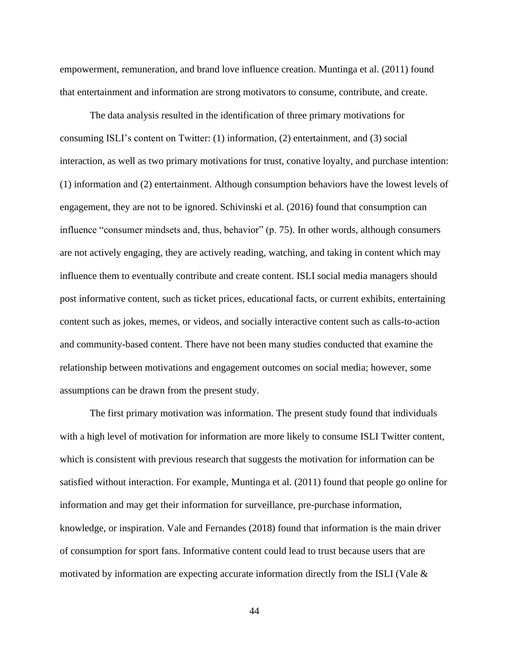empowerment, remuneration, and brand love influence creation. Muntinga et al. (2011) found that entertainment and information are strong motivators to consume, contribute, and create.

The data analysis resulted in the identification of three primary motivations for consuming ISLI's content on Twitter: (1) information, (2) entertainment, and (3) social interaction, as well as two primary motivations for trust, conative loyalty, and purchase intention: (1) information and (2) entertainment. Although consumption behaviors have the lowest levels of engagement, they are not to be ignored. Schivinski et al. (2016) found that consumption can influence "consumer mindsets and, thus, behavior" (p. 75). In other words, although consumers are not actively engaging, they are actively reading, watching, and taking in content which may influence them to eventually contribute and create content. ISLI social media managers should post informative content, such as ticket prices, educational facts, or current exhibits, entertaining content such as jokes, memes, or videos, and socially interactive content such as calls-to-action and community-based content. There have not been many studies conducted that examine the relationship between motivations and engagement outcomes on social media; however, some assumptions can be drawn from the present study.

The first primary motivation was information. The present study found that individuals with a high level of motivation for information are more likely to consume ISLI Twitter content, which is consistent with previous research that suggests the motivation for information can be satisfied without interaction. For example, Muntinga et al. (2011) found that people go online for information and may get their information for surveillance, pre-purchase information, knowledge, or inspiration. Vale and Fernandes (2018) found that information is the main driver of consumption for sport fans. Informative content could lead to trust because users that are motivated by information are expecting accurate information directly from the ISLI (Vale &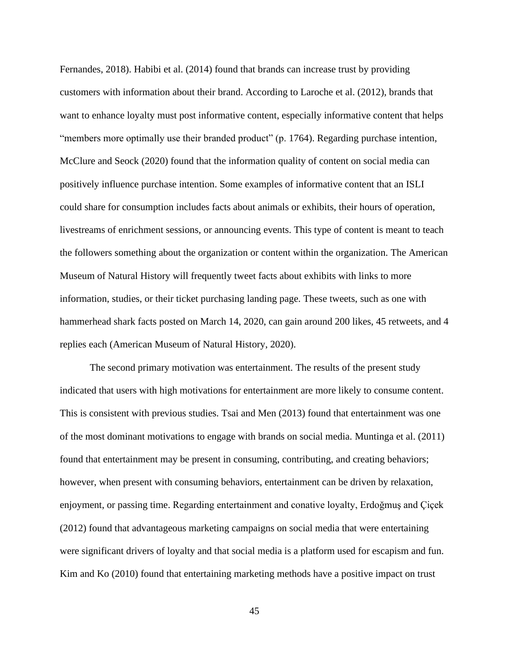Fernandes, 2018). Habibi et al. (2014) found that brands can increase trust by providing customers with information about their brand. According to Laroche et al. (2012), brands that want to enhance loyalty must post informative content, especially informative content that helps "members more optimally use their branded product" (p. 1764). Regarding purchase intention, McClure and Seock (2020) found that the information quality of content on social media can positively influence purchase intention. Some examples of informative content that an ISLI could share for consumption includes facts about animals or exhibits, their hours of operation, livestreams of enrichment sessions, or announcing events. This type of content is meant to teach the followers something about the organization or content within the organization. The American Museum of Natural History will frequently tweet facts about exhibits with links to more information, studies, or their ticket purchasing landing page. These tweets, such as one with hammerhead shark facts posted on March 14, 2020, can gain around 200 likes, 45 retweets, and 4 replies each (American Museum of Natural History, 2020).

The second primary motivation was entertainment. The results of the present study indicated that users with high motivations for entertainment are more likely to consume content. This is consistent with previous studies. Tsai and Men (2013) found that entertainment was one of the most dominant motivations to engage with brands on social media. Muntinga et al. (2011) found that entertainment may be present in consuming, contributing, and creating behaviors; however, when present with consuming behaviors, entertainment can be driven by relaxation, enjoyment, or passing time. Regarding entertainment and conative loyalty, Erdoğmuş and Çiçek (2012) found that advantageous marketing campaigns on social media that were entertaining were significant drivers of loyalty and that social media is a platform used for escapism and fun. Kim and Ko (2010) found that entertaining marketing methods have a positive impact on trust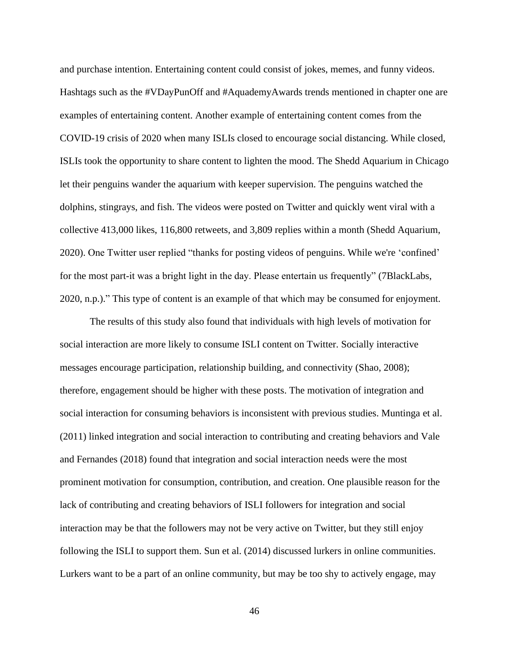and purchase intention. Entertaining content could consist of jokes, memes, and funny videos. Hashtags such as the #VDayPunOff and #AquademyAwards trends mentioned in chapter one are examples of entertaining content. Another example of entertaining content comes from the COVID-19 crisis of 2020 when many ISLIs closed to encourage social distancing. While closed, ISLIs took the opportunity to share content to lighten the mood. The Shedd Aquarium in Chicago let their penguins wander the aquarium with keeper supervision. The penguins watched the dolphins, stingrays, and fish. The videos were posted on Twitter and quickly went viral with a collective 413,000 likes, 116,800 retweets, and 3,809 replies within a month (Shedd Aquarium, 2020). One Twitter user replied "thanks for posting videos of penguins. While we're 'confined' for the most part-it was a bright light in the day. Please entertain us frequently" (7BlackLabs, 2020, n.p.)." This type of content is an example of that which may be consumed for enjoyment.

The results of this study also found that individuals with high levels of motivation for social interaction are more likely to consume ISLI content on Twitter. Socially interactive messages encourage participation, relationship building, and connectivity (Shao, 2008); therefore, engagement should be higher with these posts. The motivation of integration and social interaction for consuming behaviors is inconsistent with previous studies. Muntinga et al. (2011) linked integration and social interaction to contributing and creating behaviors and Vale and Fernandes (2018) found that integration and social interaction needs were the most prominent motivation for consumption, contribution, and creation. One plausible reason for the lack of contributing and creating behaviors of ISLI followers for integration and social interaction may be that the followers may not be very active on Twitter, but they still enjoy following the ISLI to support them. Sun et al. (2014) discussed lurkers in online communities. Lurkers want to be a part of an online community, but may be too shy to actively engage, may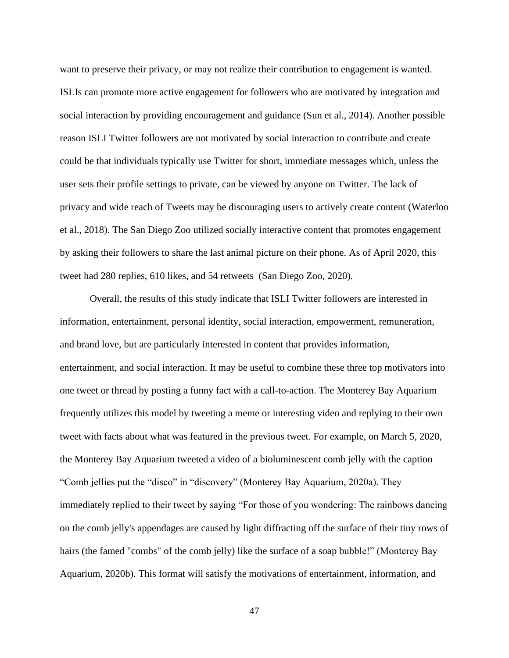want to preserve their privacy, or may not realize their contribution to engagement is wanted. ISLIs can promote more active engagement for followers who are motivated by integration and social interaction by providing encouragement and guidance (Sun et al., 2014). Another possible reason ISLI Twitter followers are not motivated by social interaction to contribute and create could be that individuals typically use Twitter for short, immediate messages which, unless the user sets their profile settings to private, can be viewed by anyone on Twitter. The lack of privacy and wide reach of Tweets may be discouraging users to actively create content (Waterloo et al., 2018). The San Diego Zoo utilized socially interactive content that promotes engagement by asking their followers to share the last animal picture on their phone. As of April 2020, this tweet had 280 replies, 610 likes, and 54 retweets (San Diego Zoo, 2020).

Overall, the results of this study indicate that ISLI Twitter followers are interested in information, entertainment, personal identity, social interaction, empowerment, remuneration, and brand love, but are particularly interested in content that provides information, entertainment, and social interaction. It may be useful to combine these three top motivators into one tweet or thread by posting a funny fact with a call-to-action. The Monterey Bay Aquarium frequently utilizes this model by tweeting a meme or interesting video and replying to their own tweet with facts about what was featured in the previous tweet. For example, on March 5, 2020, the Monterey Bay Aquarium tweeted a video of a bioluminescent comb jelly with the caption "Comb jellies put the "disco" in "discovery" (Monterey Bay Aquarium, 2020a). They immediately replied to their tweet by saying "For those of you wondering: The rainbows dancing on the comb jelly's appendages are caused by light diffracting off the surface of their tiny rows of hairs (the famed "combs" of the comb jelly) like the surface of a soap bubble!" (Monterey Bay Aquarium, 2020b). This format will satisfy the motivations of entertainment, information, and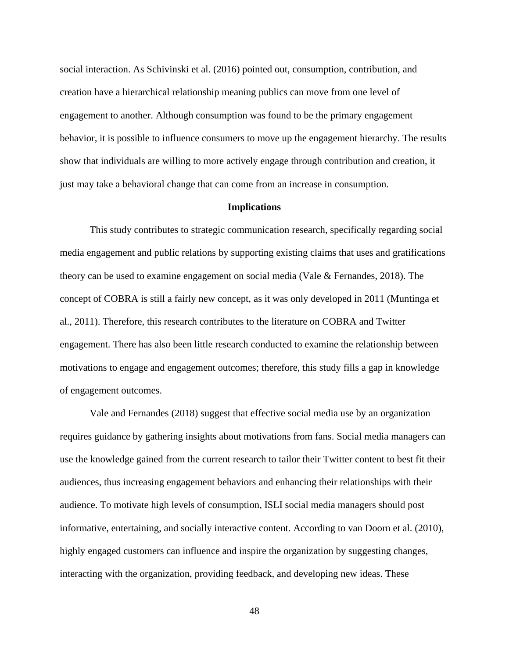social interaction. As Schivinski et al. (2016) pointed out, consumption, contribution, and creation have a hierarchical relationship meaning publics can move from one level of engagement to another. Although consumption was found to be the primary engagement behavior, it is possible to influence consumers to move up the engagement hierarchy. The results show that individuals are willing to more actively engage through contribution and creation, it just may take a behavioral change that can come from an increase in consumption.

### **Implications**

This study contributes to strategic communication research, specifically regarding social media engagement and public relations by supporting existing claims that uses and gratifications theory can be used to examine engagement on social media (Vale & Fernandes, 2018). The concept of COBRA is still a fairly new concept, as it was only developed in 2011 (Muntinga et al., 2011). Therefore, this research contributes to the literature on COBRA and Twitter engagement. There has also been little research conducted to examine the relationship between motivations to engage and engagement outcomes; therefore, this study fills a gap in knowledge of engagement outcomes.

Vale and Fernandes (2018) suggest that effective social media use by an organization requires guidance by gathering insights about motivations from fans. Social media managers can use the knowledge gained from the current research to tailor their Twitter content to best fit their audiences, thus increasing engagement behaviors and enhancing their relationships with their audience. To motivate high levels of consumption, ISLI social media managers should post informative, entertaining, and socially interactive content. According to van Doorn et al. (2010), highly engaged customers can influence and inspire the organization by suggesting changes, interacting with the organization, providing feedback, and developing new ideas. These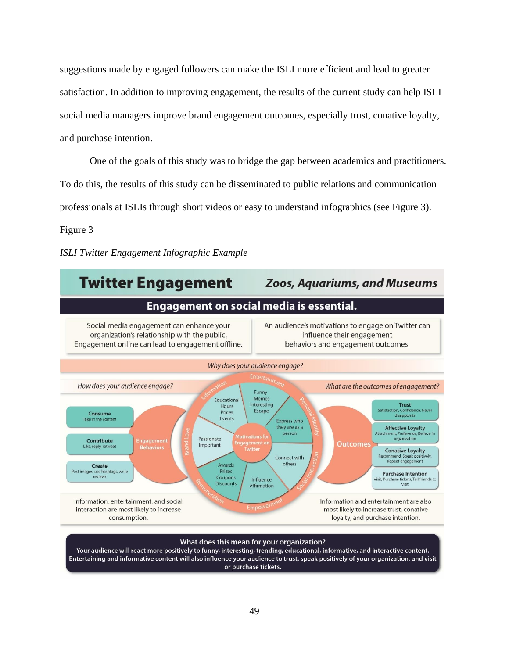suggestions made by engaged followers can make the ISLI more efficient and lead to greater satisfaction. In addition to improving engagement, the results of the current study can help ISLI social media managers improve brand engagement outcomes, especially trust, conative loyalty, and purchase intention.

One of the goals of this study was to bridge the gap between academics and practitioners. To do this, the results of this study can be disseminated to public relations and communication professionals at ISLIs through short videos or easy to understand infographics (see Figure 3).

Figure 3

*ISLI Twitter Engagement Infographic Example*



or purchase tickets.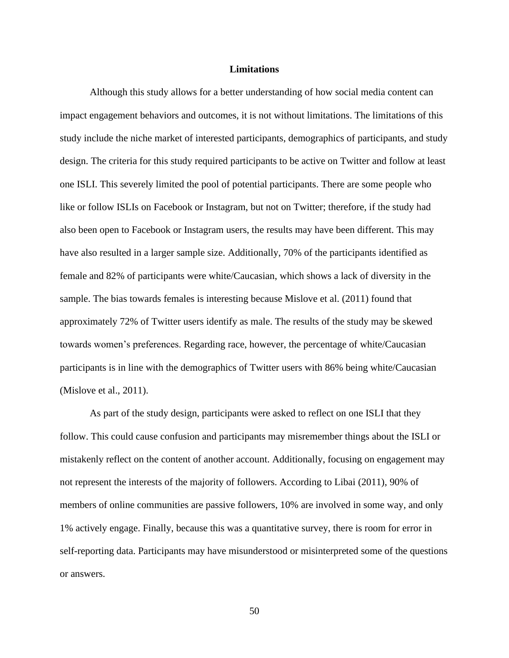#### **Limitations**

Although this study allows for a better understanding of how social media content can impact engagement behaviors and outcomes, it is not without limitations. The limitations of this study include the niche market of interested participants, demographics of participants, and study design. The criteria for this study required participants to be active on Twitter and follow at least one ISLI. This severely limited the pool of potential participants. There are some people who like or follow ISLIs on Facebook or Instagram, but not on Twitter; therefore, if the study had also been open to Facebook or Instagram users, the results may have been different. This may have also resulted in a larger sample size. Additionally, 70% of the participants identified as female and 82% of participants were white/Caucasian, which shows a lack of diversity in the sample. The bias towards females is interesting because Mislove et al. (2011) found that approximately 72% of Twitter users identify as male. The results of the study may be skewed towards women's preferences. Regarding race, however, the percentage of white/Caucasian participants is in line with the demographics of Twitter users with 86% being white/Caucasian (Mislove et al., 2011).

As part of the study design, participants were asked to reflect on one ISLI that they follow. This could cause confusion and participants may misremember things about the ISLI or mistakenly reflect on the content of another account. Additionally, focusing on engagement may not represent the interests of the majority of followers. According to Libai (2011), 90% of members of online communities are passive followers, 10% are involved in some way, and only 1% actively engage. Finally, because this was a quantitative survey, there is room for error in self-reporting data. Participants may have misunderstood or misinterpreted some of the questions or answers.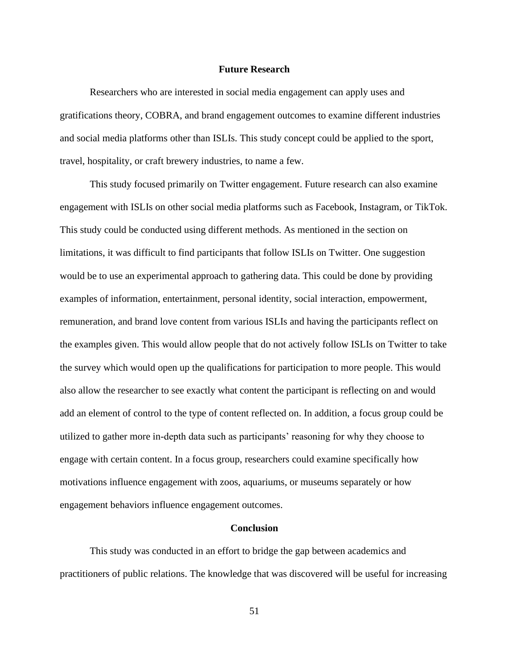## **Future Research**

Researchers who are interested in social media engagement can apply uses and gratifications theory, COBRA, and brand engagement outcomes to examine different industries and social media platforms other than ISLIs. This study concept could be applied to the sport, travel, hospitality, or craft brewery industries, to name a few.

This study focused primarily on Twitter engagement. Future research can also examine engagement with ISLIs on other social media platforms such as Facebook, Instagram, or TikTok. This study could be conducted using different methods. As mentioned in the section on limitations, it was difficult to find participants that follow ISLIs on Twitter. One suggestion would be to use an experimental approach to gathering data. This could be done by providing examples of information, entertainment, personal identity, social interaction, empowerment, remuneration, and brand love content from various ISLIs and having the participants reflect on the examples given. This would allow people that do not actively follow ISLIs on Twitter to take the survey which would open up the qualifications for participation to more people. This would also allow the researcher to see exactly what content the participant is reflecting on and would add an element of control to the type of content reflected on. In addition, a focus group could be utilized to gather more in-depth data such as participants' reasoning for why they choose to engage with certain content. In a focus group, researchers could examine specifically how motivations influence engagement with zoos, aquariums, or museums separately or how engagement behaviors influence engagement outcomes.

### **Conclusion**

This study was conducted in an effort to bridge the gap between academics and practitioners of public relations. The knowledge that was discovered will be useful for increasing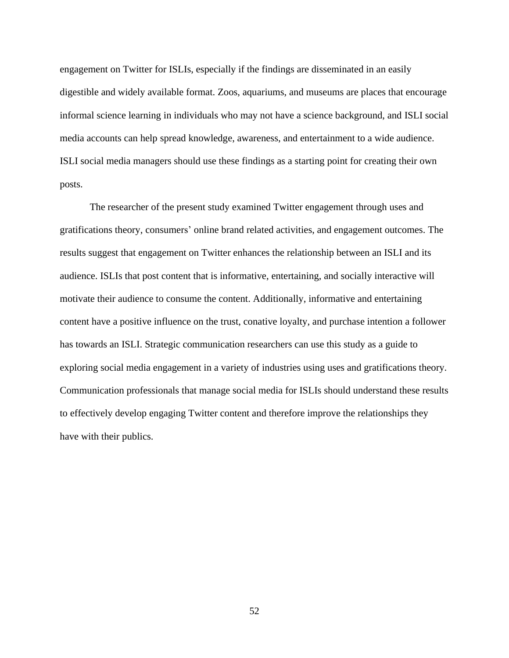engagement on Twitter for ISLIs, especially if the findings are disseminated in an easily digestible and widely available format. Zoos, aquariums, and museums are places that encourage informal science learning in individuals who may not have a science background, and ISLI social media accounts can help spread knowledge, awareness, and entertainment to a wide audience. ISLI social media managers should use these findings as a starting point for creating their own posts.

The researcher of the present study examined Twitter engagement through uses and gratifications theory, consumers' online brand related activities, and engagement outcomes. The results suggest that engagement on Twitter enhances the relationship between an ISLI and its audience. ISLIs that post content that is informative, entertaining, and socially interactive will motivate their audience to consume the content. Additionally, informative and entertaining content have a positive influence on the trust, conative loyalty, and purchase intention a follower has towards an ISLI. Strategic communication researchers can use this study as a guide to exploring social media engagement in a variety of industries using uses and gratifications theory. Communication professionals that manage social media for ISLIs should understand these results to effectively develop engaging Twitter content and therefore improve the relationships they have with their publics.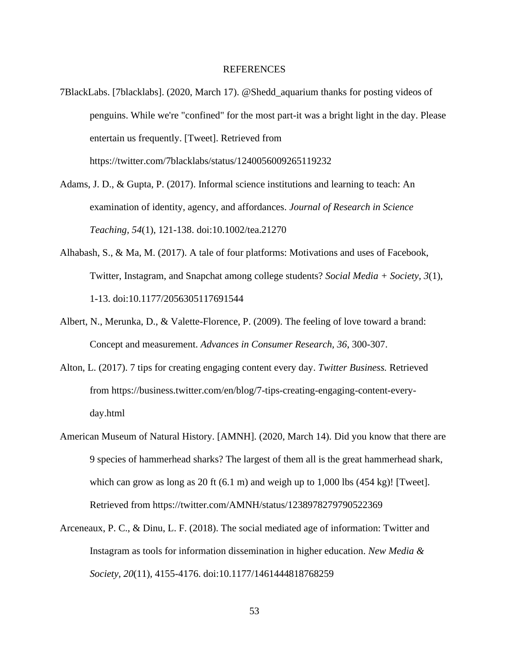### **REFERENCES**

- 7BlackLabs. [7blacklabs]. (2020, March 17). @Shedd\_aquarium thanks for posting videos of penguins. While we're "confined" for the most part-it was a bright light in the day. Please entertain us frequently. [Tweet]. Retrieved from https://twitter.com/7blacklabs/status/1240056009265119232
- Adams, J. D., & Gupta, P. (2017). Informal science institutions and learning to teach: An examination of identity, agency, and affordances. *Journal of Research in Science Teaching, 54*(1), 121-138. doi:10.1002/tea.21270
- Alhabash, S., & Ma, M. (2017). A tale of four platforms: Motivations and uses of Facebook, Twitter, Instagram, and Snapchat among college students? *Social Media + Society, 3*(1), 1-13. doi:10.1177/2056305117691544
- Albert, N., Merunka, D., & Valette-Florence, P. (2009). The feeling of love toward a brand: Concept and measurement. *Advances in Consumer Research, 36*, 300-307.
- Alton, L. (2017). 7 tips for creating engaging content every day. *Twitter Business.* Retrieved from https://business.twitter.com/en/blog/7-tips-creating-engaging-content-everyday.html
- American Museum of Natural History. [AMNH]. (2020, March 14). Did you know that there are 9 species of hammerhead sharks? The largest of them all is the great hammerhead shark, which can grow as long as 20 ft  $(6.1 \text{ m})$  and weigh up to 1,000 lbs  $(454 \text{ kg})$ ! [Tweet]. Retrieved from https://twitter.com/AMNH/status/1238978279790522369
- Arceneaux, P. C., & Dinu, L. F. (2018). The social mediated age of information: Twitter and Instagram as tools for information dissemination in higher education. *New Media & Society, 20*(11), 4155-4176. doi:10.1177/1461444818768259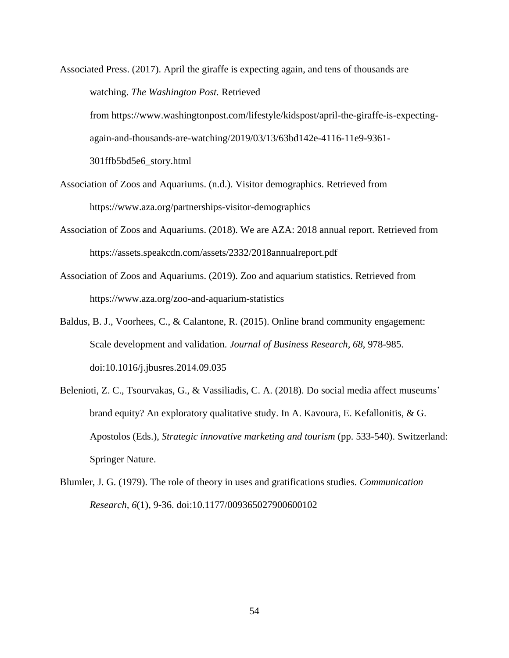Associated Press. (2017). April the giraffe is expecting again, and tens of thousands are watching. *The Washington Post.* Retrieved from https://www.washingtonpost.com/lifestyle/kidspost/april-the-giraffe-is-expectingagain-and-thousands-are-watching/2019/03/13/63bd142e-4116-11e9-9361- 301ffb5bd5e6\_story.html

- Association of Zoos and Aquariums. (n.d.). Visitor demographics. Retrieved from https://www.aza.org/partnerships-visitor-demographics
- Association of Zoos and Aquariums. (2018). We are AZA: 2018 annual report. Retrieved from https://assets.speakcdn.com/assets/2332/2018annualreport.pdf
- Association of Zoos and Aquariums. (2019). Zoo and aquarium statistics. Retrieved from https://www.aza.org/zoo-and-aquarium-statistics
- Baldus, B. J., Voorhees, C., & Calantone, R. (2015). Online brand community engagement: Scale development and validation. *Journal of Business Research, 68*, 978-985. doi:10.1016/j.jbusres.2014.09.035
- Belenioti, Z. C., Tsourvakas, G., & Vassiliadis, C. A. (2018). Do social media affect museums' brand equity? An exploratory qualitative study. In A. Kavoura, E. Kefallonitis, & G. Apostolos (Eds.), *Strategic innovative marketing and tourism* (pp. 533-540). Switzerland: Springer Nature.
- Blumler, J. G. (1979). The role of theory in uses and gratifications studies. *Communication Research, 6*(1), 9-36. doi:10.1177/009365027900600102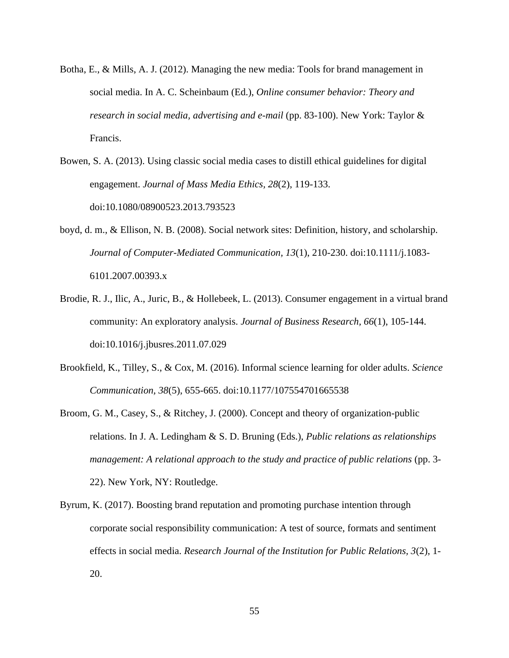- Botha, E., & Mills, A. J. (2012). Managing the new media: Tools for brand management in social media. In A. C. Scheinbaum (Ed.), *Online consumer behavior: Theory and research in social media, advertising and e-mail* (pp. 83-100). New York: Taylor & Francis.
- Bowen, S. A. (2013). Using classic social media cases to distill ethical guidelines for digital engagement. *Journal of Mass Media Ethics, 28*(2), 119-133. doi:10.1080/08900523.2013.793523
- boyd, d. m., & Ellison, N. B. (2008). Social network sites: Definition, history, and scholarship. *Journal of Computer-Mediated Communication, 13*(1), 210-230. doi:10.1111/j.1083- 6101.2007.00393.x
- Brodie, R. J., Ilic, A., Juric, B., & Hollebeek, L. (2013). Consumer engagement in a virtual brand community: An exploratory analysis. *Journal of Business Research, 66*(1), 105-144. doi:10.1016/j.jbusres.2011.07.029
- Brookfield, K., Tilley, S., & Cox, M. (2016). Informal science learning for older adults. *Science Communication, 38*(5), 655-665. doi:10.1177/107554701665538
- Broom, G. M., Casey, S., & Ritchey, J. (2000). Concept and theory of organization-public relations. In J. A. Ledingham & S. D. Bruning (Eds.), *Public relations as relationships management: A relational approach to the study and practice of public relations (pp. 3-*22). New York, NY: Routledge.
- Byrum, K. (2017). Boosting brand reputation and promoting purchase intention through corporate social responsibility communication: A test of source, formats and sentiment effects in social media. *Research Journal of the Institution for Public Relations, 3*(2), 1- 20.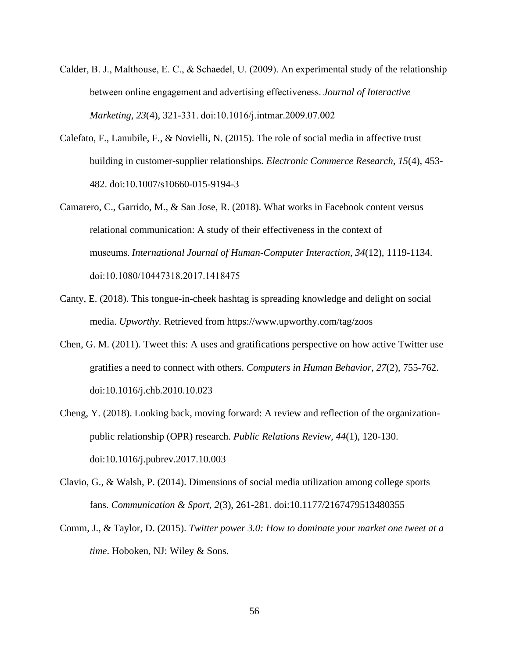- Calder, B. J., Malthouse, E. C., & Schaedel, U. (2009). An experimental study of the relationship between online engagement and advertising effectiveness. *Journal of Interactive Marketing, 23*(4), 321-331. doi:10.1016/j.intmar.2009.07.002
- Calefato, F., Lanubile, F., & Novielli, N. (2015). The role of social media in affective trust building in customer-supplier relationships. *Electronic Commerce Research, 15*(4), 453- 482. doi:10.1007/s10660-015-9194-3
- Camarero, C., Garrido, M., & San Jose, R. (2018). What works in Facebook content versus relational communication: A study of their effectiveness in the context of museums. *International Journal of Human-Computer Interaction, 34*(12), 1119-1134. doi:10.1080/10447318.2017.1418475
- Canty, E. (2018). This tongue-in-cheek hashtag is spreading knowledge and delight on social media. *Upworthy.* Retrieved from https://www.upworthy.com/tag/zoos
- Chen, G. M. (2011). Tweet this: A uses and gratifications perspective on how active Twitter use gratifies a need to connect with others. *Computers in Human Behavior, 27*(2), 755-762. doi:10.1016/j.chb.2010.10.023
- Cheng, Y. (2018). Looking back, moving forward: A review and reflection of the organizationpublic relationship (OPR) research. *Public Relations Review, 44*(1), 120-130. doi:10.1016/j.pubrev.2017.10.003
- Clavio, G., & Walsh, P. (2014). Dimensions of social media utilization among college sports fans. *Communication & Sport, 2*(3), 261-281. doi:10.1177/2167479513480355
- Comm, J., & Taylor, D. (2015). *Twitter power 3.0: How to dominate your market one tweet at a time*. Hoboken, NJ: Wiley & Sons.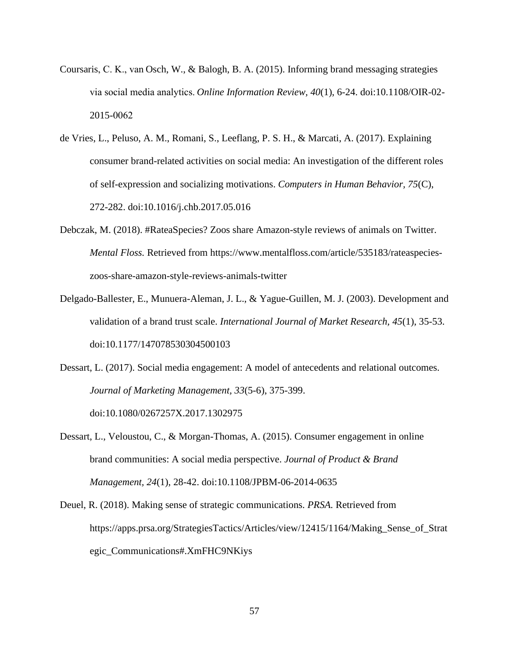- Coursaris, C. K., van Osch, W., & Balogh, B. A. (2015). Informing brand messaging strategies via social media analytics. *Online Information Review, 40*(1), 6-24. doi:10.1108/OIR-02- 2015-0062
- de Vries, L., Peluso, A. M., Romani, S., Leeflang, P. S. H., & Marcati, A. (2017). Explaining consumer brand-related activities on social media: An investigation of the different roles of self-expression and socializing motivations. *Computers in Human Behavior, 75*(C), 272-282. doi:10.1016/j.chb.2017.05.016
- Debczak, M. (2018). #RateaSpecies? Zoos share Amazon-style reviews of animals on Twitter. *Mental Floss.* Retrieved from https://www.mentalfloss.com/article/535183/rateaspecieszoos-share-amazon-style-reviews-animals-twitter
- Delgado-Ballester, E., Munuera-Aleman, J. L., & Yague-Guillen, M. J. (2003). Development and validation of a brand trust scale. *International Journal of Market Research, 45*(1), 35-53. doi:10.1177/147078530304500103
- Dessart, L. (2017). Social media engagement: A model of antecedents and relational outcomes. *Journal of Marketing Management, 33*(5-6), 375-399. doi:10.1080/0267257X.2017.1302975
- Dessart, L., Veloustou, C., & Morgan-Thomas, A. (2015). Consumer engagement in online brand communities: A social media perspective. *Journal of Product & Brand Management, 24*(1), 28-42. doi:10.1108/JPBM-06-2014-0635
- Deuel, R. (2018). Making sense of strategic communications. *PRSA.* Retrieved from https://apps.prsa.org/StrategiesTactics/Articles/view/12415/1164/Making\_Sense\_of\_Strat egic\_Communications#.XmFHC9NKiys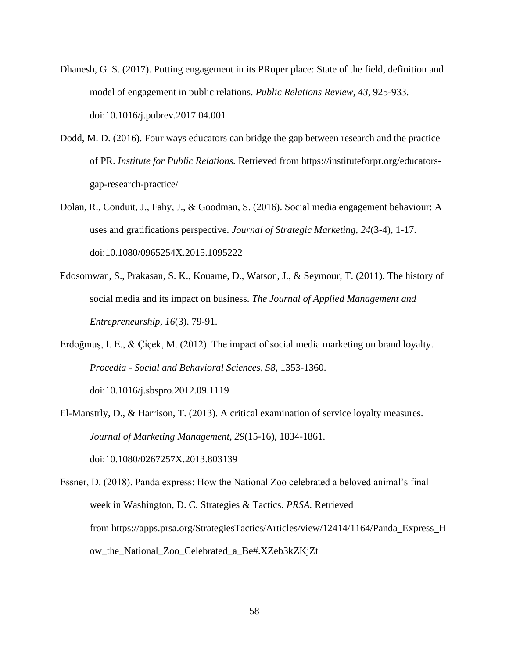- Dhanesh, G. S. (2017). Putting engagement in its PRoper place: State of the field, definition and model of engagement in public relations. *Public Relations Review, 43*, 925-933. doi:10.1016/j.pubrev.2017.04.001
- Dodd, M. D. (2016). Four ways educators can bridge the gap between research and the practice of PR. *Institute for Public Relations.* Retrieved from https://instituteforpr.org/educatorsgap-research-practice/
- Dolan, R., Conduit, J., Fahy, J., & Goodman, S. (2016). Social media engagement behaviour: A uses and gratifications perspective. *Journal of Strategic Marketing, 24*(3-4)*,* 1-17. doi:10.1080/0965254X.2015.1095222
- Edosomwan, S., Prakasan, S. K., Kouame, D., Watson, J., & Seymour, T. (2011). The history of social media and its impact on business. *The Journal of Applied Management and Entrepreneurship, 16*(3). 79-91.
- Erdoğmuş, I. E., & Çiçek, M. (2012). The impact of social media marketing on brand loyalty. *Procedia - Social and Behavioral Sciences, 58*, 1353-1360. doi:10.1016/j.sbspro.2012.09.1119
- El-Manstrly, D., & Harrison, T. (2013). A critical examination of service loyalty measures. *Journal of Marketing Management, 29*(15-16), 1834-1861. doi:10.1080/0267257X.2013.803139
- Essner, D. (2018). Panda express: How the National Zoo celebrated a beloved animal's final week in Washington, D. C. Strategies & Tactics. *PRSA.* Retrieved from https://apps.prsa.org/StrategiesTactics/Articles/view/12414/1164/Panda\_Express\_H ow\_the\_National\_Zoo\_Celebrated\_a\_Be#.XZeb3kZKjZt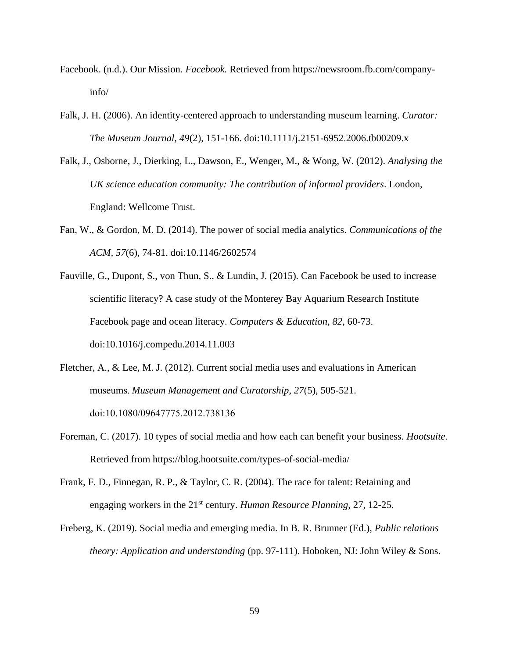- Facebook. (n.d.). Our Mission. *Facebook.* Retrieved from [https://newsroom.fb.com/company](https://newsroom.fb.com/company-info/)[info/](https://newsroom.fb.com/company-info/)
- Falk, J. H. (2006). An identity-centered approach to understanding museum learning. *Curator: The Museum Journal, 49*(2), 151-166. doi:10.1111/j.2151-6952.2006.tb00209.x
- Falk, J., Osborne, J., Dierking, L., Dawson, E., Wenger, M., & Wong, W. (2012). *Analysing the UK science education community: The contribution of informal providers*. London, England: Wellcome Trust.
- Fan, W., & Gordon, M. D. (2014). The power of social media analytics. *Communications of the ACM, 57*(6), 74-81. doi:10.1146/2602574
- Fauville, G., Dupont, S., von Thun, S., & Lundin, J. (2015). Can Facebook be used to increase scientific literacy? A case study of the Monterey Bay Aquarium Research Institute Facebook page and ocean literacy. *Computers & Education, 82*, 60-73. doi:10.1016/j.compedu.2014.11.003
- Fletcher, A., & Lee, M. J. (2012). Current social media uses and evaluations in American museums. *Museum Management and Curatorship, 27*(5), 505-521. doi:10.1080/09647775.2012.738136
- Foreman, C. (2017). 10 types of social media and how each can benefit your business. *Hootsuite.* Retrieved from https://blog.hootsuite.com/types-of-social-media/
- Frank, F. D., Finnegan, R. P., & Taylor, C. R. (2004). The race for talent: Retaining and engaging workers in the 21st century. *Human Resource Planning,* 27, 12-25.
- Freberg, K. (2019). Social media and emerging media. In B. R. Brunner (Ed.), *Public relations theory: Application and understanding* (pp. 97-111). Hoboken, NJ: John Wiley & Sons.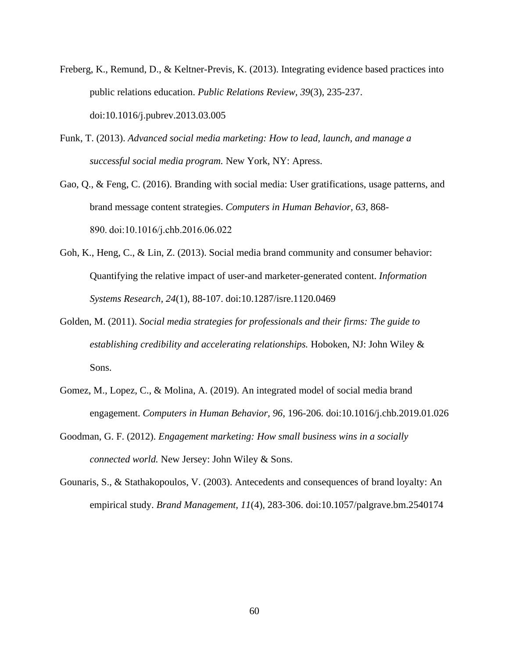- Freberg, K., Remund, D., & Keltner-Previs, K. (2013). Integrating evidence based practices into public relations education. *Public Relations Review, 39*(3), 235-237. doi:10.1016/j.pubrev.2013.03.005
- Funk, T. (2013). *Advanced social media marketing: How to lead, launch, and manage a successful social media program.* New York, NY: Apress.
- Gao, Q., & Feng, C. (2016). Branding with social media: User gratifications, usage patterns, and brand message content strategies. *Computers in Human Behavior, 63*, 868- 890. doi:10.1016/j.chb.2016.06.022
- Goh, K., Heng, C., & Lin, Z. (2013). Social media brand community and consumer behavior: Quantifying the relative impact of user-and marketer-generated content. *Information Systems Research, 24*(1), 88-107. doi:10.1287/isre.1120.0469
- Golden, M. (2011). *Social media strategies for professionals and their firms: The guide to establishing credibility and accelerating relationships.* Hoboken, NJ: John Wiley & Sons.
- Gomez, M., Lopez, C., & Molina, A. (2019). An integrated model of social media brand engagement. *Computers in Human Behavior, 96*, 196-206. doi:10.1016/j.chb.2019.01.026
- Goodman, G. F. (2012). *Engagement marketing: How small business wins in a socially connected world.* New Jersey: John Wiley & Sons.
- Gounaris, S., & Stathakopoulos, V. (2003). Antecedents and consequences of brand loyalty: An empirical study. *Brand Management, 11*(4), 283-306. doi:10.1057/palgrave.bm.2540174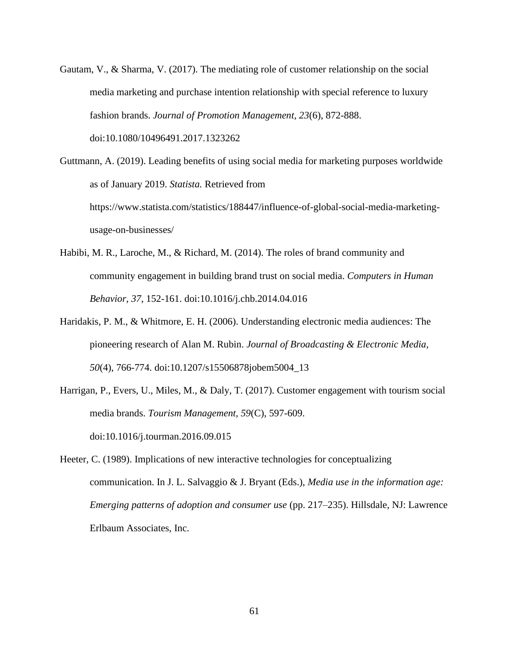Gautam, V., & Sharma, V. (2017). The mediating role of customer relationship on the social media marketing and purchase intention relationship with special reference to luxury fashion brands. *Journal of Promotion Management, 23*(6), 872-888. doi:10.1080/10496491.2017.1323262

Guttmann, A. (2019). Leading benefits of using social media for marketing purposes worldwide as of January 2019. *Statista.* Retrieved from https://www.statista.com/statistics/188447/influence-of-global-social-media-marketingusage-on-businesses/

- Habibi, M. R., Laroche, M., & Richard, M. (2014). The roles of brand community and community engagement in building brand trust on social media. *Computers in Human Behavior, 37*, 152-161. doi:10.1016/j.chb.2014.04.016
- Haridakis, P. M., & Whitmore, E. H. (2006). Understanding electronic media audiences: The pioneering research of Alan M. Rubin. *Journal of Broadcasting & Electronic Media, 50*(4), 766-774. doi:10.1207/s15506878jobem5004\_13
- Harrigan, P., Evers, U., Miles, M., & Daly, T. (2017). Customer engagement with tourism social media brands. *Tourism Management, 59*(C), 597-609. doi:10.1016/j.tourman.2016.09.015
- Heeter, C. (1989). Implications of new interactive technologies for conceptualizing communication. In J. L. Salvaggio & J. Bryant (Eds.), *Media use in the information age: Emerging patterns of adoption and consumer use* (pp. 217–235). Hillsdale, NJ: Lawrence Erlbaum Associates, Inc.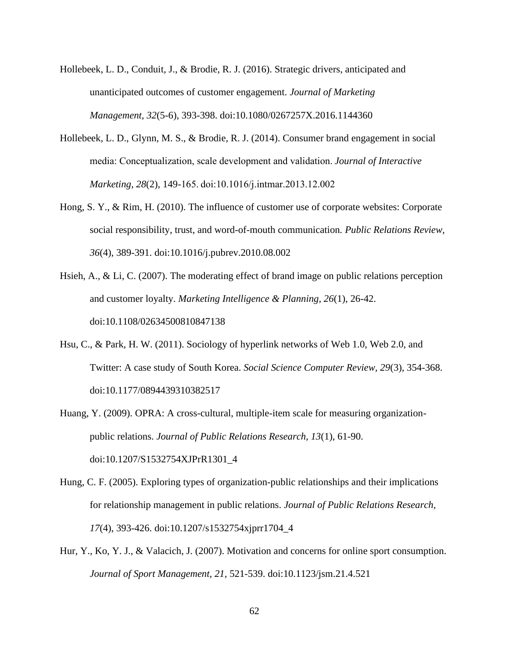- Hollebeek, L. D., Conduit, J., & Brodie, R. J. (2016). Strategic drivers, anticipated and unanticipated outcomes of customer engagement. *Journal of Marketing Management, 32*(5-6), 393-398. doi:10.1080/0267257X.2016.1144360
- Hollebeek, L. D., Glynn, M. S., & Brodie, R. J. (2014). Consumer brand engagement in social media: Conceptualization, scale development and validation. *Journal of Interactive Marketing, 28*(2), 149-165. doi:10.1016/j.intmar.2013.12.002
- Hong, S. Y., & Rim, H. (2010). The influence of customer use of corporate websites: Corporate social responsibility, trust, and word-of-mouth communication*. Public Relations Review, 36*(4), 389-391. doi:10.1016/j.pubrev.2010.08.002
- Hsieh, A., & Li, C. (2007). The moderating effect of brand image on public relations perception and customer loyalty. *Marketing Intelligence & Planning, 26*(1), 26-42. doi:10.1108/02634500810847138
- Hsu, C., & Park, H. W. (2011). Sociology of hyperlink networks of Web 1.0, Web 2.0, and Twitter: A case study of South Korea. *Social Science Computer Review, 29*(3), 354-368. doi:10.1177/0894439310382517
- Huang, Y. (2009). OPRA: A cross-cultural, multiple-item scale for measuring organizationpublic relations. *Journal of Public Relations Research, 13*(1), 61-90. doi:10.1207/S1532754XJPrR1301\_4
- Hung, C. F. (2005). Exploring types of organization-public relationships and their implications for relationship management in public relations. *Journal of Public Relations Research, 17*(4), 393-426. doi:10.1207/s1532754xjprr1704\_4
- Hur, Y., Ko, Y. J., & Valacich, J. (2007). Motivation and concerns for online sport consumption. *Journal of Sport Management, 21*, 521-539. doi:10.1123/jsm.21.4.521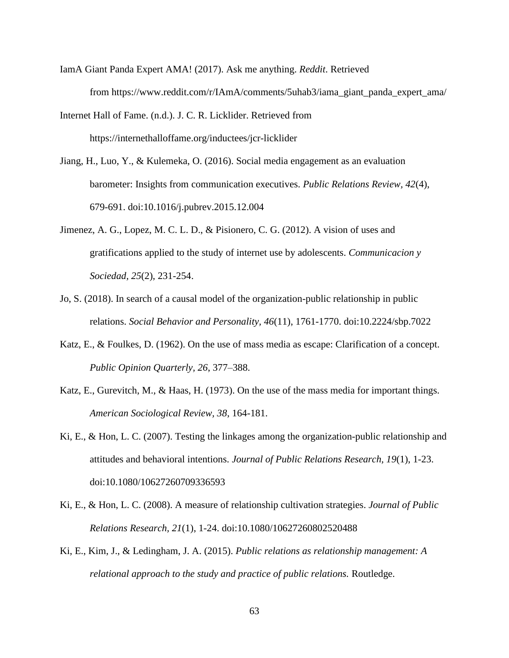- IamA Giant Panda Expert AMA! (2017). Ask me anything. *Reddit*. Retrieved from https://www.reddit.com/r/IAmA/comments/5uhab3/iama\_giant\_panda\_expert\_ama/
- Internet Hall of Fame. (n.d.). J. C. R. Licklider. Retrieved from https://internethalloffame.org/inductees/jcr-licklider
- Jiang, H., Luo, Y., & Kulemeka, O. (2016). Social media engagement as an evaluation barometer: Insights from communication executives. *Public Relations Review, 42*(4), 679-691. doi:10.1016/j.pubrev.2015.12.004
- Jimenez, A. G., Lopez, M. C. L. D., & Pisionero, C. G. (2012). A vision of uses and gratifications applied to the study of internet use by adolescents. *Communicacion y Sociedad, 25*(2), 231-254.
- Jo, S. (2018). In search of a causal model of the organization-public relationship in public relations. *Social Behavior and Personality, 46*(11), 1761-1770. doi:10.2224/sbp.7022
- Katz, E., & Foulkes, D. (1962). On the use of mass media as escape: Clarification of a concept. *Public Opinion Quarterly, 26*, 377–388.
- Katz, E., Gurevitch, M., & Haas, H. (1973). On the use of the mass media for important things. *American Sociological Review, 38*, 164-181.
- Ki, E., & Hon, L. C. (2007). Testing the linkages among the organization-public relationship and attitudes and behavioral intentions. *Journal of Public Relations Research, 19*(1), 1-23. doi:10.1080/10627260709336593
- Ki, E., & Hon, L. C. (2008). A measure of relationship cultivation strategies. *Journal of Public Relations Research, 21*(1), 1-24. doi:10.1080/10627260802520488
- Ki, E., Kim, J., & Ledingham, J. A. (2015). *Public relations as relationship management: A relational approach to the study and practice of public relations.* Routledge.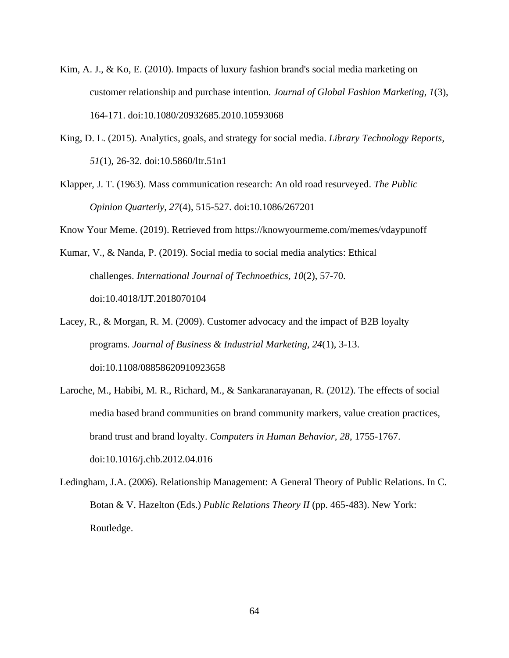- Kim, A. J., & Ko, E. (2010). Impacts of luxury fashion brand's social media marketing on customer relationship and purchase intention. *Journal of Global Fashion Marketing, 1*(3), 164-171. doi:10.1080/20932685.2010.10593068
- King, D. L. (2015). Analytics, goals, and strategy for social media. *Library Technology Reports, 51*(1), 26-32. doi:10.5860/ltr.51n1
- Klapper, J. T. (1963). Mass communication research: An old road resurveyed. *The Public Opinion Quarterly, 27*(4), 515-527. doi:10.1086/267201

Know Your Meme. (2019). Retrieved from https://knowyourmeme.com/memes/vdaypunoff

- Kumar, V., & Nanda, P. (2019). Social media to social media analytics: Ethical challenges. *International Journal of Technoethics, 10*(2), 57-70. doi:10.4018/IJT.2018070104
- Lacey, R., & Morgan, R. M. (2009). Customer advocacy and the impact of B2B loyalty programs. *Journal of Business & Industrial Marketing, 24*(1), 3-13. doi:10.1108/08858620910923658
- Laroche, M., Habibi, M. R., Richard, M., & Sankaranarayanan, R. (2012). The effects of social media based brand communities on brand community markers, value creation practices, brand trust and brand loyalty. *Computers in Human Behavior, 28*, 1755-1767. doi:10.1016/j.chb.2012.04.016
- Ledingham, J.A. (2006). Relationship Management: A General Theory of Public Relations. In C. Botan & V. Hazelton (Eds.) *Public Relations Theory II* (pp. 465-483). New York: Routledge.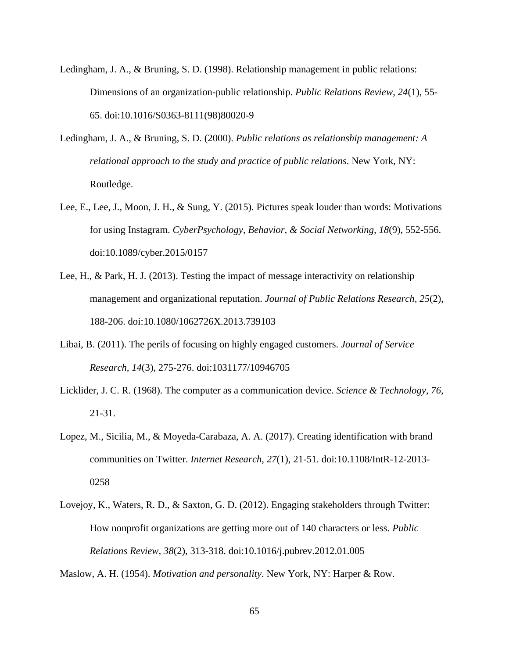- Ledingham, J. A., & Bruning, S. D. (1998). Relationship management in public relations: Dimensions of an organization-public relationship. *Public Relations Review, 24*(1), 55- 65. doi:10.1016/S0363-8111(98)80020-9
- Ledingham, J. A., & Bruning, S. D. (2000). *Public relations as relationship management: A relational approach to the study and practice of public relations*. New York, NY: Routledge.
- Lee, E., Lee, J., Moon, J. H., & Sung, Y. (2015). Pictures speak louder than words: Motivations for using Instagram. *CyberPsychology, Behavior, & Social Networking, 18*(9), 552-556. doi:10.1089/cyber.2015/0157
- Lee, H., & Park, H. J. (2013). Testing the impact of message interactivity on relationship management and organizational reputation. *Journal of Public Relations Research, 25*(2), 188-206. doi:10.1080/1062726X.2013.739103
- Libai, B. (2011). The perils of focusing on highly engaged customers. *Journal of Service Research, 14*(3), 275-276. doi:1031177/10946705
- Licklider, J. C. R. (1968). The computer as a communication device. *Science & Technology, 76*, 21-31.
- Lopez, M., Sicilia, M., & Moyeda-Carabaza, A. A. (2017). Creating identification with brand communities on Twitter. *Internet Research, 27*(1), 21-51. doi:10.1108/IntR-12-2013- 0258
- Lovejoy, K., Waters, R. D., & Saxton, G. D. (2012). Engaging stakeholders through Twitter: How nonprofit organizations are getting more out of 140 characters or less. *Public Relations Review, 38*(2), 313-318. doi:10.1016/j.pubrev.2012.01.005

Maslow, A. H. (1954). *Motivation and personality*. New York, NY: Harper & Row.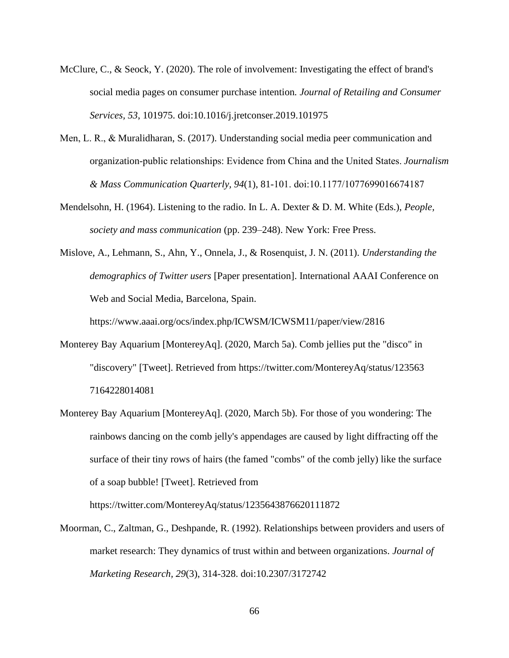- McClure, C., & Seock, Y. (2020). The role of involvement: Investigating the effect of brand's social media pages on consumer purchase intention*. Journal of Retailing and Consumer Services, 53*, 101975. doi:10.1016/j.jretconser.2019.101975
- Men, L. R., & Muralidharan, S. (2017). Understanding social media peer communication and organization-public relationships: Evidence from China and the United States. *Journalism & Mass Communication Quarterly, 94*(1), 81-101. doi:10.1177/1077699016674187
- Mendelsohn, H. (1964). Listening to the radio. In L. A. Dexter & D. M. White (Eds.), *People, society and mass communication* (pp. 239–248). New York: Free Press.
- Mislove, A., Lehmann, S., Ahn, Y., Onnela, J., & Rosenquist, J. N. (2011). *Understanding the demographics of Twitter users* [Paper presentation]. International AAAI Conference on Web and Social Media, Barcelona, Spain.

https://www.aaai.org/ocs/index.php/ICWSM/ICWSM11/paper/view/2816

- Monterey Bay Aquarium [MontereyAq]. (2020, March 5a). Comb jellies put the "disco" in "discovery" [Tweet]. Retrieved from https://twitter.com/MontereyAq/status/123563 7164228014081
- Monterey Bay Aquarium [MontereyAq]. (2020, March 5b). For those of you wondering: The rainbows dancing on the comb jelly's appendages are caused by light diffracting off the surface of their tiny rows of hairs (the famed "combs" of the comb jelly) like the surface of a soap bubble! [Tweet]. Retrieved from

https://twitter.com/MontereyAq/status/1235643876620111872

Moorman, C., Zaltman, G., Deshpande, R. (1992). Relationships between providers and users of market research: They dynamics of trust within and between organizations. *Journal of Marketing Research, 29*(3), 314-328. doi:10.2307/3172742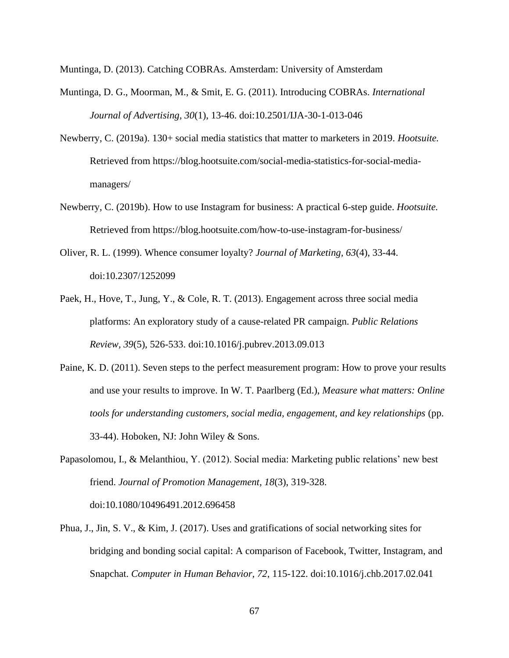Muntinga, D. (2013). Catching COBRAs. Amsterdam: University of Amsterdam

- Muntinga, D. G., Moorman, M., & Smit, E. G. (2011). Introducing COBRAs. *International Journal of Advertising, 30*(1), 13-46. doi:10.2501/IJA-30-1-013-046
- Newberry, C. (2019a). 130+ social media statistics that matter to marketers in 2019. *Hootsuite.* Retrieved from https://blog.hootsuite.com/social-media-statistics-for-social-mediamanagers/
- Newberry, C. (2019b). How to use Instagram for business: A practical 6-step guide. *Hootsuite.* Retrieved from https://blog.hootsuite.com/how-to-use-instagram-for-business/
- Oliver, R. L. (1999). Whence consumer loyalty? *Journal of Marketing, 63*(4), 33-44. doi:10.2307/1252099
- Paek, H., Hove, T., Jung, Y., & Cole, R. T. (2013). Engagement across three social media platforms: An exploratory study of a cause-related PR campaign. *Public Relations Review, 39*(5), 526-533. doi:10.1016/j.pubrev.2013.09.013
- Paine, K. D. (2011). Seven steps to the perfect measurement program: How to prove your results and use your results to improve. In W. T. Paarlberg (Ed.), *Measure what matters: Online tools for understanding customers, social media, engagement, and key relationships* (pp. 33-44). Hoboken, NJ: John Wiley & Sons.
- Papasolomou, I., & Melanthiou, Y. (2012). Social media: Marketing public relations' new best friend. *Journal of Promotion Management, 18*(3), 319-328. doi:10.1080/10496491.2012.696458
- Phua, J., Jin, S. V., & Kim, J. (2017). Uses and gratifications of social networking sites for bridging and bonding social capital: A comparison of Facebook, Twitter, Instagram, and Snapchat. *Computer in Human Behavior, 72*, 115-122. doi:10.1016/j.chb.2017.02.041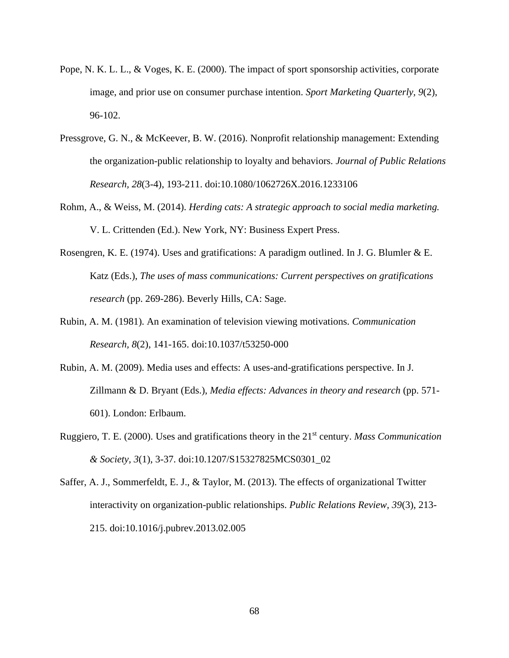- Pope, N. K. L. L., & Voges, K. E. (2000). The impact of sport sponsorship activities, corporate image, and prior use on consumer purchase intention. *Sport Marketing Quarterly, 9*(2), 96-102.
- Pressgrove, G. N., & McKeever, B. W. (2016). Nonprofit relationship management: Extending the organization-public relationship to loyalty and behaviors*. Journal of Public Relations Research, 28*(3-4), 193-211. doi:10.1080/1062726X.2016.1233106
- Rohm, A., & Weiss, M. (2014). *Herding cats: A strategic approach to social media marketing.* V. L. Crittenden (Ed.). New York, NY: Business Expert Press.
- Rosengren, K. E. (1974). Uses and gratifications: A paradigm outlined. In J. G. Blumler & E. Katz (Eds.), *The uses of mass communications: Current perspectives on gratifications research* (pp. 269-286). Beverly Hills, CA: Sage.
- Rubin, A. M. (1981). An examination of television viewing motivations. *Communication Research, 8*(2), 141-165. doi:10.1037/t53250-000
- Rubin, A. M. (2009). Media uses and effects: A uses-and-gratifications perspective. In J. Zillmann & D. Bryant (Eds.), *Media effects: Advances in theory and research* (pp. 571- 601). London: Erlbaum.
- Ruggiero, T. E. (2000). Uses and gratifications theory in the 21st century. *Mass Communication & Society, 3*(1), 3-37. doi:10.1207/S15327825MCS0301\_02
- Saffer, A. J., Sommerfeldt, E. J., & Taylor, M. (2013). The effects of organizational Twitter interactivity on organization-public relationships. *Public Relations Review, 39*(3), 213- 215. doi:10.1016/j.pubrev.2013.02.005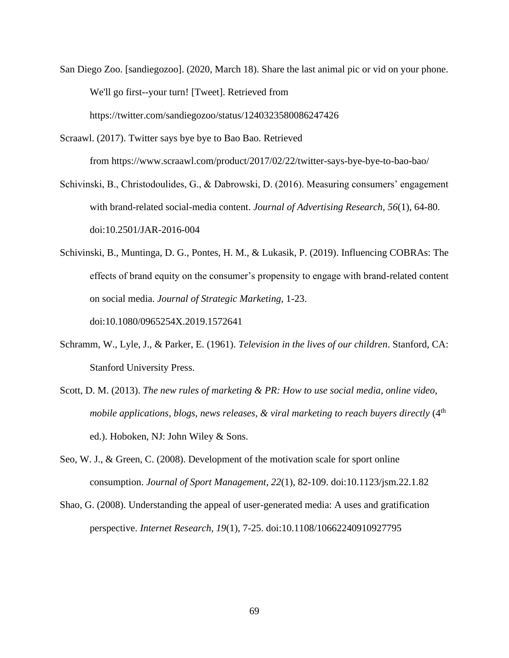- San Diego Zoo. [sandiegozoo]. (2020, March 18). Share the last animal pic or vid on your phone. We'll go first--your turn! [Tweet]. Retrieved from https://twitter.com/sandiegozoo/status/1240323580086247426
- Scraawl. (2017). Twitter says bye bye to Bao Bao. Retrieved from https://www.scraawl.com/product/2017/02/22/twitter-says-bye-bye-to-bao-bao/
- Schivinski, B., Christodoulides, G., & Dabrowski, D. (2016). Measuring consumers' engagement with brand-related social-media content. *Journal of Advertising Research, 56*(1), 64-80. doi:10.2501/JAR-2016-004
- Schivinski, B., Muntinga, D. G., Pontes, H. M., & Lukasik, P. (2019). Influencing COBRAs: The effects of brand equity on the consumer's propensity to engage with brand-related content on social media. *Journal of Strategic Marketing,* 1-23. doi:10.1080/0965254X.2019.1572641
- Schramm, W., Lyle, J., & Parker, E. (1961). *Television in the lives of our children*. Stanford, CA: Stanford University Press.
- Scott, D. M. (2013). *The new rules of marketing & PR: How to use social media, online video, mobile applications, blogs, news releases, & viral marketing to reach buyers directly* (4<sup>th</sup>) ed.). Hoboken, NJ: John Wiley & Sons.
- Seo, W. J., & Green, C. (2008). Development of the motivation scale for sport online consumption. *Journal of Sport Management, 22*(1), 82-109. doi:10.1123/jsm.22.1.82
- Shao, G. (2008). Understanding the appeal of user-generated media: A uses and gratification perspective. *Internet Research, 19*(1), 7-25. doi:10.1108/10662240910927795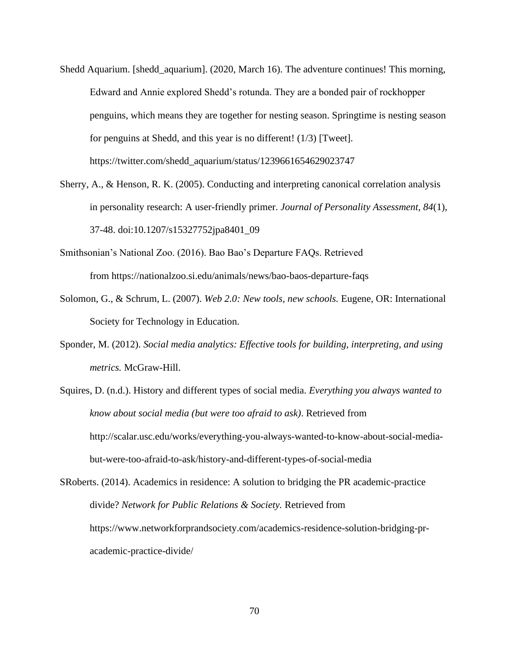- Shedd Aquarium. [shedd\_aquarium]. (2020, March 16). The adventure continues! This morning, Edward and Annie explored Shedd's rotunda. They are a bonded pair of rockhopper penguins, which means they are together for nesting season. Springtime is nesting season for penguins at Shedd, and this year is no different! (1/3) [Tweet]. https://twitter.com/shedd\_aquarium/status/1239661654629023747
- Sherry, A., & Henson, R. K. (2005). Conducting and interpreting canonical correlation analysis in personality research: A user-friendly primer. *Journal of Personality Assessment, 84*(1), 37-48. doi:10.1207/s15327752jpa8401\_09
- Smithsonian's National Zoo. (2016). Bao Bao's Departure FAQs. Retrieved from <https://nationalzoo.si.edu/animals/news/bao-baos-departure-faqs>
- Solomon, G., & Schrum, L. (2007). *Web 2.0: New tools, new schools.* Eugene, OR: International Society for Technology in Education.
- Sponder, M. (2012). *Social media analytics: Effective tools for building, interpreting, and using metrics.* McGraw-Hill.
- Squires, D. (n.d.). History and different types of social media. *Everything you always wanted to know about social media (but were too afraid to ask)*. Retrieved from http://scalar.usc.edu/works/everything-you-always-wanted-to-know-about-social-mediabut-were-too-afraid-to-ask/history-and-different-types-of-social-media

SRoberts. (2014). Academics in residence: A solution to bridging the PR academic-practice divide? *Network for Public Relations & Society.* Retrieved from https://www.networkforprandsociety.com/academics-residence-solution-bridging-pracademic-practice-divide/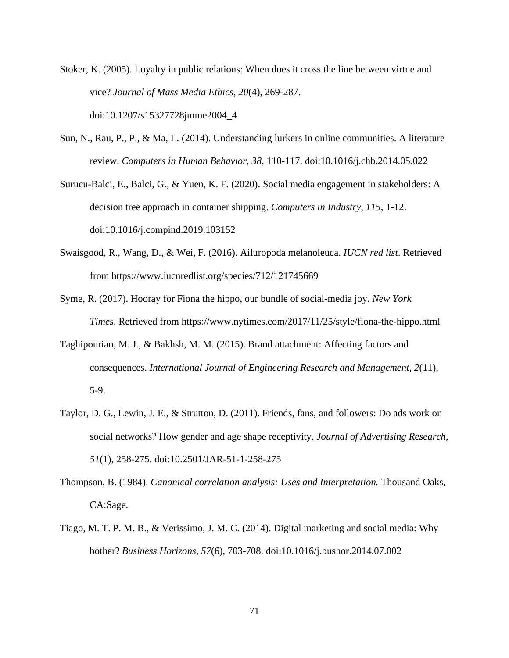Stoker, K. (2005). Loyalty in public relations: When does it cross the line between virtue and vice? *Journal of Mass Media Ethics, 20*(4), 269-287. doi:10.1207/s15327728jmme2004\_4

- Sun, N., Rau, P., P., & Ma, L. (2014). Understanding lurkers in online communities. A literature review. *Computers in Human Behavior, 38*, 110-117. doi:10.1016/j.chb.2014.05.022
- Surucu-Balci, E., Balci, G., & Yuen, K. F. (2020). Social media engagement in stakeholders: A decision tree approach in container shipping. *Computers in Industry, 115*, 1-12. doi:10.1016/j.compind.2019.103152
- Swaisgood, R., Wang, D., & Wei, F. (2016). Ailuropoda melanoleuca. *IUCN red list*. Retrieved from https://www.iucnredlist.org/species/712/121745669
- Syme, R. (2017). Hooray for Fiona the hippo, our bundle of social-media joy. *New York Times*. Retrieved from <https://www.nytimes.com/2017/11/25/style/fiona-the-hippo.html>
- Taghipourian, M. J., & Bakhsh, M. M. (2015). Brand attachment: Affecting factors and consequences. *International Journal of Engineering Research and Management, 2*(11), 5-9.
- Taylor, D. G., Lewin, J. E., & Strutton, D. (2011). Friends, fans, and followers: Do ads work on social networks? How gender and age shape receptivity. *Journal of Advertising Research, 51*(1), 258-275. doi:10.2501/JAR-51-1-258-275
- Thompson, B. (1984). *Canonical correlation analysis: Uses and Interpretation.* Thousand Oaks, CA:Sage.
- Tiago, M. T. P. M. B., & Verissimo, J. M. C. (2014). Digital marketing and social media: Why bother? *Business Horizons, 57*(6), 703-708. doi:10.1016/j.bushor.2014.07.002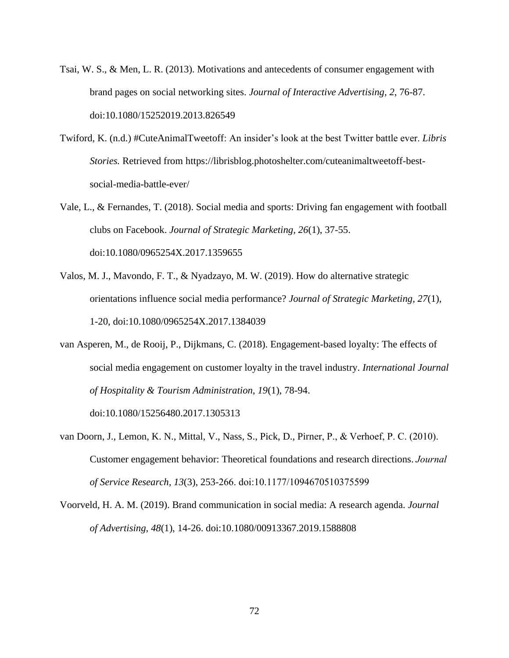Tsai, W. S., & Men, L. R. (2013). Motivations and antecedents of consumer engagement with brand pages on social networking sites. *Journal of Interactive Advertising, 2*, 76-87. doi:10.1080/15252019.2013.826549

- Twiford, K. (n.d.) #CuteAnimalTweetoff: An insider's look at the best Twitter battle ever. *Libris Stories.* Retrieved from https://librisblog.photoshelter.com/cuteanimaltweetoff-bestsocial-media-battle-ever/
- Vale, L., & Fernandes, T. (2018). Social media and sports: Driving fan engagement with football clubs on Facebook. *Journal of Strategic Marketing, 26*(1), 37-55. doi:10.1080/0965254X.2017.1359655
- Valos, M. J., Mavondo, F. T., & Nyadzayo, M. W. (2019). How do alternative strategic orientations influence social media performance? *Journal of Strategic Marketing, 27*(1), 1-20, doi:10.1080/0965254X.2017.1384039
- van Asperen, M., de Rooij, P., Dijkmans, C. (2018). Engagement-based loyalty: The effects of social media engagement on customer loyalty in the travel industry. *International Journal of Hospitality & Tourism Administration, 19*(1), 78-94.

doi:10.1080/15256480.2017.1305313

- van Doorn, J., Lemon, K. N., Mittal, V., Nass, S., Pick, D., Pirner, P., & Verhoef, P. C. (2010). Customer engagement behavior: Theoretical foundations and research directions.*Journal of Service Research, 13*(3), 253-266. doi:10.1177/1094670510375599
- Voorveld, H. A. M. (2019). Brand communication in social media: A research agenda. *Journal of Advertising, 48*(1), 14-26. doi:10.1080/00913367.2019.1588808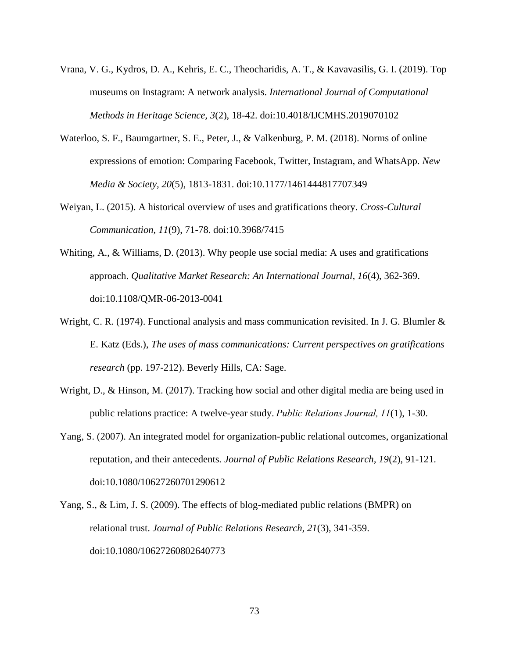- Vrana, V. G., Kydros, D. A., Kehris, E. C., Theocharidis, A. T., & Kavavasilis, G. I. (2019). Top museums on Instagram: A network analysis. *International Journal of Computational Methods in Heritage Science, 3*(2), 18-42. doi:10.4018/IJCMHS.2019070102
- Waterloo, S. F., Baumgartner, S. E., Peter, J., & Valkenburg, P. M. (2018). Norms of online expressions of emotion: Comparing Facebook, Twitter, Instagram, and WhatsApp. *New Media & Society, 20*(5), 1813-1831. doi:10.1177/1461444817707349
- Weiyan, L. (2015). A historical overview of uses and gratifications theory. *Cross-Cultural Communication, 11*(9), 71-78. doi:10.3968/7415
- Whiting, A., & Williams, D. (2013). Why people use social media: A uses and gratifications approach. *Qualitative Market Research: An International Journal, 16*(4), 362-369. doi:10.1108/QMR-06-2013-0041
- Wright, C. R. (1974). Functional analysis and mass communication revisited. In J. G. Blumler & E. Katz (Eds.), *The uses of mass communications: Current perspectives on gratifications research* (pp. 197-212). Beverly Hills, CA: Sage.
- Wright, D., & Hinson, M. (2017). Tracking how social and other digital media are being used in public relations practice: A twelve-year study.*Public Relations Journal, 11*(1), 1-30.
- Yang, S. (2007). An integrated model for organization-public relational outcomes, organizational reputation, and their antecedents*. Journal of Public Relations Research, 19*(2), 91-121. doi:10.1080/10627260701290612
- Yang, S., & Lim, J. S. (2009). The effects of blog-mediated public relations (BMPR) on relational trust. *Journal of Public Relations Research, 21*(3), 341-359. doi:10.1080/10627260802640773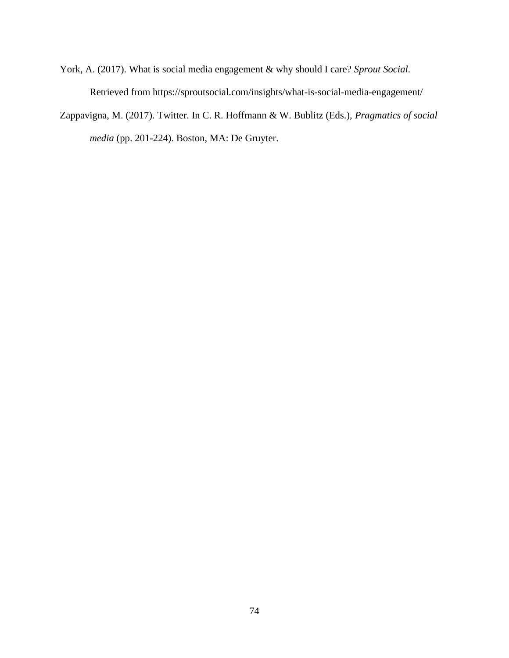- York, A. (2017). What is social media engagement & why should I care? *Sprout Social.* Retrieved from https://sproutsocial.com/insights/what-is-social-media-engagement/
- Zappavigna, M. (2017). Twitter. In C. R. Hoffmann & W. Bublitz (Eds.), *Pragmatics of social media* (pp. 201-224). Boston, MA: De Gruyter.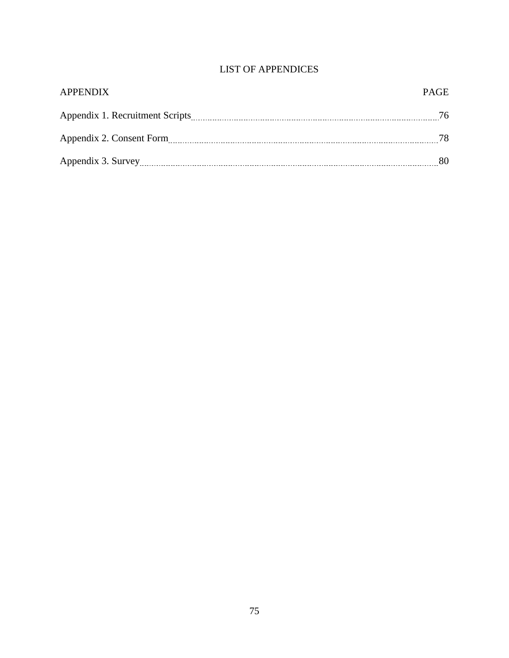# LIST OF APPENDICES

| <b>APPENDIX</b>    | <b>PAGE</b> |
|--------------------|-------------|
|                    | 76          |
|                    | 78.         |
| Appendix 3. Survey | 80          |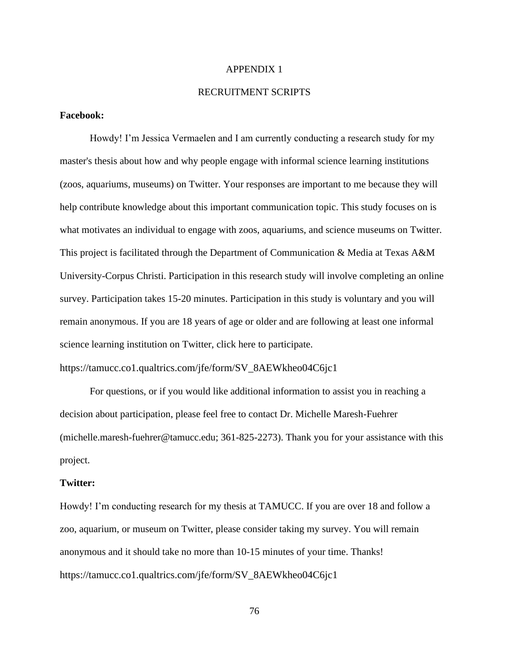#### APPENDIX 1

#### RECRUITMENT SCRIPTS

#### **Facebook:**

Howdy! I'm Jessica Vermaelen and I am currently conducting a research study for my master's thesis about how and why people engage with informal science learning institutions (zoos, aquariums, museums) on Twitter. Your responses are important to me because they will help contribute knowledge about this important communication topic. This study focuses on is what motivates an individual to engage with zoos, aquariums, and science museums on Twitter. This project is facilitated through the Department of Communication & Media at Texas A&M University-Corpus Christi. Participation in this research study will involve completing an online survey. Participation takes 15-20 minutes. Participation in this study is voluntary and you will remain anonymous. If you are 18 years of age or older and are following at least one informal science learning institution on Twitter, click here to participate.

#### https://tamucc.co1.qualtrics.com/jfe/form/SV\_8AEWkheo04C6jc1

For questions, or if you would like additional information to assist you in reaching a decision about participation, please feel free to contact Dr. Michelle Maresh-Fuehrer (michelle.maresh-fuehrer@tamucc.edu; 361-825-2273). Thank you for your assistance with this project.

#### **Twitter:**

Howdy! I'm conducting research for my thesis at TAMUCC. If you are over 18 and follow a zoo, aquarium, or museum on Twitter, please consider taking my survey. You will remain anonymous and it should take no more than 10-15 minutes of your time. Thanks! https://tamucc.co1.qualtrics.com/jfe/form/SV\_8AEWkheo04C6jc1

76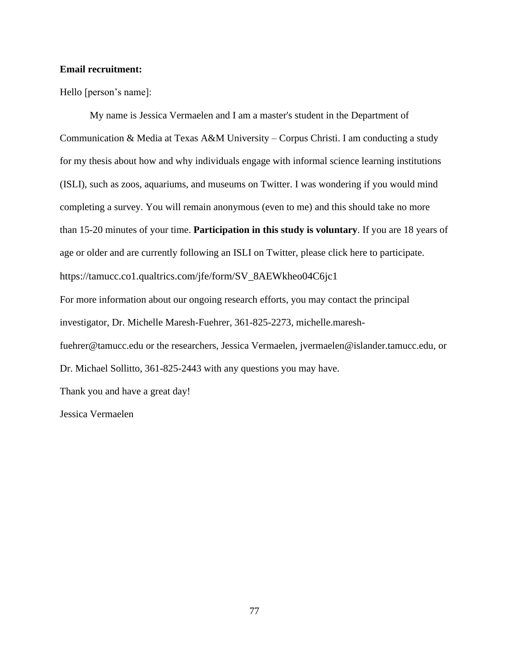#### **Email recruitment:**

Hello [person's name]:

My name is Jessica Vermaelen and I am a master's student in the Department of Communication & Media at Texas A&M University – Corpus Christi. I am conducting a study for my thesis about how and why individuals engage with informal science learning institutions (ISLI), such as zoos, aquariums, and museums on Twitter. I was wondering if you would mind completing a survey. You will remain anonymous (even to me) and this should take no more than 15-20 minutes of your time. **Participation in this study is voluntary**. If you are 18 years of age or older and are currently following an ISLI on Twitter, please click here to participate. https://tamucc.co1.qualtrics.com/jfe/form/SV\_8AEWkheo04C6jc1 For more information about our ongoing research efforts, you may contact the principal investigator, Dr. Michelle Maresh-Fuehrer, 361-825-2273, michelle.mareshfuehrer@tamucc.edu or the researchers, Jessica Vermaelen, jvermaelen@islander.tamucc.edu, or Dr. Michael Sollitto, 361-825-2443 with any questions you may have. Thank you and have a great day!

Jessica Vermaelen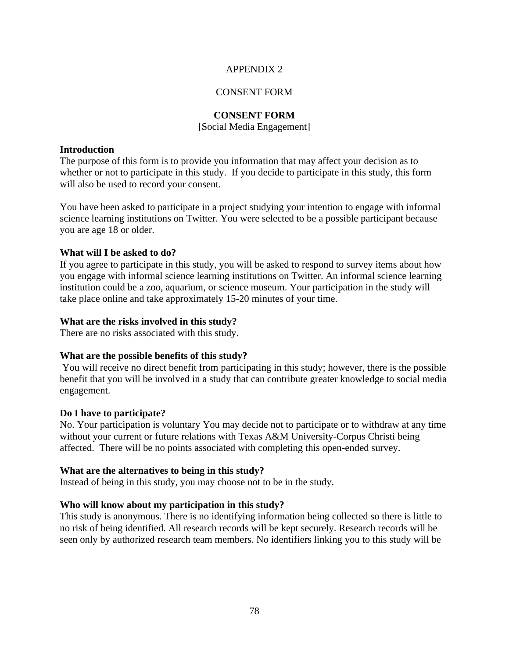#### APPENDIX 2

#### CONSENT FORM

#### **CONSENT FORM**

#### [Social Media Engagement]

#### **Introduction**

The purpose of this form is to provide you information that may affect your decision as to whether or not to participate in this study. If you decide to participate in this study, this form will also be used to record your consent.

You have been asked to participate in a project studying your intention to engage with informal science learning institutions on Twitter. You were selected to be a possible participant because you are age 18 or older.

#### **What will I be asked to do?**

If you agree to participate in this study, you will be asked to respond to survey items about how you engage with informal science learning institutions on Twitter. An informal science learning institution could be a zoo, aquarium, or science museum. Your participation in the study will take place online and take approximately 15-20 minutes of your time.

#### **What are the risks involved in this study?**

There are no risks associated with this study.

#### **What are the possible benefits of this study?**

You will receive no direct benefit from participating in this study; however, there is the possible benefit that you will be involved in a study that can contribute greater knowledge to social media engagement.

#### **Do I have to participate?**

No. Your participation is voluntary You may decide not to participate or to withdraw at any time without your current or future relations with Texas A&M University-Corpus Christi being affected. There will be no points associated with completing this open-ended survey.

#### **What are the alternatives to being in this study?**

Instead of being in this study, you may choose not to be in the study.

#### **Who will know about my participation in this study?**

This study is anonymous. There is no identifying information being collected so there is little to no risk of being identified. All research records will be kept securely. Research records will be seen only by authorized research team members. No identifiers linking you to this study will be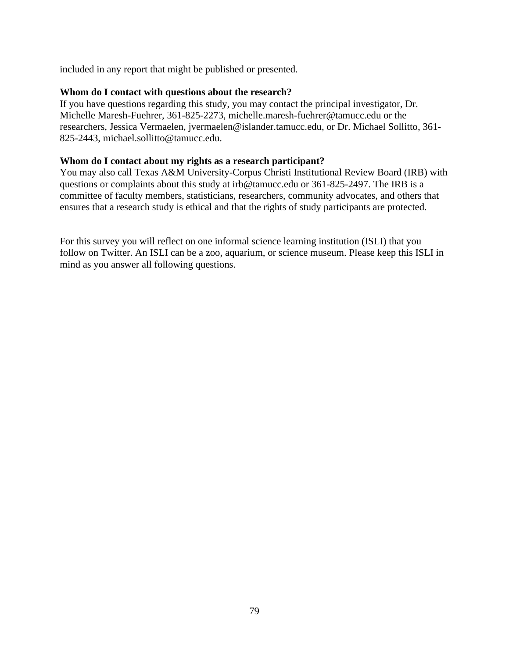included in any report that might be published or presented.

#### **Whom do I contact with questions about the research?**

If you have questions regarding this study, you may contact the principal investigator, Dr. Michelle Maresh-Fuehrer, 361-825-2273, michelle.maresh-fuehrer@tamucc.edu or the researchers, Jessica Vermaelen, jvermaelen@islander.tamucc.edu, or Dr. Michael Sollitto, 361- 825-2443, michael.sollitto@tamucc.edu.

#### **Whom do I contact about my rights as a research participant?**

You may also call Texas A&M University-Corpus Christi Institutional Review Board (IRB) with questions or complaints about this study at irb@tamucc.edu or 361-825-2497. The IRB is a committee of faculty members, statisticians, researchers, community advocates, and others that ensures that a research study is ethical and that the rights of study participants are protected.

For this survey you will reflect on one informal science learning institution (ISLI) that you follow on Twitter. An ISLI can be a zoo, aquarium, or science museum. Please keep this ISLI in mind as you answer all following questions.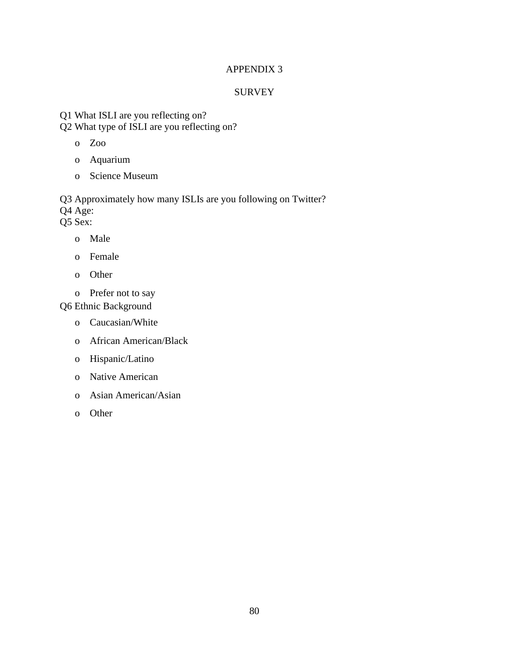## APPENDIX 3

## **SURVEY**

Q1 What ISLI are you reflecting on? Q2 What type of ISLI are you reflecting on?

- o Zoo
- o Aquarium
- o Science Museum

Q3 Approximately how many ISLIs are you following on Twitter? Q4 Age: Q5 Sex:

- o Male
- o Female
- o Other
- o Prefer not to say

Q6 Ethnic Background

- o Caucasian/White
- o African American/Black
- o Hispanic/Latino
- o Native American
- o Asian American/Asian
- o Other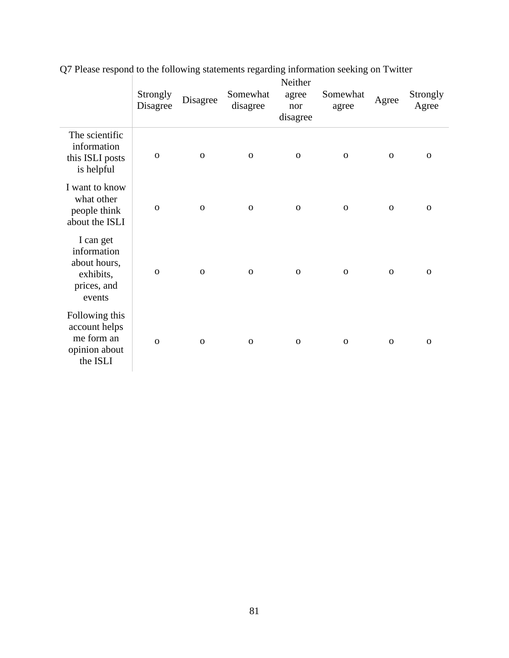|                                                                                | Strongly<br>Disagree | Disagree     | Somewhat<br>disagree | Neither<br>agree<br>nor<br>disagree | Somewhat<br>agree | Agree        | Strongly<br>Agree |
|--------------------------------------------------------------------------------|----------------------|--------------|----------------------|-------------------------------------|-------------------|--------------|-------------------|
| The scientific<br>information<br>this ISLI posts<br>is helpful                 | $\mathbf 0$          | $\mathbf{O}$ | $\mathbf 0$          | $\mathbf 0$                         | $\mathbf{O}$      | $\mathbf{O}$ | $\mathbf 0$       |
| I want to know<br>what other<br>people think<br>about the ISLI                 | $\mathbf{O}$         | $\mathbf{O}$ | $\mathbf{O}$         | $\mathbf 0$                         | $\mathbf{O}$      | $\mathbf{O}$ | $\mathbf{O}$      |
| I can get<br>information<br>about hours,<br>exhibits,<br>prices, and<br>events | $\mathbf{O}$         | $\mathbf{O}$ | $\mathbf{O}$         | $\Omega$                            | $\mathbf{O}$      | $\mathbf{O}$ | $\mathbf{O}$      |
| Following this<br>account helps<br>me form an<br>opinion about<br>the ISLI     | $\mathbf{O}$         | $\mathbf{O}$ | $\mathbf 0$          | $\mathbf{O}$                        | $\mathbf 0$       | $\mathbf{O}$ | $\mathbf 0$       |

Q7 Please respond to the following statements regarding information seeking on Twitter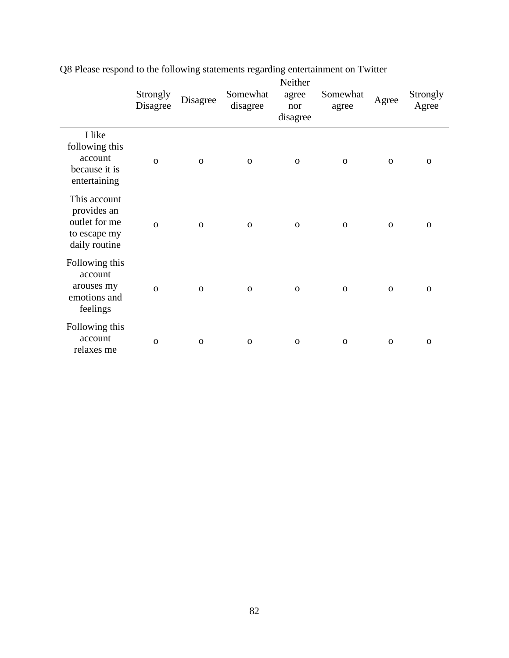|                                                                               | Strongly<br>Disagree | Disagree     | Somewhat<br>disagree | Neither<br>agree<br>nor<br>disagree | Somewhat<br>agree | Agree       | Strongly<br>Agree |
|-------------------------------------------------------------------------------|----------------------|--------------|----------------------|-------------------------------------|-------------------|-------------|-------------------|
| I like<br>following this<br>account<br>because it is<br>entertaining          | $\mathbf{o}$         | $\mathbf{O}$ | ${\bf O}$            | $\mathbf{O}$                        | $\mathbf 0$       | $\mathbf 0$ | $\mathbf 0$       |
| This account<br>provides an<br>outlet for me<br>to escape my<br>daily routine | $\mathbf{o}$         | $\mathbf{O}$ | ${\bf O}$            | $\mathbf{O}$                        | $\mathbf{O}$      | $\mathbf 0$ | $\mathbf{O}$      |
| Following this<br>account<br>arouses my<br>emotions and<br>feelings           | $\mathbf{O}$         | $\mathbf 0$  | $\mathbf{O}$         | $\mathbf 0$                         | $\mathbf 0$       | $\mathbf 0$ | $\mathbf 0$       |
| Following this<br>account<br>relaxes me                                       | $\mathbf{O}$         | $\mathbf 0$  | $\mathbf{O}$         | $\mathbf O$                         | $\mathbf 0$       | $\mathbf 0$ | $\mathbf 0$       |

Q8 Please respond to the following statements regarding entertainment on Twitter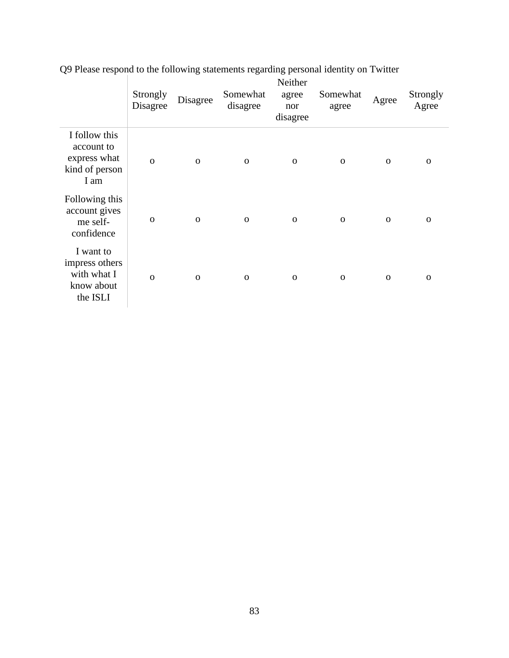|                                                                       | Strongly<br>Disagree | Disagree    | Somewhat<br>disagree | Neither<br>agree<br>nor<br>disagree | Somewhat<br>agree | Agree        | Strongly<br>Agree |
|-----------------------------------------------------------------------|----------------------|-------------|----------------------|-------------------------------------|-------------------|--------------|-------------------|
| I follow this<br>account to<br>express what<br>kind of person<br>I am | $\Omega$             | $\mathbf O$ | $\mathbf 0$          | $\mathbf 0$                         | $\mathbf 0$       | $\mathbf 0$  | $\mathbf 0$       |
| Following this<br>account gives<br>me self-<br>confidence             | $\mathbf 0$          | $\mathbf O$ | $\mathbf 0$          | $\mathbf 0$                         | $\mathbf 0$       | $\Omega$     | $\mathbf 0$       |
| I want to<br>impress others<br>with what I<br>know about<br>the ISLI  | $\Omega$             | $\Omega$    | $\mathbf 0$          | $\mathbf 0$                         | $\mathbf 0$       | $\mathbf{O}$ | $\mathbf{O}$      |

Q9 Please respond to the following statements regarding personal identity on Twitter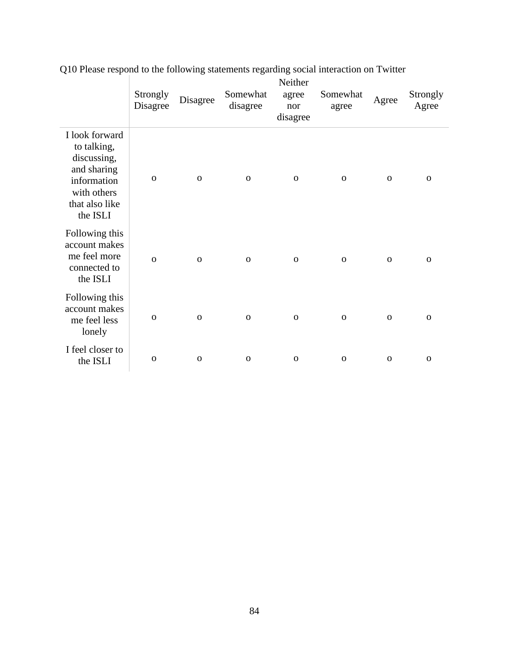|                                                                                                                         | Strongly<br>Disagree | Disagree     | Somewhat<br>disagree | Neither<br>agree<br>nor<br>disagree | Somewhat<br>agree | Agree        | Strongly<br>Agree |
|-------------------------------------------------------------------------------------------------------------------------|----------------------|--------------|----------------------|-------------------------------------|-------------------|--------------|-------------------|
| I look forward<br>to talking,<br>discussing,<br>and sharing<br>information<br>with others<br>that also like<br>the ISLI | $\mathbf 0$          | $\mathbf{O}$ | $\mathbf 0$          | $\mathbf 0$                         | $\mathbf 0$       | $\Omega$     | $\mathbf{O}$      |
| Following this<br>account makes<br>me feel more<br>connected to<br>the ISLI                                             | $\mathbf 0$          | $\mathbf{O}$ | $\mathbf 0$          | $\mathbf{O}$                        | $\mathbf 0$       | $\mathbf{O}$ | $\mathbf 0$       |
| Following this<br>account makes<br>me feel less<br>lonely                                                               | $\mathbf 0$          | $\mathbf 0$  | $\mathbf 0$          | $\mathbf{O}$                        | $\mathbf 0$       | $\mathbf 0$  | $\mathbf{O}$      |
| I feel closer to<br>the ISLI                                                                                            | $\mathbf 0$          | $\mathbf 0$  | $\mathbf 0$          | $\mathbf 0$                         | $\mathbf 0$       | $\mathbf 0$  | $\mathbf 0$       |

Q10 Please respond to the following statements regarding social interaction on Twitter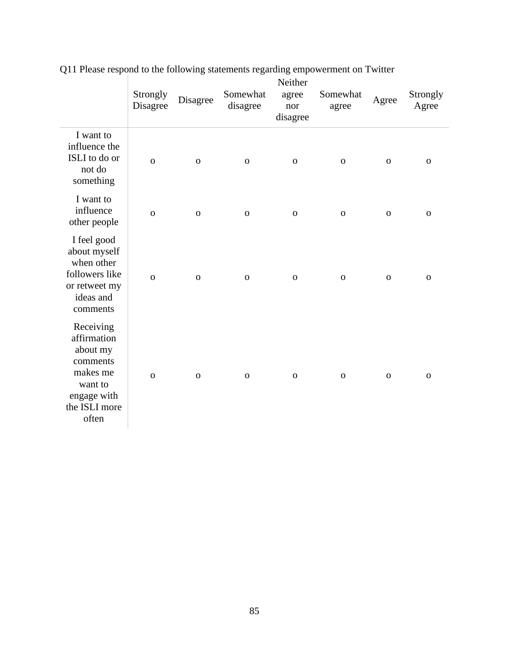|                                                                                                                  | Strongly<br>Disagree | Disagree    | Somewhat<br>disagree | Neither<br>agree<br>nor<br>disagree | Somewhat<br>agree | Agree       | Strongly<br>Agree |
|------------------------------------------------------------------------------------------------------------------|----------------------|-------------|----------------------|-------------------------------------|-------------------|-------------|-------------------|
| I want to<br>influence the<br>ISLI to do or<br>not do<br>something                                               | $\mathbf 0$          | $\mathbf O$ | ${\bf O}$            | $\mathbf O$                         | ${\bf O}$         | $\mathbf O$ | $\mathbf O$       |
| I want to<br>influence<br>other people                                                                           | $\mathbf 0$          | $\mathbf 0$ | $\mathbf O$          | $\mathbf 0$                         | $\mathbf 0$       | $\mathbf 0$ | $\mathbf O$       |
| I feel good<br>about myself<br>when other<br>followers like<br>or retweet my<br>ideas and<br>comments            | $\Omega$             | $\mathbf O$ | $\mathbf 0$          | $\mathbf{O}$                        | $\mathbf 0$       | $\mathbf 0$ | $\mathbf 0$       |
| Receiving<br>affirmation<br>about my<br>comments<br>makes me<br>want to<br>engage with<br>the ISLI more<br>often | $\Omega$             | $\mathbf 0$ | $\mathbf 0$          | $\mathbf{O}$                        | $\mathbf 0$       | $\mathbf 0$ | $\mathbf{O}$      |

Q11 Please respond to the following statements regarding empowerment on Twitter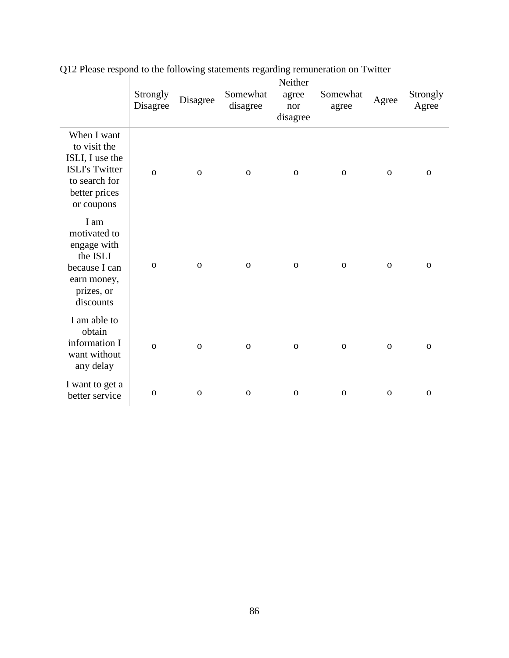|                                                                                                                         | Strongly<br>Disagree | Disagree     | Somewhat<br>disagree | Neither<br>agree<br>nor<br>disagree | Somewhat<br>agree | Agree        | Strongly<br>Agree |
|-------------------------------------------------------------------------------------------------------------------------|----------------------|--------------|----------------------|-------------------------------------|-------------------|--------------|-------------------|
| When I want<br>to visit the<br>ISLI, I use the<br><b>ISLI's Twitter</b><br>to search for<br>better prices<br>or coupons | $\mathbf{o}$         | $\mathbf{O}$ | $\mathbf O$          | $\mathbf{O}$                        | $\mathbf 0$       | $\mathbf{O}$ | $\mathbf{O}$      |
| I am<br>motivated to<br>engage with<br>the ISLI<br>because I can<br>earn money,<br>prizes, or<br>discounts              | $\mathbf 0$          | $\mathbf 0$  | $\mathbf O$          | $\mathbf 0$                         | $\mathbf 0$       | $\mathbf 0$  | $\mathbf{O}$      |
| I am able to<br>obtain<br>information I<br>want without<br>any delay                                                    | $\overline{O}$       | $\mathbf{O}$ | $\mathbf O$          | $\mathbf O$                         | $\mathbf 0$       | $\mathbf 0$  | $\mathbf 0$       |
| I want to get a<br>better service                                                                                       | $\mathbf 0$          | $\mathbf 0$  | $\mathbf O$          | $\mathbf 0$                         | $\mathbf 0$       | $\mathbf{O}$ | $\mathbf 0$       |

Q12 Please respond to the following statements regarding remuneration on Twitter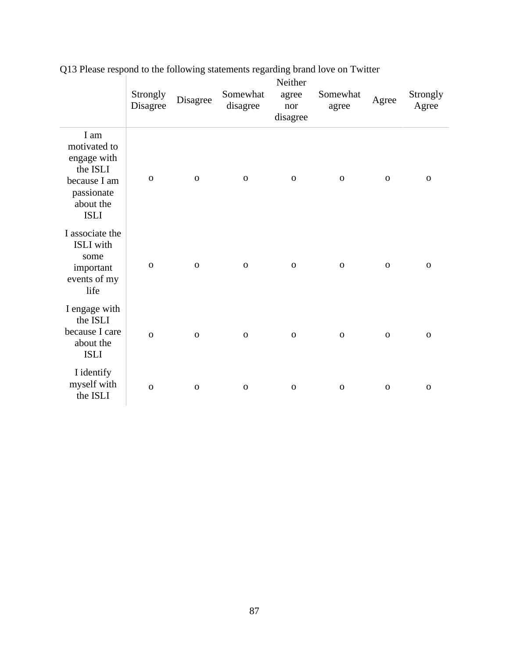|                                                                                                           | Strongly<br>Disagree | Disagree     | Somewhat<br>disagree | Neither<br>agree<br>nor<br>disagree | Somewhat<br>agree | Agree        | Strongly<br>Agree |
|-----------------------------------------------------------------------------------------------------------|----------------------|--------------|----------------------|-------------------------------------|-------------------|--------------|-------------------|
| I am<br>motivated to<br>engage with<br>the ISLI<br>because I am<br>passionate<br>about the<br><b>ISLI</b> | $\mathbf 0$          | $\mathbf 0$  | $\mathbf O$          | ${\bf O}$                           | $\mathbf 0$       | $\mathbf O$  | ${\bf O}$         |
| I associate the<br><b>ISLI</b> with<br>some<br>important<br>events of my<br>life                          | $\mathbf{o}$         | $\mathbf 0$  | $\mathbf 0$          | ${\bf O}$                           | $\mathbf 0$       | $\mathbf O$  | $\mathbf 0$       |
| I engage with<br>the ISLI<br>because I care<br>about the<br><b>ISLI</b>                                   | $\mathbf{O}$         | $\mathbf{o}$ | $\mathbf 0$          | $\mathbf{O}$                        | $\mathbf O$       | $\mathbf{O}$ | $\mathbf 0$       |
| I identify<br>myself with<br>the ISLI                                                                     | $\mathbf{O}$         | $\mathbf{o}$ | $\mathbf 0$          | $\mathbf 0$                         | $\mathbf{O}$      | $\mathbf 0$  | $\mathbf{O}$      |

# Q13 Please respond to the following statements regarding brand love on Twitter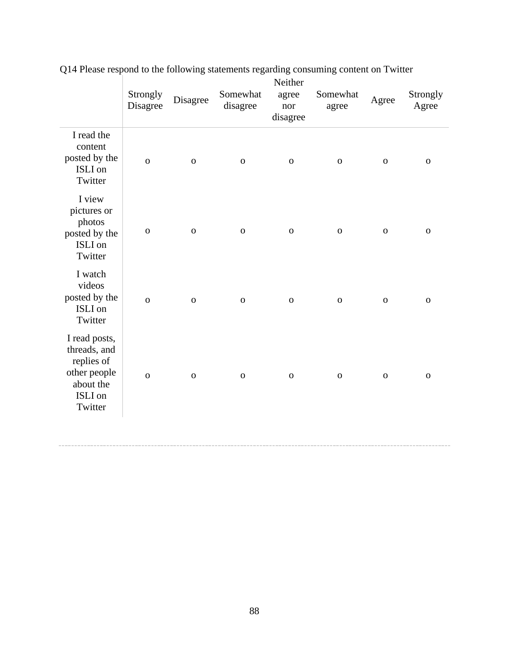|                                                                                                | Strongly<br>Disagree | Disagree     | Somewhat<br>disagree | Neither<br>agree<br>nor<br>disagree | Somewhat<br>agree | Agree       | Strongly<br>Agree |
|------------------------------------------------------------------------------------------------|----------------------|--------------|----------------------|-------------------------------------|-------------------|-------------|-------------------|
| I read the<br>content<br>posted by the<br>ISLI on<br>Twitter                                   | $\overline{O}$       | $\mathbf O$  | $\mathbf 0$          | $\mathbf 0$                         | $\mathbf 0$       | $\mathbf 0$ | $\mathbf O$       |
| I view<br>pictures or<br>photos<br>posted by the<br>ISLI on<br>Twitter                         | $\mathbf 0$          | $\mathbf 0$  | $\mathbf 0$          | $\mathbf 0$                         | $\mathbf 0$       | $\mathbf 0$ | $\mathbf 0$       |
| I watch<br>videos<br>posted by the<br>ISLI on<br>Twitter                                       | $\overline{O}$       | $\mathbf{o}$ | $\mathbf{O}$         | $\mathbf 0$                         | $\mathbf{o}$      | $\mathbf 0$ | $\mathbf O$       |
| I read posts,<br>threads, and<br>replies of<br>other people<br>about the<br>ISLI on<br>Twitter | $\overline{O}$       | $\mathbf 0$  | $\mathbf 0$          | $\mathbf 0$                         | $\mathbf 0$       | $\mathbf 0$ | $\mathbf 0$       |
|                                                                                                |                      |              |                      |                                     |                   |             |                   |

Q14 Please respond to the following statements regarding consuming content on Twitter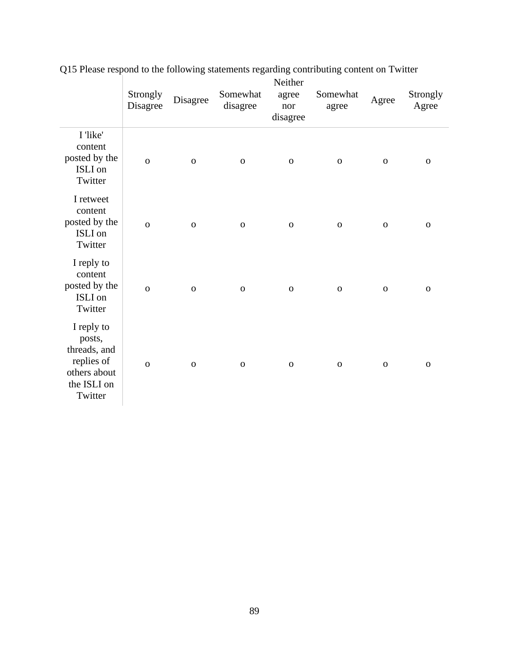|                                                                                              | Strongly<br>Disagree | Disagree    | Somewhat<br>disagree | Neither<br>agree<br>nor<br>disagree | Somewhat<br>agree | Agree        | Strongly<br>Agree |
|----------------------------------------------------------------------------------------------|----------------------|-------------|----------------------|-------------------------------------|-------------------|--------------|-------------------|
| I 'like'<br>content<br>posted by the<br>ISLI on<br>Twitter                                   | $\overline{O}$       | $\mathbf O$ | $\mathbf 0$          | $\mathbf 0$                         | $\mathbf O$       | $\mathbf{o}$ | $\mathbf 0$       |
| I retweet<br>content<br>posted by the<br>ISLI on<br>Twitter                                  | $\overline{O}$       | ${\bf O}$   | $\mathbf 0$          | ${\bf O}$                           | $\mathbf 0$       | ${\bf O}$    | $\mathbf{o}$      |
| I reply to<br>content<br>posted by the<br>ISLI on<br>Twitter                                 | $\mathbf{o}$         | $\mathbf O$ | $\mathbf 0$          | ${\bf O}$                           | ${\bf O}$         | ${\bf O}$    | ${\bf O}$         |
| I reply to<br>posts,<br>threads, and<br>replies of<br>others about<br>the ISLI on<br>Twitter | $\overline{O}$       | $\mathbf O$ | $\mathbf O$          | $\mathbf 0$                         | $\mathbf O$       | $\mathbf{o}$ | $\mathbf 0$       |

Q15 Please respond to the following statements regarding contributing content on Twitter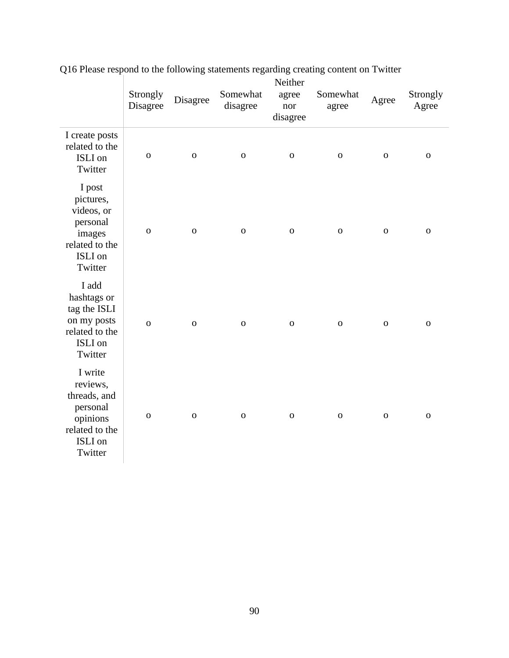|                                                                                                     | Strongly<br>Disagree | Disagree       | Somewhat<br>disagree | Neither<br>agree<br>nor<br>disagree | Somewhat<br>agree | Agree       | Strongly<br>Agree |
|-----------------------------------------------------------------------------------------------------|----------------------|----------------|----------------------|-------------------------------------|-------------------|-------------|-------------------|
| I create posts<br>related to the<br>ISLI on<br>Twitter                                              | $\mathbf O$          | $\mathbf{o}$   | $\mathbf O$          | $\mathbf 0$                         | $\mathbf O$       | $\mathbf 0$ | ${\bf O}$         |
| I post<br>pictures,<br>videos, or<br>personal<br>images<br>related to the<br>ISLI on<br>Twitter     | $\mathbf{o}$         | $\mathbf{o}$   | $\mathbf 0$          | $\mathbf 0$                         | $\mathbf O$       | $\mathbf 0$ | ${\bf O}$         |
| I add<br>hashtags or<br>tag the ISLI<br>on my posts<br>related to the<br>ISLI on<br>Twitter         | $\overline{O}$       | $\overline{O}$ | $\overline{O}$       | $\mathbf O$                         | $\mathbf O$       | $\mathbf 0$ | $\mathbf{O}$      |
| I write<br>reviews,<br>threads, and<br>personal<br>opinions<br>related to the<br>ISLI on<br>Twitter | $\mathbf O$          | $\mathbf O$    | $\mathbf 0$          | $\mathbf O$                         | ${\bf O}$         | $\mathbf 0$ | $\mathbf O$       |

Q16 Please respond to the following statements regarding creating content on Twitter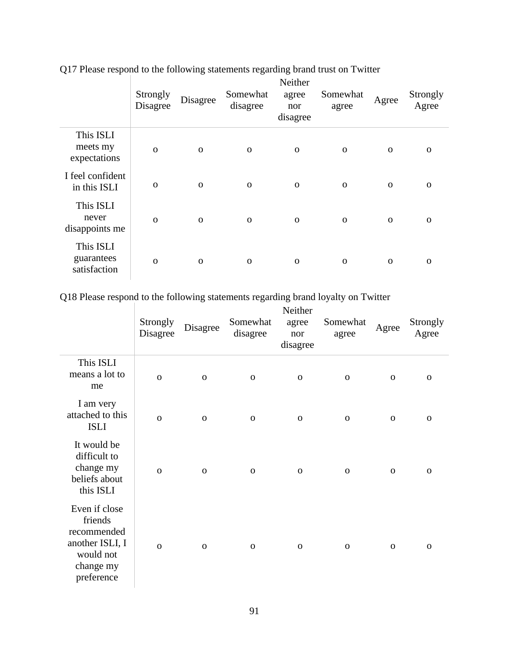|                                         | Strongly<br>Disagree | Disagree     | Somewhat<br>disagree | Neither<br>agree<br>nor<br>disagree | Somewhat<br>agree | Agree        | Strongly<br>Agree |
|-----------------------------------------|----------------------|--------------|----------------------|-------------------------------------|-------------------|--------------|-------------------|
| This ISLI<br>meets my<br>expectations   | $\Omega$             | $\mathbf{O}$ | $\mathbf 0$          | $\mathbf 0$                         | $\mathbf{O}$      | $\mathbf{O}$ | $\Omega$          |
| I feel confident<br>in this ISLI        | $\mathbf 0$          | $\mathbf 0$  | $\mathbf 0$          | $\mathbf 0$                         | $\mathbf{O}$      | $\mathbf 0$  | $\mathbf 0$       |
| This ISLI<br>never<br>disappoints me    | $\Omega$             | $\mathbf{O}$ | $\mathbf 0$          | $\mathbf 0$                         | $\mathbf{O}$      | $\mathbf{O}$ | $\Omega$          |
| This ISLI<br>guarantees<br>satisfaction | $\Omega$             | $\mathbf 0$  | $\mathbf 0$          | $\mathbf 0$                         | $\mathbf 0$       | $\mathbf 0$  | $\mathbf 0$       |

Q17 Please respond to the following statements regarding brand trust on Twitter

Q18 Please respond to the following statements regarding brand loyalty on Twitter

|                                                                                                    | Strongly<br>Disagree | Disagree     | Somewhat<br>disagree | Neither<br>agree<br>nor<br>disagree | Somewhat<br>agree | Agree       | Strongly<br>Agree |
|----------------------------------------------------------------------------------------------------|----------------------|--------------|----------------------|-------------------------------------|-------------------|-------------|-------------------|
| This ISLI<br>means a lot to<br>me                                                                  | $\mathbf 0$          | $\mathbf 0$  | $\mathbf 0$          | $\mathbf O$                         | $\mathbf 0$       | $\mathbf 0$ | $\mathbf 0$       |
| I am very<br>attached to this<br><b>ISLI</b>                                                       | $\mathbf{o}$         | $\mathbf{O}$ | $\mathbf 0$          | ${\bf O}$                           | $\mathbf 0$       | $\mathbf 0$ | $\mathbf 0$       |
| It would be<br>difficult to<br>change my<br>beliefs about<br>this ISLI                             | $\overline{O}$       | $\mathbf{O}$ | $\mathbf{O}$         | $\mathbf 0$                         | $\mathbf{O}$      | $\mathbf 0$ | $\mathbf 0$       |
| Even if close<br>friends<br>recommended<br>another ISLI, I<br>would not<br>change my<br>preference | $\mathbf{o}$         | $\mathbf{O}$ | $\mathbf{O}$         | $\mathbf 0$                         | $\mathbf 0$       | $\mathbf 0$ | $\mathbf 0$       |